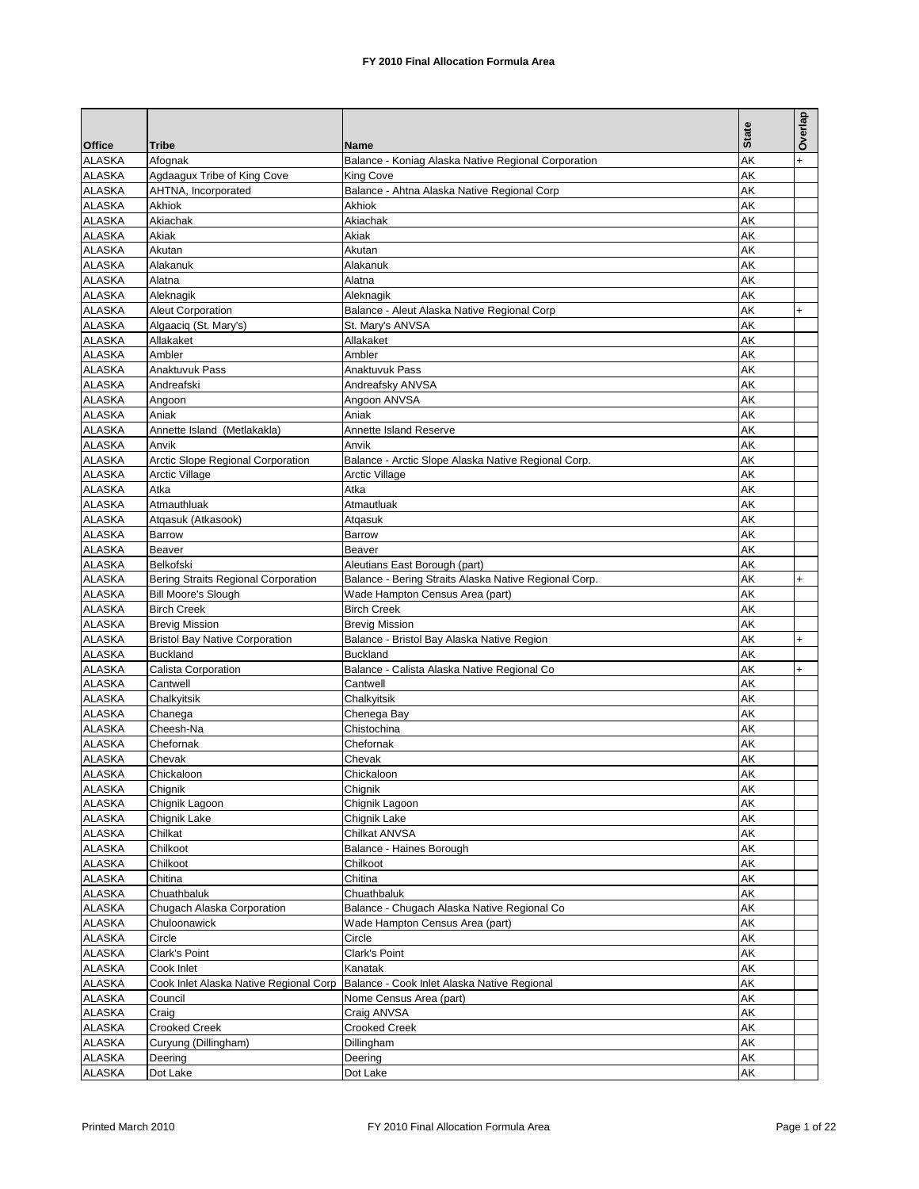|                                |                                           |                                                            | <b>State</b> | Overlap   |
|--------------------------------|-------------------------------------------|------------------------------------------------------------|--------------|-----------|
| <b>Office</b>                  | <b>Tribe</b>                              | Name                                                       |              |           |
| <b>ALASKA</b>                  | Afognak                                   | Balance - Koniag Alaska Native Regional Corporation        | AK           | $\ddot{}$ |
| ALASKA                         | Agdaagux Tribe of King Cove               | King Cove                                                  | AK           |           |
| <b>ALASKA</b>                  | AHTNA, Incorporated                       | Balance - Ahtna Alaska Native Regional Corp                | AK           |           |
| <b>ALASKA</b>                  | Akhiok                                    | Akhiok                                                     | AΚ           |           |
| <b>ALASKA</b>                  | Akiachak                                  | Akiachak                                                   | AK           |           |
| <b>ALASKA</b>                  | Akiak                                     | Akiak                                                      | AΚ           |           |
| <b>ALASKA</b>                  | Akutan                                    | Akutan                                                     | AΚ           |           |
| <b>ALASKA</b>                  | Alakanuk                                  | Alakanuk                                                   | AK           |           |
| <b>ALASKA</b>                  | Alatna                                    | Alatna                                                     | AK           |           |
| <b>ALASKA</b>                  | Aleknagik                                 | Aleknagik                                                  | AK           |           |
| <b>ALASKA</b><br><b>ALASKA</b> | <b>Aleut Corporation</b>                  | Balance - Aleut Alaska Native Regional Corp                | AK           | $+$       |
| <b>ALASKA</b>                  | Algaaciq (St. Mary's)<br>Allakaket        | St. Mary's ANVSA<br>Allakaket                              | AK<br>AK     |           |
| <b>ALASKA</b>                  | Ambler                                    | Ambler                                                     | AΚ           |           |
| <b>ALASKA</b>                  | Anaktuvuk Pass                            | Anaktuvuk Pass                                             | AK           |           |
| <b>ALASKA</b>                  | Andreafski                                | Andreafsky ANVSA                                           | AK           |           |
| <b>ALASKA</b>                  | Angoon                                    | Angoon ANVSA                                               | AK           |           |
| <b>ALASKA</b>                  | Aniak                                     | Aniak                                                      | AΚ           |           |
| <b>ALASKA</b>                  | Annette Island (Metlakakla)               | Annette Island Reserve                                     | AK           |           |
| <b>ALASKA</b>                  | Anvik                                     | Anvik                                                      | AΚ           |           |
| <b>ALASKA</b>                  | Arctic Slope Regional Corporation         | Balance - Arctic Slope Alaska Native Regional Corp.        | AΚ           |           |
| <b>ALASKA</b>                  | <b>Arctic Village</b>                     | <b>Arctic Village</b>                                      | AK           |           |
| <b>ALASKA</b>                  | Atka                                      | Atka                                                       | AΚ           |           |
| <b>ALASKA</b>                  | Atmauthluak                               | Atmautluak                                                 | AK           |           |
| <b>ALASKA</b>                  | Atgasuk (Atkasook)                        | Atqasuk                                                    | AΚ           |           |
| <b>ALASKA</b>                  | Barrow                                    | Barrow                                                     | AΚ           |           |
| <b>ALASKA</b>                  | <b>Beaver</b>                             | Beaver                                                     | AK           |           |
| <b>ALASKA</b>                  | Belkofski                                 | Aleutians East Borough (part)                              | AK           |           |
| <b>ALASKA</b>                  | Bering Straits Regional Corporation       | Balance - Bering Straits Alaska Native Regional Corp.      | AΚ           | $\ddot{}$ |
| <b>ALASKA</b>                  | <b>Bill Moore's Slough</b>                | Wade Hampton Census Area (part)                            | AΚ           |           |
| <b>ALASKA</b>                  | <b>Birch Creek</b>                        | <b>Birch Creek</b>                                         | AK           |           |
| <b>ALASKA</b>                  | <b>Brevig Mission</b>                     | <b>Brevig Mission</b>                                      | AΚ           |           |
| <b>ALASKA</b>                  | <b>Bristol Bay Native Corporation</b>     | Balance - Bristol Bay Alaska Native Region                 | AK           | $\ddot{}$ |
| <b>ALASKA</b>                  | <b>Buckland</b>                           | <b>Buckland</b>                                            | AK           |           |
| <b>ALASKA</b>                  | Calista Corporation                       | Balance - Calista Alaska Native Regional Co                | AΚ           | $\ddot{}$ |
| ALASKA                         | Cantwell                                  | Cantwell                                                   | AΚ           |           |
| <b>ALASKA</b>                  | Chalkyitsik                               | Chalkyitsik                                                | AK           |           |
| <b>ALASKA</b>                  | Chanega                                   | Chenega Bay                                                | AK           |           |
| <b>ALASKA</b>                  | Cheesh-Na                                 | Chistochina                                                | AK           |           |
| <b>ALASKA</b>                  | Chefornak                                 | Chefornak                                                  | AK           |           |
| <b>ALASKA</b>                  | Chevak                                    | Chevak                                                     | AK           |           |
| <b>ALASKA</b>                  | Chickaloon                                | Chickaloon                                                 | AK           |           |
| <b>ALASKA</b>                  | Chignik                                   | Chignik                                                    | AΚ           |           |
| ALASKA                         | Chignik Lagoon                            | Chignik Lagoon                                             | AK           |           |
| <b>ALASKA</b>                  | Chignik Lake                              | Chignik Lake                                               | AΚ           |           |
| <b>ALASKA</b>                  | Chilkat                                   | Chilkat ANVSA                                              | AK           |           |
| <b>ALASKA</b>                  | Chilkoot                                  | Balance - Haines Borough                                   | AΚ           |           |
| <b>ALASKA</b><br>ALASKA        | Chilkoot<br>Chitina                       | Chilkoot<br>Chitina                                        | AΚ<br>AK     |           |
| <b>ALASKA</b>                  |                                           |                                                            | AK           |           |
| <b>ALASKA</b>                  | Chuathbaluk<br>Chugach Alaska Corporation | Chuathbaluk<br>Balance - Chugach Alaska Native Regional Co | AΚ           |           |
| <b>ALASKA</b>                  | Chuloonawick                              | Wade Hampton Census Area (part)                            | AΚ           |           |
| <b>ALASKA</b>                  | Circle                                    | Circle                                                     | AK           |           |
| <b>ALASKA</b>                  | Clark's Point                             | Clark's Point                                              | AΚ           |           |
| <b>ALASKA</b>                  | Cook Inlet                                | Kanatak                                                    | AK           |           |
| <b>ALASKA</b>                  | Cook Inlet Alaska Native Regional Corp    | Balance - Cook Inlet Alaska Native Regional                | AΚ           |           |
| <b>ALASKA</b>                  | Council                                   | Nome Census Area (part)                                    | AK           |           |
| <b>ALASKA</b>                  | Craig                                     | Craig ANVSA                                                | AK           |           |
| <b>ALASKA</b>                  | <b>Crooked Creek</b>                      | Crooked Creek                                              | AΚ           |           |
| <b>ALASKA</b>                  | Curyung (Dillingham)                      | Dillingham                                                 | AK           |           |
| <b>ALASKA</b>                  | Deering                                   | Deering                                                    | AK           |           |
| ALASKA                         | Dot Lake                                  | Dot Lake                                                   | AK           |           |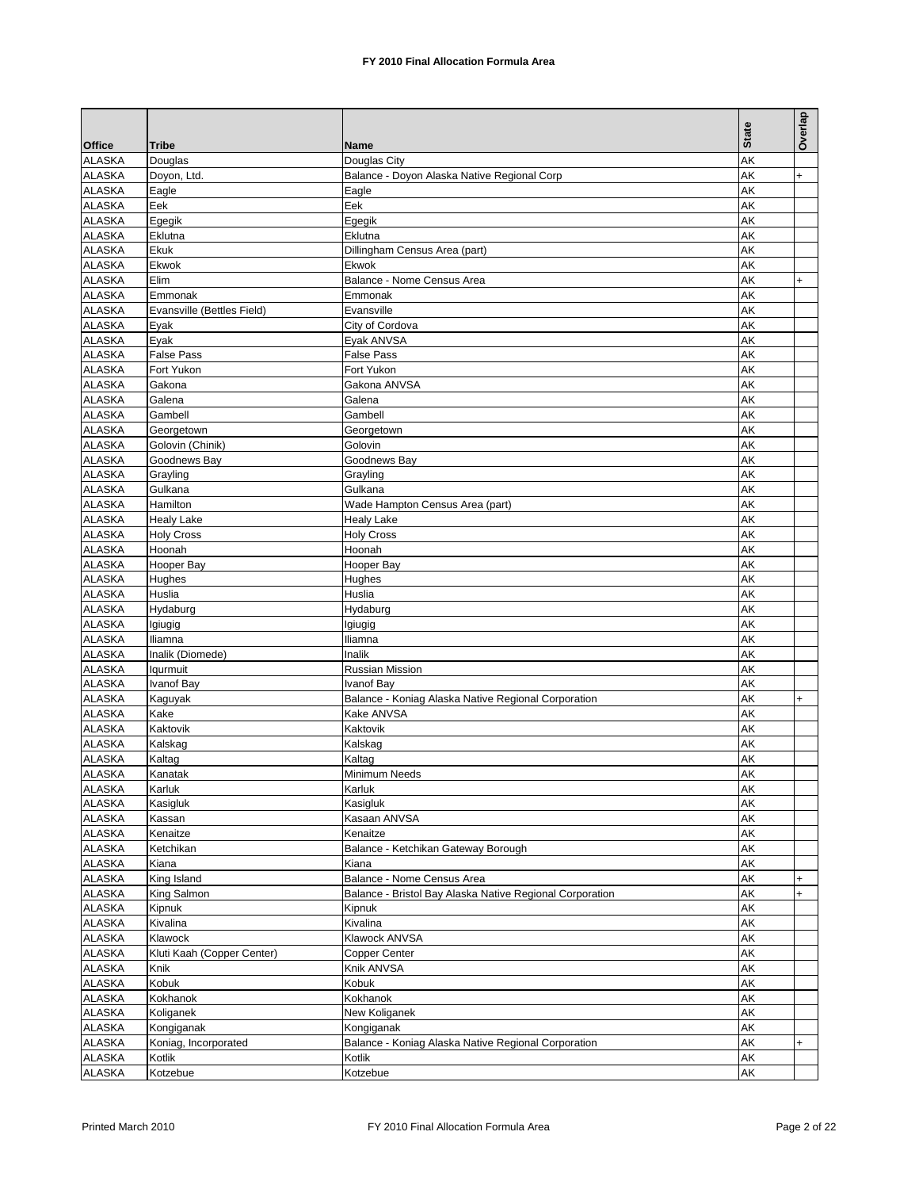|                                |                                    |                                                                   |              | Overlap   |
|--------------------------------|------------------------------------|-------------------------------------------------------------------|--------------|-----------|
|                                |                                    |                                                                   | <b>State</b> |           |
| <b>Office</b><br><b>ALASKA</b> | <b>Tribe</b><br>Douglas            | Name<br>Douglas City                                              | AK           |           |
| <b>ALASKA</b>                  | Doyon, Ltd.                        | Balance - Doyon Alaska Native Regional Corp                       | AK           | $\ddot{}$ |
| <b>ALASKA</b>                  | Eagle                              | Eagle                                                             | AK           |           |
| <b>ALASKA</b>                  | Eek                                | Eek                                                               | AK           |           |
| <b>ALASKA</b>                  | Egegik                             | Egegik                                                            | AK           |           |
| <b>ALASKA</b>                  | Eklutna                            | Eklutna                                                           | AK           |           |
| <b>ALASKA</b>                  | Ekuk                               | Dillingham Census Area (part)                                     | AK           |           |
| <b>ALASKA</b>                  | Ekwok                              | Ekwok                                                             | AK           |           |
| <b>ALASKA</b>                  | Elim                               | Balance - Nome Census Area                                        | AK           | $\ddot{}$ |
| <b>ALASKA</b>                  | Emmonak                            | Emmonak                                                           | AK           |           |
| <b>ALASKA</b>                  | Evansville (Bettles Field)         | Evansville                                                        | AK           |           |
| <b>ALASKA</b>                  | Eyak                               | City of Cordova                                                   | AK           |           |
| <b>ALASKA</b>                  | Eyak                               | Eyak ANVSA                                                        | AK           |           |
| <b>ALASKA</b>                  | <b>False Pass</b>                  | False Pass                                                        | AΚ           |           |
| <b>ALASKA</b>                  | Fort Yukon                         | Fort Yukon                                                        | AK           |           |
| <b>ALASKA</b><br><b>ALASKA</b> | Gakona                             | Gakona ANVSA                                                      | AK           |           |
| <b>ALASKA</b>                  | Galena                             | Galena<br>Gambell                                                 | AK<br>AK     |           |
| <b>ALASKA</b>                  | Gambell                            | Georgetown                                                        | AK           |           |
| <b>ALASKA</b>                  | Georgetown<br>Golovin (Chinik)     | Golovin                                                           | AΚ           |           |
| <b>ALASKA</b>                  | Goodnews Bay                       | Goodnews Bay                                                      | AK           |           |
| <b>ALASKA</b>                  | Grayling                           | Grayling                                                          | AK           |           |
| <b>ALASKA</b>                  | Gulkana                            | Gulkana                                                           | AK           |           |
| <b>ALASKA</b>                  | Hamilton                           | Wade Hampton Census Area (part)                                   | AK           |           |
| <b>ALASKA</b>                  | <b>Healy Lake</b>                  | <b>Healy Lake</b>                                                 | AK           |           |
| <b>ALASKA</b>                  | <b>Holy Cross</b>                  | <b>Holy Cross</b>                                                 | AK           |           |
| <b>ALASKA</b>                  | Hoonah                             | Hoonah                                                            | AΚ           |           |
| <b>ALASKA</b>                  | Hooper Bay                         | Hooper Bay                                                        | AK           |           |
| ALASKA                         | Hughes                             | Hughes                                                            | AK           |           |
| <b>ALASKA</b>                  | Huslia                             | Huslia                                                            | AΚ           |           |
| ALASKA                         | Hydaburg                           | Hydaburg                                                          | AK           |           |
| ALASKA                         | Igiugig                            | Igiugig                                                           | AK           |           |
| <b>ALASKA</b>                  | lliamna                            | Iliamna                                                           | AK           |           |
| <b>ALASKA</b>                  | Inalik (Diomede)                   | <b>Inalik</b>                                                     | AK           |           |
| <b>ALASKA</b>                  | lqurmuit                           | Russian Mission                                                   | AK           |           |
| <b>ALASKA</b>                  | Ivanof Bay                         | Ivanof Bay                                                        | AK           |           |
| ALASKA                         | Kaguyak                            | Balance - Koniag Alaska Native Regional Corporation               | AΚ           | $\ddot{}$ |
| <b>ALASKA</b>                  | Kake<br>Kaktovik                   | Kake ANVSA<br>Kaktovik                                            | AΚ<br>AK     |           |
| ALASKA<br><b>ALASKA</b>        | Kalskag                            | Kalskag                                                           | AK           |           |
| <b>ALASKA</b>                  | Kaltag                             | Kaltag                                                            | AΚ           |           |
| <b>ALASKA</b>                  | Kanatak                            | <b>Minimum Needs</b>                                              | AK           |           |
| <b>ALASKA</b>                  | Karluk                             | Karluk                                                            | AK           |           |
| <b>ALASKA</b>                  | Kasigluk                           | Kasigluk                                                          | AΚ           |           |
| ALASKA                         | Kassan                             | Kasaan ANVSA                                                      | АK           |           |
| <b>ALASKA</b>                  | Kenaitze                           | Kenaitze                                                          | AK           |           |
| <b>ALASKA</b>                  | Ketchikan                          | Balance - Ketchikan Gateway Borough                               | AΚ           |           |
| <b>ALASKA</b>                  | Kiana                              | Kiana                                                             | AK           |           |
| <b>ALASKA</b>                  | King Island                        | Balance - Nome Census Area                                        | AΚ           | $\ddot{}$ |
| ALASKA                         | King Salmon                        | Balance - Bristol Bay Alaska Native Regional Corporation          | AΚ           | $\ddot{}$ |
| <b>ALASKA</b>                  | Kipnuk                             | Kipnuk                                                            | AK           |           |
| <b>ALASKA</b>                  | Kivalina                           | Kivalina                                                          | AΚ           |           |
| <b>ALASKA</b>                  | Klawock                            | Klawock ANVSA                                                     | AΚ           |           |
| <b>ALASKA</b>                  | Kluti Kaah (Copper Center)         | Copper Center                                                     | AK           |           |
| <b>ALASKA</b>                  | Knik                               | Knik ANVSA                                                        | AK           |           |
| <b>ALASKA</b>                  | Kobuk                              | Kobuk                                                             | AK           |           |
| <b>ALASKA</b><br><b>ALASKA</b> | Kokhanok                           | Kokhanok                                                          | AK           |           |
|                                | Koliganek                          | New Koliganek                                                     | AΚ           |           |
| <b>ALASKA</b><br><b>ALASKA</b> | Kongiganak<br>Koniag, Incorporated | Kongiganak<br>Balance - Koniag Alaska Native Regional Corporation | AΚ<br>AK     | $\ddot{}$ |
| <b>ALASKA</b>                  | Kotlik                             | Kotlik                                                            | AK           |           |
| <b>ALASKA</b>                  | Kotzebue                           | Kotzebue                                                          | AK           |           |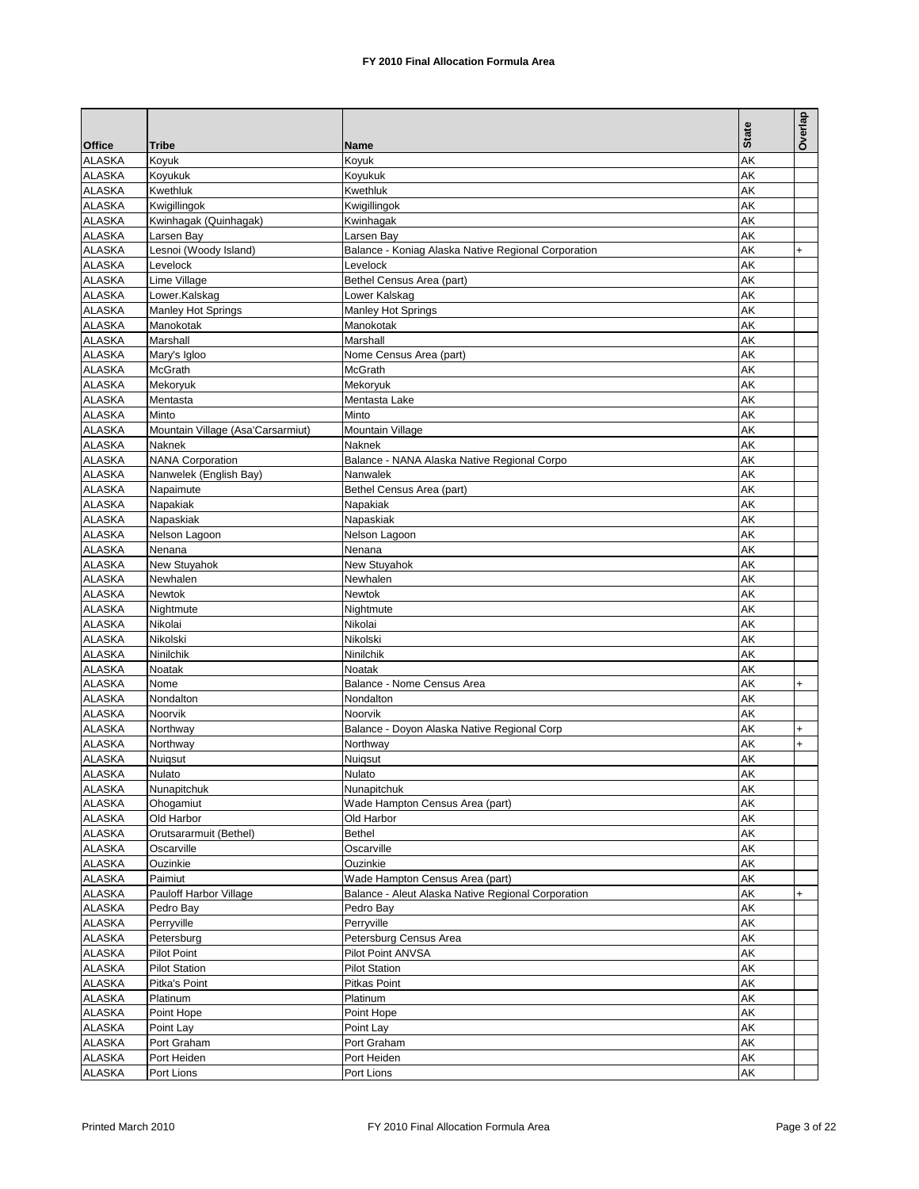|                                |                                   |                                                     | <b>State</b> | Overlap   |
|--------------------------------|-----------------------------------|-----------------------------------------------------|--------------|-----------|
| <b>Office</b><br><b>ALASKA</b> | <b>Tribe</b><br>Koyuk             | Name<br>Koyuk                                       | AK           |           |
| <b>ALASKA</b>                  | Koyukuk                           | Koyukuk                                             | AK           |           |
| <b>ALASKA</b>                  | Kwethluk                          | Kwethluk                                            | AK           |           |
| <b>ALASKA</b>                  | Kwigillingok                      | Kwigillingok                                        | AK           |           |
| <b>ALASKA</b>                  | Kwinhagak (Quinhagak)             | Kwinhagak                                           | AK           |           |
| <b>ALASKA</b>                  | Larsen Bay                        | Larsen Bay                                          | AK           |           |
| <b>ALASKA</b>                  | Lesnoi (Woody Island)             | Balance - Koniag Alaska Native Regional Corporation | AK           | $\ddot{}$ |
| <b>ALASKA</b>                  | Levelock                          | Levelock                                            | AK           |           |
| <b>ALASKA</b>                  | Lime Village                      | Bethel Census Area (part)                           | AΚ           |           |
| <b>ALASKA</b>                  | Lower.Kalskag                     | Lower Kalskag                                       | AK           |           |
| <b>ALASKA</b>                  | Manley Hot Springs                | <b>Manley Hot Springs</b>                           | AΚ           |           |
| <b>ALASKA</b>                  | Manokotak                         | Manokotak                                           | AΚ           |           |
| <b>ALASKA</b>                  | Marshall                          | Marshall                                            | AK           |           |
| ALASKA                         | Mary's Igloo                      | Nome Census Area (part)                             | AΚ           |           |
| <b>ALASKA</b>                  | McGrath                           | McGrath                                             | AK           |           |
| <b>ALASKA</b>                  | Mekoryuk                          | Mekoryuk                                            | AK           |           |
| <b>ALASKA</b>                  | Mentasta                          | Mentasta Lake                                       | AK           |           |
| <b>ALASKA</b>                  | Minto                             | Minto                                               | AK           |           |
| <b>ALASKA</b>                  | Mountain Village (Asa'Carsarmiut) | Mountain Village                                    | AK           |           |
| <b>ALASKA</b>                  | Naknek                            | Naknek                                              | AΚ           |           |
| <b>ALASKA</b>                  | <b>NANA Corporation</b>           | Balance - NANA Alaska Native Regional Corpo         | AK           |           |
| <b>ALASKA</b>                  | Nanwelek (English Bay)            | Nanwalek                                            | AK           |           |
| <b>ALASKA</b>                  | Napaimute                         | Bethel Census Area (part)                           | AΚ           |           |
| <b>ALASKA</b>                  | Napakiak                          | Napakiak                                            | AK           |           |
| <b>ALASKA</b>                  | Napaskiak                         | Napaskiak                                           | AK           |           |
| <b>ALASKA</b>                  | Nelson Lagoon                     | Nelson Lagoon                                       | AK           |           |
| ALASKA                         | Nenana                            | Nenana                                              | AΚ           |           |
| <b>ALASKA</b>                  | New Stuyahok                      | New Stuyahok                                        | AK           |           |
| ALASKA                         | Newhalen                          | Newhalen                                            | AK           |           |
| <b>ALASKA</b>                  | Newtok                            | Newtok                                              | AΚ           |           |
| <b>ALASKA</b>                  | Nightmute                         | Nightmute                                           | AK           |           |
| <b>ALASKA</b>                  | Nikolai                           | Nikolai                                             | AK           |           |
| <b>ALASKA</b>                  | Nikolski                          | Nikolski                                            | AΚ           |           |
| <b>ALASKA</b>                  | Ninilchik                         | Ninilchik                                           | AK           |           |
| <b>ALASKA</b>                  | Noatak                            | Noatak                                              | AK           |           |
| <b>ALASKA</b>                  | Nome                              | Balance - Nome Census Area                          | AΚ           | $+$       |
| ALASKA                         | Nondalton                         | Nondalton                                           | AΚ           |           |
| <b>ALASKA</b>                  | Noorvik                           | Noorvik                                             | AK           |           |
| <b>ALASKA</b>                  | Northway                          | Balance - Doyon Alaska Native Regional Corp         | AK           | $\ddot{}$ |
| <b>ALASKA</b>                  | Northway                          | Northway                                            | AK           | $\ddot{}$ |
| <b>ALASKA</b>                  | Nuiqsut                           | Nuiqsut                                             | AΚ           |           |
| <b>ALASKA</b>                  | Nulato                            | Nulato                                              | AK           |           |
| <b>ALASKA</b>                  | Nunapitchuk                       | Nunapitchuk                                         | AK           |           |
| ALASKA                         | Ohogamiut                         | Wade Hampton Census Area (part)                     | AΚ           |           |
| ALASKA                         | Old Harbor                        | Old Harbor                                          | AΚ           |           |
| <b>ALASKA</b>                  | Orutsararmuit (Bethel)            | Bethel                                              | AK           |           |
| <b>ALASKA</b>                  | Oscarville                        | Oscarville                                          | AΚ           |           |
| <b>ALASKA</b>                  | Ouzinkie                          | Ouzinkie                                            | AK           |           |
| <b>ALASKA</b>                  | Paimiut                           | Wade Hampton Census Area (part)                     | AΚ           |           |
| <b>ALASKA</b>                  | Pauloff Harbor Village            | Balance - Aleut Alaska Native Regional Corporation  | AK           | $+$       |
| <b>ALASKA</b>                  | Pedro Bay                         | Pedro Bay                                           | AK           |           |
| <b>ALASKA</b>                  | Perryville                        | Perryville                                          | AΚ           |           |
| <b>ALASKA</b>                  | Petersburg                        | Petersburg Census Area                              | AK           |           |
| <b>ALASKA</b>                  | <b>Pilot Point</b>                | Pilot Point ANVSA                                   | AK           |           |
| <b>ALASKA</b>                  | <b>Pilot Station</b>              | <b>Pilot Station</b>                                | AΚ           |           |
| <b>ALASKA</b>                  | Pitka's Point                     | Pitkas Point                                        | AK           |           |
| <b>ALASKA</b>                  | Platinum                          | Platinum                                            | AK           |           |
| <b>ALASKA</b>                  | Point Hope                        | Point Hope                                          | AK           |           |
| <b>ALASKA</b>                  | Point Lay                         | Point Lay                                           | AΚ           |           |
| <b>ALASKA</b>                  | Port Graham                       | Port Graham                                         | AK           |           |
| <b>ALASKA</b>                  | Port Heiden                       | Port Heiden                                         | AK           |           |
| <b>ALASKA</b>                  | Port Lions                        | Port Lions                                          | AK           |           |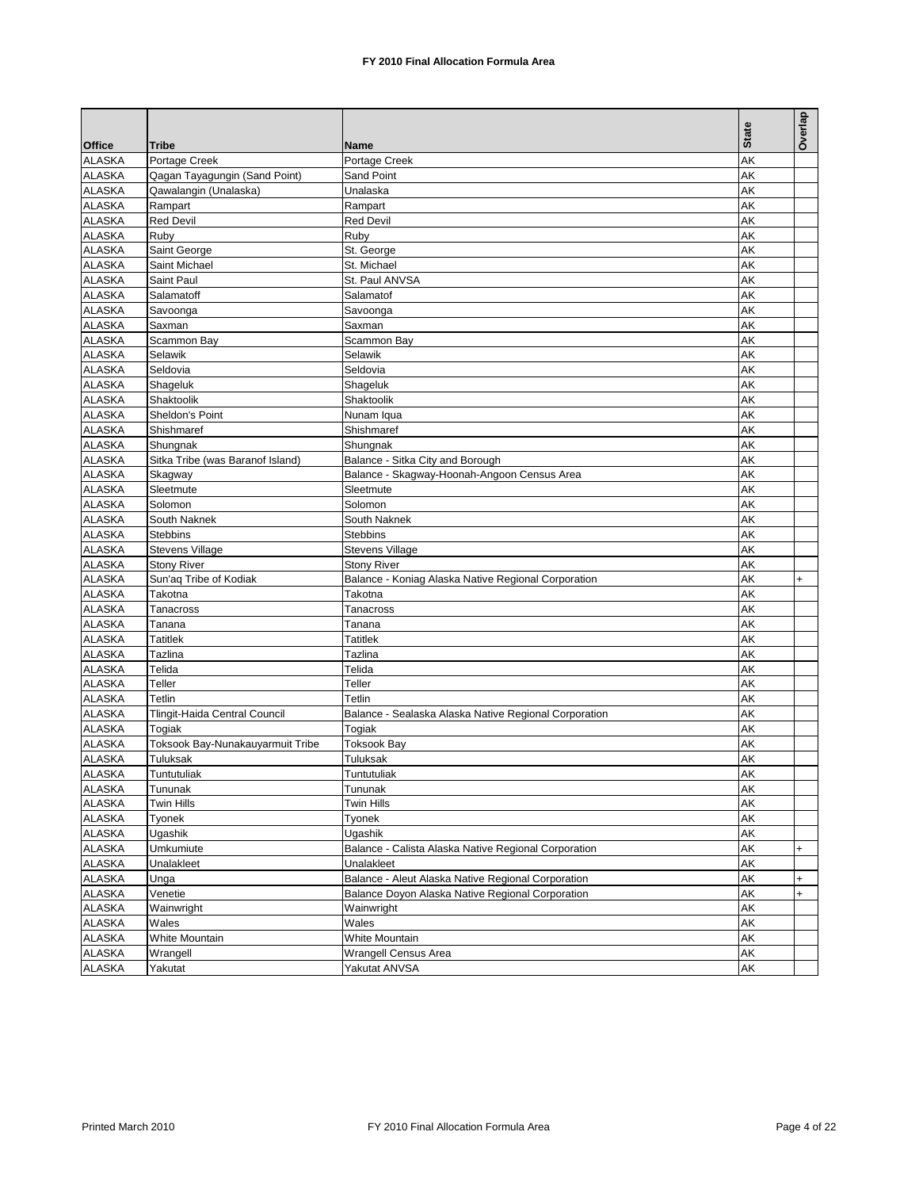|               |                                  |                                                       | <b>State</b> | Overlap   |
|---------------|----------------------------------|-------------------------------------------------------|--------------|-----------|
| <b>Office</b> | <b>Tribe</b>                     | Name                                                  |              |           |
| <b>ALASKA</b> | Portage Creek                    | Portage Creek                                         | AK           |           |
| <b>ALASKA</b> | Qagan Tayagungin (Sand Point)    | Sand Point                                            | AK           |           |
| <b>ALASKA</b> | Qawalangin (Unalaska)            | Unalaska                                              | AΚ           |           |
| <b>ALASKA</b> | Rampart                          | Rampart                                               | AK           |           |
| <b>ALASKA</b> | <b>Red Devil</b>                 | <b>Red Devil</b>                                      | AK           |           |
| <b>ALASKA</b> | Ruby                             | Ruby                                                  | AΚ           |           |
| <b>ALASKA</b> | Saint George                     | St. George                                            | AK           |           |
| <b>ALASKA</b> | Saint Michael                    | St. Michael                                           | AK           |           |
| <b>ALASKA</b> | Saint Paul                       | St. Paul ANVSA                                        | AK           |           |
| <b>ALASKA</b> | Salamatoff                       | Salamatof                                             | AK           |           |
| <b>ALASKA</b> | Savoonga                         | Savoonga                                              | AK           |           |
| <b>ALASKA</b> | Saxman                           | Saxman                                                | AK           |           |
| <b>ALASKA</b> | Scammon Bay                      | Scammon Bay                                           | AK           |           |
| <b>ALASKA</b> | Selawik                          | Selawik                                               | AK           |           |
| <b>ALASKA</b> | Seldovia                         | Seldovia                                              | AK           |           |
| <b>ALASKA</b> | Shageluk                         | Shageluk                                              | AK           |           |
| <b>ALASKA</b> | Shaktoolik                       | Shaktoolik                                            | AK           |           |
| <b>ALASKA</b> | Sheldon's Point                  | Nunam Iqua                                            | AK           |           |
| <b>ALASKA</b> | Shishmaref                       | Shishmaref                                            | AK           |           |
| <b>ALASKA</b> | Shungnak                         | Shungnak                                              | AK           |           |
| <b>ALASKA</b> | Sitka Tribe (was Baranof Island) | Balance - Sitka City and Borough                      | AK           |           |
| <b>ALASKA</b> | Skagway                          | Balance - Skagway-Hoonah-Angoon Census Area           | AK           |           |
| <b>ALASKA</b> | Sleetmute                        | Sleetmute                                             | AK           |           |
| <b>ALASKA</b> | Solomon                          | Solomon                                               | AK           |           |
| <b>ALASKA</b> | South Naknek                     | South Naknek                                          | AK           |           |
| <b>ALASKA</b> | <b>Stebbins</b>                  | <b>Stebbins</b>                                       | AK           |           |
| <b>ALASKA</b> | <b>Stevens Village</b>           | <b>Stevens Village</b>                                | AΚ           |           |
| <b>ALASKA</b> | <b>Stony River</b>               | <b>Stony River</b>                                    | AK           |           |
| <b>ALASKA</b> | Sun'ag Tribe of Kodiak           | Balance - Koniag Alaska Native Regional Corporation   | AK           | $+$       |
| <b>ALASKA</b> | Takotna                          | Takotna                                               | AK           |           |
| <b>ALASKA</b> | Tanacross                        | Tanacross                                             | AK           |           |
| <b>ALASKA</b> | Tanana                           | Tanana                                                | AK           |           |
| <b>ALASKA</b> | <b>Tatitlek</b>                  | Tatitlek                                              | AK           |           |
| <b>ALASKA</b> | Tazlina                          | Tazlina                                               | AK           |           |
| <b>ALASKA</b> | Telida                           | Telida                                                | AK           |           |
| <b>ALASKA</b> | Teller                           | Teller                                                | AK           |           |
| <b>ALASKA</b> | Tetlin                           | Tetlin                                                | AK           |           |
| <b>ALASKA</b> | Tlingit-Haida Central Council    | Balance - Sealaska Alaska Native Regional Corporation | AK           |           |
| <b>ALASKA</b> | Togiak                           | Togiak                                                | AK           |           |
| <b>ALASKA</b> | Toksook Bay-Nunakauyarmuit Tribe | <b>Toksook Bay</b>                                    | <b>AK</b>    |           |
| <b>ALASKA</b> | Tuluksak                         | Tuluksak                                              | AΚ           |           |
| <b>ALASKA</b> | Tuntutuliak                      | Tuntutuliak                                           | AK           |           |
| <b>ALASKA</b> | Tununak                          | Tununak                                               | AK           |           |
| <b>ALASKA</b> | Twin Hills                       | Twin Hills                                            | AK           |           |
| ALASKA        | Tyonek                           | Tyonek                                                | AΚ           |           |
| <b>ALASKA</b> | Ugashik                          | Ugashik                                               | AK           |           |
| <b>ALASKA</b> | Umkumiute                        | Balance - Calista Alaska Native Regional Corporation  | AK           | $\ddot{}$ |
| <b>ALASKA</b> | Unalakleet                       | Unalakleet                                            | AΚ           |           |
| <b>ALASKA</b> | Unga                             | Balance - Aleut Alaska Native Regional Corporation    | AK           | +         |
| <b>ALASKA</b> | Venetie                          | Balance Doyon Alaska Native Regional Corporation      | AK           | $\ddot{}$ |
| <b>ALASKA</b> | Wainwright                       | Wainwright                                            | AK           |           |
| <b>ALASKA</b> | Wales                            | Wales                                                 | AK           |           |
| <b>ALASKA</b> | White Mountain                   | White Mountain                                        | AΚ           |           |
| <b>ALASKA</b> | Wrangell                         | Wrangell Census Area                                  | AK           |           |
| <b>ALASKA</b> | Yakutat                          | Yakutat ANVSA                                         | AK           |           |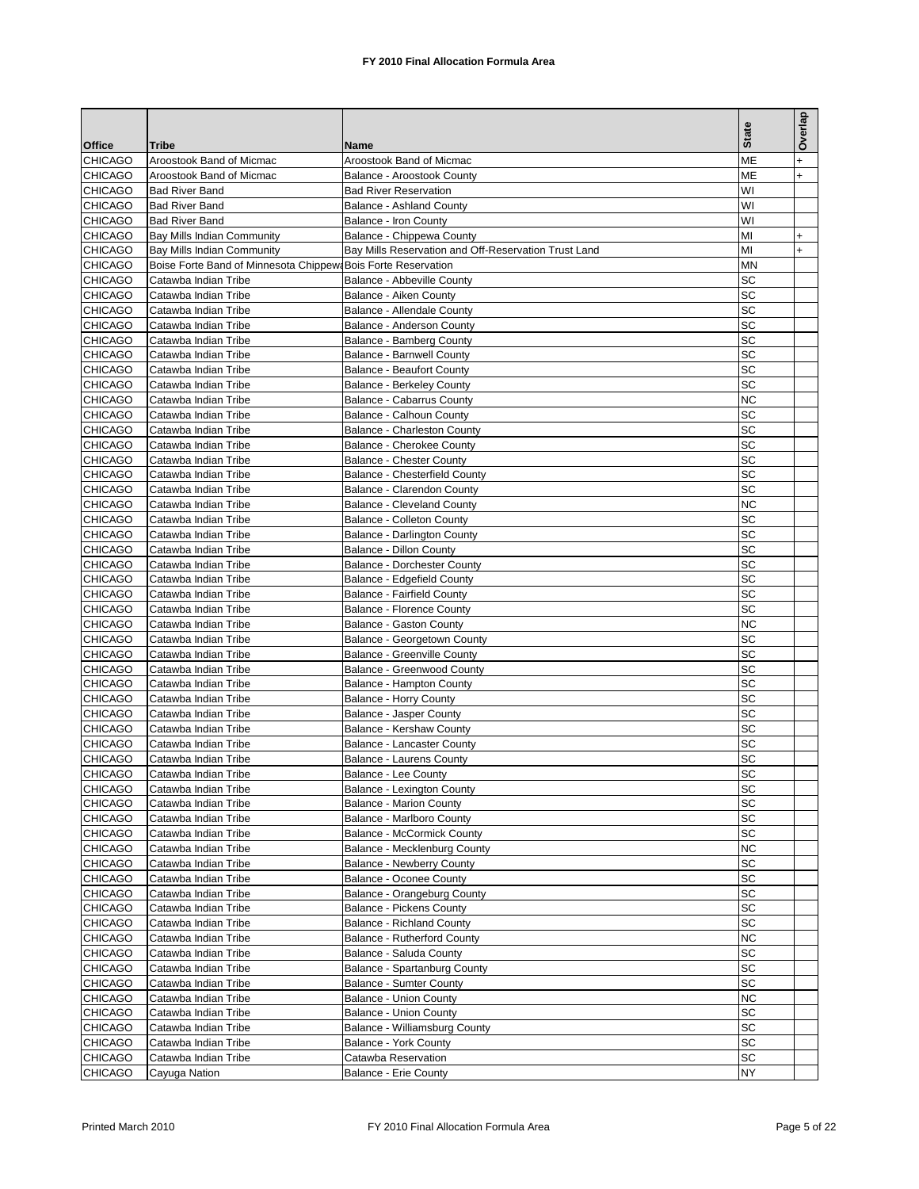|                                  |                                                               |                                                                | <b>State</b>    | Overlap          |
|----------------------------------|---------------------------------------------------------------|----------------------------------------------------------------|-----------------|------------------|
| <b>Office</b>                    | <b>Tribe</b><br>Aroostook Band of Micmac                      | Name<br>Aroostook Band of Micmac                               | ME              |                  |
| <b>CHICAGO</b><br>CHICAGO        | Aroostook Band of Micmac                                      | Balance - Aroostook County                                     | ME              | $\ddot{}$<br>$+$ |
| <b>CHICAGO</b>                   | <b>Bad River Band</b>                                         | <b>Bad River Reservation</b>                                   | WI              |                  |
| <b>CHICAGO</b>                   | <b>Bad River Band</b>                                         | Balance - Ashland County                                       | WI              |                  |
| <b>CHICAGO</b>                   | <b>Bad River Band</b>                                         | Balance - Iron County                                          | WI              |                  |
| <b>CHICAGO</b>                   | Bay Mills Indian Community                                    | Balance - Chippewa County                                      | MI              | $\ddot{}$        |
| <b>CHICAGO</b>                   | Bay Mills Indian Community                                    | Bay Mills Reservation and Off-Reservation Trust Land           | MI              | $\ddot{}$        |
| <b>CHICAGO</b>                   | Boise Forte Band of Minnesota Chippew: Bois Forte Reservation |                                                                | MN              |                  |
| <b>CHICAGO</b>                   | Catawba Indian Tribe                                          | Balance - Abbeville County                                     | SC              |                  |
| <b>CHICAGO</b>                   | Catawba Indian Tribe                                          | Balance - Aiken County                                         | SC              |                  |
| <b>CHICAGO</b>                   | Catawba Indian Tribe                                          | Balance - Allendale County                                     | SC              |                  |
| <b>CHICAGO</b>                   | Catawba Indian Tribe                                          | Balance - Anderson County                                      | SC              |                  |
| <b>CHICAGO</b>                   | Catawba Indian Tribe                                          | Balance - Bamberg County                                       | SC              |                  |
| <b>CHICAGO</b>                   | Catawba Indian Tribe                                          | <b>Balance - Barnwell County</b>                               | SC              |                  |
| <b>CHICAGO</b>                   | Catawba Indian Tribe                                          | <b>Balance - Beaufort County</b>                               | SC              |                  |
| <b>CHICAGO</b>                   | Catawba Indian Tribe                                          | Balance - Berkeley County                                      | SC              |                  |
| <b>CHICAGO</b>                   | Catawba Indian Tribe                                          | Balance - Cabarrus County                                      | <b>NC</b>       |                  |
| <b>CHICAGO</b>                   | Catawba Indian Tribe                                          | Balance - Calhoun County                                       | SC              |                  |
| <b>CHICAGO</b>                   | Catawba Indian Tribe                                          | <b>Balance - Charleston County</b>                             | SC              |                  |
| <b>CHICAGO</b>                   | Catawba Indian Tribe                                          | Balance - Cherokee County                                      | SC              |                  |
| <b>CHICAGO</b>                   | Catawba Indian Tribe                                          | <b>Balance - Chester County</b>                                | SC              |                  |
| <b>CHICAGO</b>                   | Catawba Indian Tribe                                          | Balance - Chesterfield County                                  | <b>SC</b>       |                  |
| <b>CHICAGO</b>                   | Catawba Indian Tribe                                          | Balance - Clarendon County                                     | SC              |                  |
| <b>CHICAGO</b><br><b>CHICAGO</b> | Catawba Indian Tribe                                          | <b>Balance - Cleveland County</b><br>Balance - Colleton County | <b>NC</b><br>SC |                  |
| <b>CHICAGO</b>                   | Catawba Indian Tribe<br>Catawba Indian Tribe                  | Balance - Darlington County                                    | SC              |                  |
| <b>CHICAGO</b>                   | Catawba Indian Tribe                                          | <b>Balance - Dillon County</b>                                 | SC              |                  |
| <b>CHICAGO</b>                   | Catawba Indian Tribe                                          | <b>Balance - Dorchester County</b>                             | SC              |                  |
| <b>CHICAGO</b>                   | Catawba Indian Tribe                                          | Balance - Edgefield County                                     | SC              |                  |
| <b>CHICAGO</b>                   | Catawba Indian Tribe                                          | <b>Balance - Fairfield County</b>                              | SC              |                  |
| <b>CHICAGO</b>                   | Catawba Indian Tribe                                          | Balance - Florence County                                      | SC              |                  |
| <b>CHICAGO</b>                   | Catawba Indian Tribe                                          | Balance - Gaston County                                        | <b>NC</b>       |                  |
| <b>CHICAGO</b>                   | Catawba Indian Tribe                                          | Balance - Georgetown County                                    | SC              |                  |
| <b>CHICAGO</b>                   | Catawba Indian Tribe                                          | Balance - Greenville County                                    | SC              |                  |
| <b>CHICAGO</b>                   | Catawba Indian Tribe                                          | Balance - Greenwood County                                     | SC              |                  |
| <b>CHICAGO</b>                   | Catawba Indian Tribe                                          | Balance - Hampton County                                       | SC              |                  |
| <b>CHICAGO</b>                   | Catawba Indian Tribe                                          | <b>Balance - Horry County</b>                                  | SC              |                  |
| <b>CHICAGO</b>                   | Catawba Indian Tribe                                          | <b>Balance - Jasper County</b>                                 | SC              |                  |
| <b>CHICAGO</b>                   | Catawba Indian Tribe                                          | Balance - Kershaw County                                       | SC              |                  |
| <b>CHICAGO</b>                   | Catawba Indian Tribe                                          | Balance - Lancaster County                                     | SC              |                  |
| <b>CHICAGO</b>                   | Catawba Indian Tribe                                          | Balance - Laurens County                                       | SC              |                  |
| <b>CHICAGO</b>                   | Catawba Indian Tribe                                          | <b>Balance - Lee County</b>                                    | SC              |                  |
| <b>CHICAGO</b>                   | Catawba Indian Tribe                                          | Balance - Lexington County                                     | <b>SC</b>       |                  |
| <b>CHICAGO</b>                   | Catawba Indian Tribe                                          | <b>Balance - Marion County</b>                                 | SC              |                  |
| <b>CHICAGO</b>                   | Catawba Indian Tribe                                          | Balance - Marlboro County                                      | SC              |                  |
| <b>CHICAGO</b><br><b>CHICAGO</b> | Catawba Indian Tribe<br>Catawba Indian Tribe                  | <b>Balance - McCormick County</b>                              | SC<br><b>NC</b> |                  |
| <b>CHICAGO</b>                   |                                                               | Balance - Mecklenburg County                                   | SC              |                  |
| <b>CHICAGO</b>                   | Catawba Indian Tribe<br>Catawba Indian Tribe                  | <b>Balance - Newberry County</b><br>Balance - Oconee County    | SC              |                  |
| <b>CHICAGO</b>                   | Catawba Indian Tribe                                          | Balance - Orangeburg County                                    | SC              |                  |
| <b>CHICAGO</b>                   | Catawba Indian Tribe                                          | <b>Balance - Pickens County</b>                                | SC              |                  |
| <b>CHICAGO</b>                   | Catawba Indian Tribe                                          | <b>Balance - Richland County</b>                               | SC              |                  |
| <b>CHICAGO</b>                   | Catawba Indian Tribe                                          | Balance - Rutherford County                                    | <b>NC</b>       |                  |
| <b>CHICAGO</b>                   | Catawba Indian Tribe                                          | Balance - Saluda County                                        | SC              |                  |
| <b>CHICAGO</b>                   | Catawba Indian Tribe                                          | Balance - Spartanburg County                                   | SC              |                  |
| <b>CHICAGO</b>                   | Catawba Indian Tribe                                          | <b>Balance - Sumter County</b>                                 | SC              |                  |
| <b>CHICAGO</b>                   | Catawba Indian Tribe                                          | <b>Balance - Union County</b>                                  | NC              |                  |
| <b>CHICAGO</b>                   | Catawba Indian Tribe                                          | Balance - Union County                                         | SC              |                  |
| <b>CHICAGO</b>                   | Catawba Indian Tribe                                          | Balance - Williamsburg County                                  | SC              |                  |
| <b>CHICAGO</b>                   | Catawba Indian Tribe                                          | <b>Balance - York County</b>                                   | <b>SC</b>       |                  |
| <b>CHICAGO</b>                   | Catawba Indian Tribe                                          | Catawba Reservation                                            | SC              |                  |
| <b>CHICAGO</b>                   | Cayuga Nation                                                 | Balance - Erie County                                          | <b>NY</b>       |                  |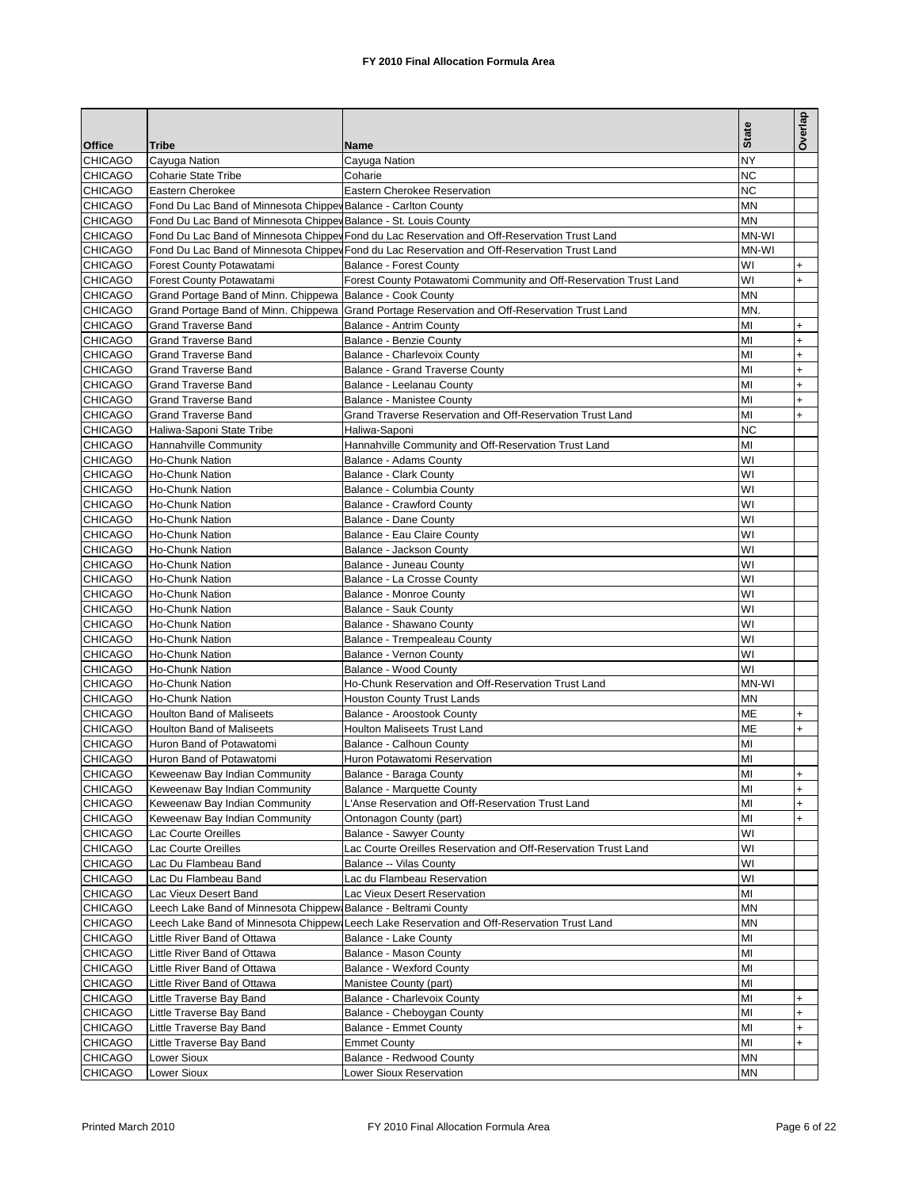|                                  |                                                                  |                                                                                               |              | Overlap   |
|----------------------------------|------------------------------------------------------------------|-----------------------------------------------------------------------------------------------|--------------|-----------|
| <b>Office</b>                    |                                                                  |                                                                                               | <b>State</b> |           |
| <b>CHICAGO</b>                   | <b>Tribe</b><br>Cayuga Nation                                    | Name<br>Cayuga Nation                                                                         | NY           |           |
| <b>CHICAGO</b>                   | <b>Coharie State Tribe</b>                                       | Coharie                                                                                       | <b>NC</b>    |           |
| <b>CHICAGO</b>                   | Eastern Cherokee                                                 | Eastern Cherokee Reservation                                                                  | ΝC           |           |
| <b>CHICAGO</b>                   | Fond Du Lac Band of Minnesota Chippey Balance - Carlton County   |                                                                                               | <b>MN</b>    |           |
| <b>CHICAGO</b>                   | Fond Du Lac Band of Minnesota Chippev Balance - St. Louis County |                                                                                               | <b>MN</b>    |           |
| <b>CHICAGO</b>                   |                                                                  | Fond Du Lac Band of Minnesota Chipper Fond du Lac Reservation and Off-Reservation Trust Land  | MN-WI        |           |
| <b>CHICAGO</b>                   |                                                                  | Fond Du Lac Band of Minnesota Chipper Fond du Lac Reservation and Off-Reservation Trust Land  | MN-WI        |           |
| <b>CHICAGO</b>                   | Forest County Potawatami                                         | <b>Balance - Forest County</b>                                                                | WI           | $\ddot{}$ |
| <b>CHICAGO</b>                   | Forest County Potawatami                                         | Forest County Potawatomi Community and Off-Reservation Trust Land                             | WI           | $+$       |
| <b>CHICAGO</b>                   | Grand Portage Band of Minn. Chippewa Balance - Cook County       |                                                                                               | <b>MN</b>    |           |
| <b>CHICAGO</b>                   |                                                                  | Grand Portage Band of Minn. Chippewa Grand Portage Reservation and Off-Reservation Trust Land | <b>MN</b>    |           |
| <b>CHICAGO</b>                   | Grand Traverse Band                                              | <b>Balance - Antrim County</b>                                                                | MI           | $\ddot{}$ |
| <b>CHICAGO</b>                   | <b>Grand Traverse Band</b>                                       | <b>Balance - Benzie County</b>                                                                | MI           | $\ddot{}$ |
| <b>CHICAGO</b>                   | <b>Grand Traverse Band</b>                                       | Balance - Charlevoix County                                                                   | MI           | $\ddot{}$ |
| CHICAGO                          | <b>Grand Traverse Band</b>                                       | Balance - Grand Traverse County                                                               | MI           | $\ddot{}$ |
| <b>CHICAGO</b>                   | <b>Grand Traverse Band</b>                                       | Balance - Leelanau County                                                                     | MI           | $\ddot{}$ |
| <b>CHICAGO</b>                   | <b>Grand Traverse Band</b>                                       | <b>Balance - Manistee County</b>                                                              | MI           | $\ddot{}$ |
| CHICAGO                          | <b>Grand Traverse Band</b>                                       | Grand Traverse Reservation and Off-Reservation Trust Land                                     | MI           | $\ddot{}$ |
| <b>CHICAGO</b>                   | Haliwa-Saponi State Tribe                                        | Haliwa-Saponi                                                                                 | <b>NC</b>    |           |
| <b>CHICAGO</b>                   | Hannahville Community                                            | Hannahville Community and Off-Reservation Trust Land                                          | MI           |           |
| <b>CHICAGO</b>                   | Ho-Chunk Nation                                                  | Balance - Adams County                                                                        | WI           |           |
| <b>CHICAGO</b>                   | Ho-Chunk Nation                                                  | <b>Balance - Clark County</b>                                                                 | WI           |           |
| CHICAGO<br><b>CHICAGO</b>        | Ho-Chunk Nation                                                  | Balance - Columbia County                                                                     | WI<br>WI     |           |
| <b>CHICAGO</b>                   | Ho-Chunk Nation<br>Ho-Chunk Nation                               | <b>Balance - Crawford County</b>                                                              | WI           |           |
| CHICAGO                          | Ho-Chunk Nation                                                  | <b>Balance - Dane County</b><br>Balance - Eau Claire County                                   | WI           |           |
| <b>CHICAGO</b>                   | Ho-Chunk Nation                                                  | Balance - Jackson County                                                                      | WI           |           |
| <b>CHICAGO</b>                   | Ho-Chunk Nation                                                  | Balance - Juneau County                                                                       | WI           |           |
| CHICAGO                          | Ho-Chunk Nation                                                  | Balance - La Crosse County                                                                    | WI           |           |
| <b>CHICAGO</b>                   | Ho-Chunk Nation                                                  | Balance - Monroe County                                                                       | WI           |           |
| <b>CHICAGO</b>                   | Ho-Chunk Nation                                                  | <b>Balance - Sauk County</b>                                                                  | WI           |           |
| CHICAGO                          | Ho-Chunk Nation                                                  | Balance - Shawano County                                                                      | WI           |           |
| <b>CHICAGO</b>                   | <b>Ho-Chunk Nation</b>                                           | Balance - Trempealeau County                                                                  | WI           |           |
| <b>CHICAGO</b>                   | Ho-Chunk Nation                                                  | Balance - Vernon County                                                                       | WI           |           |
| CHICAGO                          | Ho-Chunk Nation                                                  | Balance - Wood County                                                                         | WI           |           |
| <b>CHICAGO</b>                   | Ho-Chunk Nation                                                  | Ho-Chunk Reservation and Off-Reservation Trust Land                                           | MN-WI        |           |
| <b>CHICAGO</b>                   | <b>Ho-Chunk Nation</b>                                           | <b>Houston County Trust Lands</b>                                                             | MN           |           |
| CHICAGO                          | <b>Houlton Band of Maliseets</b>                                 | Balance - Aroostook County                                                                    | ME           | $\ddot{}$ |
| <b>CHICAGO</b>                   | <b>Houlton Band of Maliseets</b>                                 | <b>Houlton Maliseets Trust Land</b>                                                           | ME           | $\ddot{}$ |
| <b>CHICAGO</b>                   | Huron Band of Potawatomi                                         | Balance - Calhoun County                                                                      | MI           |           |
| CHICAGO                          | Huron Band of Potawatomi                                         | Huron Potawatomi Reservation                                                                  | МІ           |           |
| <b>CHICAGO</b>                   | Keweenaw Bay Indian Community                                    | Balance - Baraga County                                                                       | MI           | $\ddot{}$ |
| <b>CHICAGO</b>                   | Keweenaw Bay Indian Community                                    | Balance - Marquette County                                                                    | MI           | $\ddot{}$ |
| <b>CHICAGO</b>                   | Keweenaw Bay Indian Community                                    | L'Anse Reservation and Off-Reservation Trust Land                                             | MI           | $\ddot{}$ |
| <b>CHICAGO</b>                   | Keweenaw Bay Indian Community                                    | Ontonagon County (part)                                                                       | MI           | $\ddot{}$ |
| <b>CHICAGO</b>                   | Lac Courte Oreilles                                              | Balance - Sawyer County                                                                       | WI           |           |
| <b>CHICAGO</b>                   | Lac Courte Oreilles                                              | Lac Courte Oreilles Reservation and Off-Reservation Trust Land                                | WI           |           |
| <b>CHICAGO</b><br><b>CHICAGO</b> | Lac Du Flambeau Band<br>Lac Du Flambeau Band                     | Balance -- Vilas County<br>Lac du Flambeau Reservation                                        | W١<br>WI     |           |
| CHICAGO                          | Lac Vieux Desert Band                                            | Lac Vieux Desert Reservation                                                                  | MI           |           |
| <b>CHICAGO</b>                   | Leech Lake Band of Minnesota Chippew                             | Balance - Beltrami County                                                                     | MN           |           |
| <b>CHICAGO</b>                   | Leech Lake Band of Minnesota Chippew                             | Leech Lake Reservation and Off-Reservation Trust Land                                         | MN           |           |
| <b>CHICAGO</b>                   | Little River Band of Ottawa                                      | Balance - Lake County                                                                         | MI           |           |
| <b>CHICAGO</b>                   | Little River Band of Ottawa                                      | Balance - Mason County                                                                        | MI           |           |
| <b>CHICAGO</b>                   | Little River Band of Ottawa                                      | <b>Balance - Wexford County</b>                                                               | MI           |           |
| <b>CHICAGO</b>                   | Little River Band of Ottawa                                      | Manistee County (part)                                                                        | MI           |           |
| <b>CHICAGO</b>                   | Little Traverse Bay Band                                         | Balance - Charlevoix County                                                                   | МІ           | $\ddot{}$ |
| <b>CHICAGO</b>                   | Little Traverse Bay Band                                         | Balance - Cheboygan County                                                                    | MI           | $\ddot{}$ |
| <b>CHICAGO</b>                   | Little Traverse Bay Band                                         | Balance - Emmet County                                                                        | MI           | $\ddot{}$ |
| <b>CHICAGO</b>                   | Little Traverse Bay Band                                         | <b>Emmet County</b>                                                                           | MI           | $\ddot{}$ |
| <b>CHICAGO</b>                   | Lower Sioux                                                      | Balance - Redwood County                                                                      | <b>MN</b>    |           |
| <b>CHICAGO</b>                   | Lower Sioux                                                      | Lower Sioux Reservation                                                                       | <b>MN</b>    |           |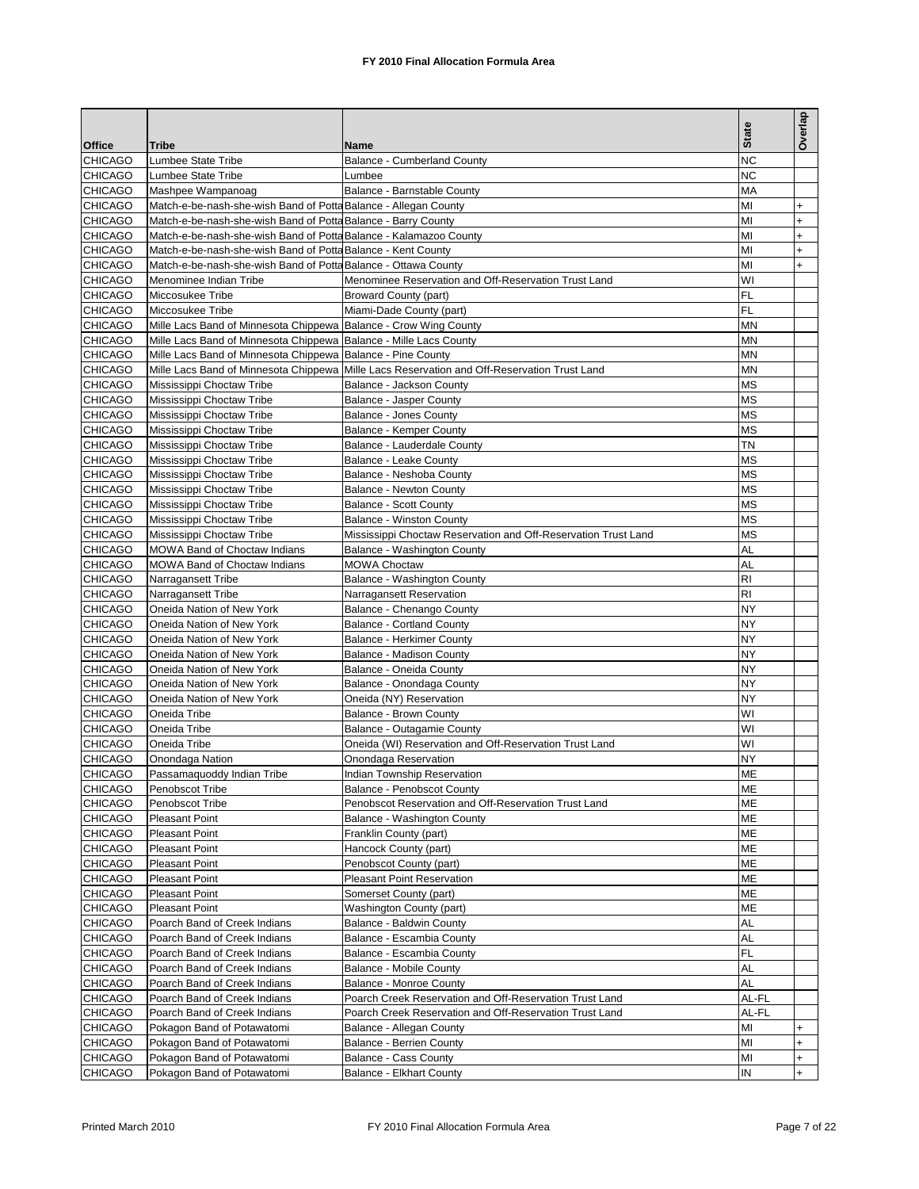| <b>Office</b>                    | <b>Tribe</b>                                                                                                                            | Name                                                                                        | <b>State</b>   | Overlap   |
|----------------------------------|-----------------------------------------------------------------------------------------------------------------------------------------|---------------------------------------------------------------------------------------------|----------------|-----------|
| <b>CHICAGO</b>                   | Lumbee State Tribe                                                                                                                      | <b>Balance - Cumberland County</b>                                                          | <b>NC</b>      |           |
| <b>CHICAGO</b>                   | Lumbee State Tribe                                                                                                                      | Lumbee                                                                                      | <b>NC</b>      |           |
| <b>CHICAGO</b>                   | Mashpee Wampanoag                                                                                                                       | Balance - Barnstable County                                                                 | MA             |           |
| <b>CHICAGO</b>                   | Match-e-be-nash-she-wish Band of Potta Balance - Allegan County                                                                         |                                                                                             | MI             | $\ddot{}$ |
| <b>CHICAGO</b>                   | Match-e-be-nash-she-wish Band of Potta Balance - Barry County                                                                           |                                                                                             | MI             | $\ddot{}$ |
| <b>CHICAGO</b>                   | Match-e-be-nash-she-wish Band of Potta Balance - Kalamazoo County                                                                       |                                                                                             | MI             | $\ddot{}$ |
| <b>CHICAGO</b>                   | Match-e-be-nash-she-wish Band of Potta Balance - Kent County                                                                            |                                                                                             | MI             | $\ddot{}$ |
| <b>CHICAGO</b>                   | Match-e-be-nash-she-wish Band of Potta Balance - Ottawa County                                                                          |                                                                                             | MI             | $\ddot{}$ |
| <b>CHICAGO</b>                   | Menominee Indian Tribe                                                                                                                  | Menominee Reservation and Off-Reservation Trust Land                                        | WI             |           |
| <b>CHICAGO</b>                   | Miccosukee Tribe                                                                                                                        | <b>Broward County (part)</b>                                                                | FL             |           |
| <b>CHICAGO</b>                   | Miccosukee Tribe                                                                                                                        | Miami-Dade County (part)                                                                    | FL             |           |
| <b>CHICAGO</b>                   |                                                                                                                                         |                                                                                             | MN             |           |
| <b>CHICAGO</b>                   | Mille Lacs Band of Minnesota Chippewa Balance - Crow Wing County<br>Mille Lacs Band of Minnesota Chippewa   Balance - Mille Lacs County |                                                                                             | MN             |           |
| <b>CHICAGO</b>                   | Mille Lacs Band of Minnesota Chippewa Balance - Pine County                                                                             |                                                                                             | <b>MN</b>      |           |
| <b>CHICAGO</b>                   |                                                                                                                                         | Mille Lacs Band of Minnesota Chippewa Mille Lacs Reservation and Off-Reservation Trust Land | <b>MN</b>      |           |
|                                  |                                                                                                                                         |                                                                                             | <b>MS</b>      |           |
| <b>CHICAGO</b><br><b>CHICAGO</b> | Mississippi Choctaw Tribe<br>Mississippi Choctaw Tribe                                                                                  | Balance - Jackson County<br>Balance - Jasper County                                         | <b>MS</b>      |           |
| <b>CHICAGO</b>                   |                                                                                                                                         | Balance - Jones County                                                                      | <b>MS</b>      |           |
|                                  | Mississippi Choctaw Tribe                                                                                                               |                                                                                             | <b>MS</b>      |           |
| <b>CHICAGO</b>                   | Mississippi Choctaw Tribe                                                                                                               | Balance - Kemper County                                                                     | TN             |           |
| <b>CHICAGO</b>                   | Mississippi Choctaw Tribe                                                                                                               | Balance - Lauderdale County                                                                 |                |           |
| <b>CHICAGO</b>                   | Mississippi Choctaw Tribe                                                                                                               | Balance - Leake County                                                                      | <b>MS</b>      |           |
| <b>CHICAGO</b>                   | Mississippi Choctaw Tribe                                                                                                               | Balance - Neshoba County                                                                    | <b>MS</b>      |           |
| <b>CHICAGO</b>                   | Mississippi Choctaw Tribe                                                                                                               | <b>Balance - Newton County</b>                                                              | <b>MS</b>      |           |
| <b>CHICAGO</b>                   | Mississippi Choctaw Tribe                                                                                                               | <b>Balance - Scott County</b>                                                               | <b>MS</b>      |           |
| <b>CHICAGO</b>                   | Mississippi Choctaw Tribe                                                                                                               | <b>Balance - Winston County</b>                                                             | <b>MS</b>      |           |
| <b>CHICAGO</b>                   | Mississippi Choctaw Tribe                                                                                                               | Mississippi Choctaw Reservation and Off-Reservation Trust Land                              | <b>MS</b>      |           |
| <b>CHICAGO</b>                   | <b>MOWA Band of Choctaw Indians</b>                                                                                                     | Balance - Washington County                                                                 | AL             |           |
| <b>CHICAGO</b>                   | MOWA Band of Choctaw Indians                                                                                                            | <b>MOWA Choctaw</b>                                                                         | AL             |           |
| <b>CHICAGO</b>                   | Narragansett Tribe                                                                                                                      | Balance - Washington County                                                                 | R <sub>l</sub> |           |
| <b>CHICAGO</b>                   | Narragansett Tribe                                                                                                                      | Narragansett Reservation                                                                    | R <sub>l</sub> |           |
| <b>CHICAGO</b>                   | Oneida Nation of New York                                                                                                               | Balance - Chenango County                                                                   | <b>NY</b>      |           |
| <b>CHICAGO</b>                   | Oneida Nation of New York                                                                                                               | <b>Balance - Cortland County</b>                                                            | <b>NY</b>      |           |
| <b>CHICAGO</b>                   | Oneida Nation of New York                                                                                                               | <b>Balance - Herkimer County</b>                                                            | <b>NY</b>      |           |
| <b>CHICAGO</b>                   | Oneida Nation of New York                                                                                                               | Balance - Madison County                                                                    | NY             |           |
| <b>CHICAGO</b>                   | Oneida Nation of New York                                                                                                               | Balance - Oneida County                                                                     | <b>NY</b>      |           |
| <b>CHICAGO</b>                   | Oneida Nation of New York                                                                                                               | Balance - Onondaga County                                                                   | <b>NY</b>      |           |
| <b>CHICAGO</b>                   | Oneida Nation of New York                                                                                                               | Oneida (NY) Reservation                                                                     | NY             |           |
| <b>CHICAGO</b>                   | Oneida Tribe                                                                                                                            | Balance - Brown County                                                                      | WI             |           |
| <b>CHICAGO</b>                   | Oneida Tribe                                                                                                                            | Balance - Outagamie County                                                                  | WI             |           |
| <b>CHICAGO</b>                   | Oneida Tribe                                                                                                                            | Oneida (WI) Reservation and Off-Reservation Trust Land                                      | WI             |           |
| <b>CHICAGO</b>                   | Onondaga Nation                                                                                                                         | Onondaga Reservation                                                                        | NY             |           |
| <b>CHICAGO</b>                   | Passamaquoddy Indian Tribe                                                                                                              | Indian Township Reservation                                                                 | <b>ME</b>      |           |
| <b>CHICAGO</b>                   | Penobscot Tribe                                                                                                                         | Balance - Penobscot County                                                                  | ME             |           |
| <b>CHICAGO</b>                   | Penobscot Tribe                                                                                                                         | Penobscot Reservation and Off-Reservation Trust Land                                        | ME             |           |
| <b>CHICAGO</b>                   | <b>Pleasant Point</b>                                                                                                                   | Balance - Washington County                                                                 | ME             |           |
| <b>CHICAGO</b>                   | <b>Pleasant Point</b>                                                                                                                   | Franklin County (part)                                                                      | ME             |           |
| <b>CHICAGO</b>                   | <b>Pleasant Point</b>                                                                                                                   | Hancock County (part)                                                                       | ME             |           |
| <b>CHICAGO</b>                   | <b>Pleasant Point</b>                                                                                                                   | Penobscot County (part)                                                                     | ME             |           |
| <b>CHICAGO</b>                   | <b>Pleasant Point</b>                                                                                                                   | <b>Pleasant Point Reservation</b>                                                           | ME             |           |
| <b>CHICAGO</b>                   | <b>Pleasant Point</b>                                                                                                                   | Somerset County (part)                                                                      | ME             |           |
| <b>CHICAGO</b>                   | <b>Pleasant Point</b>                                                                                                                   | Washington County (part)                                                                    | ME             |           |
| <b>CHICAGO</b>                   | Poarch Band of Creek Indians                                                                                                            | Balance - Baldwin County                                                                    | AL             |           |
| <b>CHICAGO</b>                   | Poarch Band of Creek Indians                                                                                                            | Balance - Escambia County                                                                   | <b>AL</b>      |           |
| <b>CHICAGO</b>                   | Poarch Band of Creek Indians                                                                                                            | Balance - Escambia County                                                                   | FL             |           |
| <b>CHICAGO</b>                   | Poarch Band of Creek Indians                                                                                                            | Balance - Mobile County                                                                     | AL             |           |
| <b>CHICAGO</b>                   | Poarch Band of Creek Indians                                                                                                            | Balance - Monroe County                                                                     | AL             |           |
| <b>CHICAGO</b>                   | Poarch Band of Creek Indians                                                                                                            | Poarch Creek Reservation and Off-Reservation Trust Land                                     | AL-FL          |           |
| <b>CHICAGO</b>                   | Poarch Band of Creek Indians                                                                                                            | Poarch Creek Reservation and Off-Reservation Trust Land                                     | AL-FL          |           |
| <b>CHICAGO</b>                   | Pokagon Band of Potawatomi                                                                                                              | Balance - Allegan County                                                                    | MI             | $\ddot{}$ |
| <b>CHICAGO</b>                   | Pokagon Band of Potawatomi                                                                                                              | <b>Balance - Berrien County</b>                                                             | MI             | $\ddot{}$ |
| <b>CHICAGO</b>                   | Pokagon Band of Potawatomi                                                                                                              | Balance - Cass County                                                                       | MI             | $\ddot{}$ |
| <b>CHICAGO</b>                   | Pokagon Band of Potawatomi                                                                                                              | Balance - Elkhart County                                                                    | IN             | $\ddot{}$ |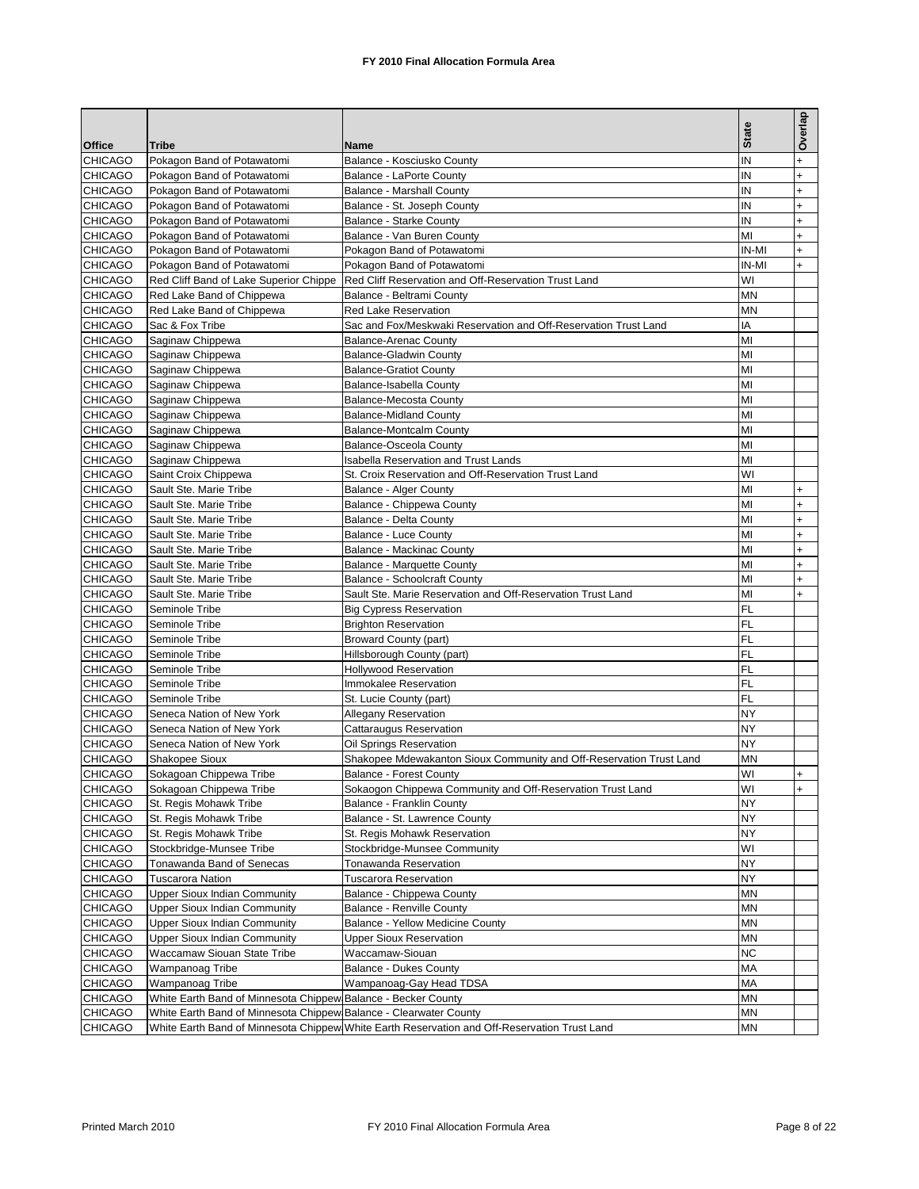|                                  |                                                                   |                                                                                              | <b>State</b> | Overlap        |
|----------------------------------|-------------------------------------------------------------------|----------------------------------------------------------------------------------------------|--------------|----------------|
| <b>Office</b>                    | <b>Tribe</b>                                                      | Name                                                                                         |              |                |
| <b>CHICAGO</b>                   | Pokagon Band of Potawatomi                                        | Balance - Kosciusko County                                                                   | IN           | $\ddot{}$      |
| <b>CHICAGO</b>                   | Pokagon Band of Potawatomi                                        | Balance - LaPorte County                                                                     | IN           | $\ddot{}$      |
| <b>CHICAGO</b>                   | Pokagon Band of Potawatomi                                        | <b>Balance - Marshall County</b>                                                             | IN           | $\ddot{}$      |
| <b>CHICAGO</b>                   | Pokagon Band of Potawatomi                                        | Balance - St. Joseph County                                                                  | IN           | $+$            |
| <b>CHICAGO</b>                   | Pokagon Band of Potawatomi                                        | <b>Balance - Starke County</b>                                                               | IN           | $\ddot{}$      |
| <b>CHICAGO</b>                   | Pokagon Band of Potawatomi                                        | Balance - Van Buren County                                                                   | MI           | $\ddot{}$      |
| <b>CHICAGO</b>                   | Pokagon Band of Potawatomi                                        | Pokagon Band of Potawatomi                                                                   | IN-MI        | $+$            |
| <b>CHICAGO</b>                   | Pokagon Band of Potawatomi                                        | Pokagon Band of Potawatomi                                                                   | IN-MI        | $\ddot{}$      |
| <b>CHICAGO</b>                   | Red Cliff Band of Lake Superior Chippe                            | Red Cliff Reservation and Off-Reservation Trust Land                                         | WI           |                |
| <b>CHICAGO</b>                   | Red Lake Band of Chippewa<br>Red Lake Band of Chippewa            | Balance - Beltrami County<br><b>Red Lake Reservation</b>                                     | MN           |                |
| <b>CHICAGO</b><br><b>CHICAGO</b> |                                                                   |                                                                                              | <b>MN</b>    |                |
|                                  | Sac & Fox Tribe                                                   | Sac and Fox/Meskwaki Reservation and Off-Reservation Trust Land                              | ΙA<br>MI     |                |
| <b>CHICAGO</b>                   | Saginaw Chippewa                                                  | <b>Balance-Arenac County</b>                                                                 | MI           |                |
| <b>CHICAGO</b><br><b>CHICAGO</b> | Saginaw Chippewa                                                  | <b>Balance-Gladwin County</b>                                                                | MI           |                |
|                                  | Saginaw Chippewa                                                  | <b>Balance-Gratiot County</b>                                                                |              |                |
| <b>CHICAGO</b><br><b>CHICAGO</b> | Saginaw Chippewa<br>Saginaw Chippewa                              | Balance-Isabella County<br><b>Balance-Mecosta County</b>                                     | MI<br>MI     |                |
| <b>CHICAGO</b>                   |                                                                   | <b>Balance-Midland County</b>                                                                | MI           |                |
|                                  | Saginaw Chippewa                                                  | <b>Balance-Montcalm County</b>                                                               |              |                |
| <b>CHICAGO</b><br><b>CHICAGO</b> | Saginaw Chippewa                                                  |                                                                                              | MI<br>MI     |                |
|                                  | Saginaw Chippewa                                                  | <b>Balance-Osceola County</b>                                                                |              |                |
| <b>CHICAGO</b>                   | Saginaw Chippewa<br>Saint Croix Chippewa                          | <b>Isabella Reservation and Trust Lands</b>                                                  | MI<br>WI     |                |
| <b>CHICAGO</b>                   | Sault Ste. Marie Tribe                                            | St. Croix Reservation and Off-Reservation Trust Land                                         |              |                |
| <b>CHICAGO</b><br><b>CHICAGO</b> | Sault Ste. Marie Tribe                                            | Balance - Alger County                                                                       | MI<br>MI     | $+$            |
|                                  | Sault Ste. Marie Tribe                                            | Balance - Chippewa County<br>Balance - Delta County                                          | MI           | +              |
| <b>CHICAGO</b><br><b>CHICAGO</b> | Sault Ste. Marie Tribe                                            |                                                                                              | MI           | $\ddot{}$      |
|                                  |                                                                   | Balance - Luce County                                                                        | MI           | $\ddot{}$      |
| <b>CHICAGO</b>                   | Sault Ste. Marie Tribe                                            | <b>Balance - Mackinac County</b>                                                             | MI           | $\ddot{}$      |
| <b>CHICAGO</b><br><b>CHICAGO</b> | Sault Ste. Marie Tribe<br>Sault Ste. Marie Tribe                  | Balance - Marquette County<br><b>Balance - Schoolcraft County</b>                            | MI           | $\ddot{}$      |
|                                  |                                                                   |                                                                                              | MI           | $+$            |
| <b>CHICAGO</b><br><b>CHICAGO</b> | Sault Ste. Marie Tribe<br>Seminole Tribe                          | Sault Ste. Marie Reservation and Off-Reservation Trust Land                                  | FL           | $\ddot{}$      |
| <b>CHICAGO</b>                   | Seminole Tribe                                                    | <b>Big Cypress Reservation</b><br><b>Brighton Reservation</b>                                | FL           |                |
| <b>CHICAGO</b>                   | Seminole Tribe                                                    | <b>Broward County (part)</b>                                                                 | FL           |                |
| <b>CHICAGO</b>                   | Seminole Tribe                                                    | Hillsborough County (part)                                                                   | FL           |                |
| <b>CHICAGO</b>                   | Seminole Tribe                                                    | <b>Hollywood Reservation</b>                                                                 | FL           |                |
| <b>CHICAGO</b>                   | Seminole Tribe                                                    | Immokalee Reservation                                                                        | FL           |                |
| <b>CHICAGO</b>                   | Seminole Tribe                                                    | St. Lucie County (part)                                                                      | FL           |                |
| <b>CHICAGO</b>                   | Seneca Nation of New York                                         | Allegany Reservation                                                                         | NY           |                |
| <b>CHICAGO</b>                   | Seneca Nation of New York                                         | Cattaraugus Reservation                                                                      | NY           |                |
| <b>CHICAGO</b>                   | Seneca Nation of New York                                         | Oil Springs Reservation                                                                      | NY           |                |
| <b>CHICAGO</b>                   | Shakopee Sioux                                                    | Shakopee Mdewakanton Sioux Community and Off-Reservation Trust Land                          | MN           |                |
| <b>CHICAGO</b>                   | Sokagoan Chippewa Tribe                                           | <b>Balance - Forest County</b>                                                               | WI           | $\overline{+}$ |
| <b>CHICAGO</b>                   | Sokagoan Chippewa Tribe                                           | Sokaogon Chippewa Community and Off-Reservation Trust Land                                   | WI           | $+$            |
| <b>CHICAGO</b>                   | St. Regis Mohawk Tribe                                            | Balance - Franklin County                                                                    | ΝY           |                |
| <b>CHICAGO</b>                   | St. Regis Mohawk Tribe                                            | Balance - St. Lawrence County                                                                | NΥ           |                |
| <b>CHICAGO</b>                   | St. Regis Mohawk Tribe                                            | St. Regis Mohawk Reservation                                                                 | NY           |                |
| <b>CHICAGO</b>                   | Stockbridge-Munsee Tribe                                          | Stockbridge-Munsee Community                                                                 | WI           |                |
| <b>CHICAGO</b>                   | Tonawanda Band of Senecas                                         | Tonawanda Reservation                                                                        | NΥ           |                |
| <b>CHICAGO</b>                   | <b>Tuscarora Nation</b>                                           | <b>Tuscarora Reservation</b>                                                                 | <b>NY</b>    |                |
| <b>CHICAGO</b>                   | <b>Upper Sioux Indian Community</b>                               | Balance - Chippewa County                                                                    | <b>MN</b>    |                |
| <b>CHICAGO</b>                   | <b>Upper Sioux Indian Community</b>                               | Balance - Renville County                                                                    | ΜN           |                |
| <b>CHICAGO</b>                   | <b>Upper Sioux Indian Community</b>                               | Balance - Yellow Medicine County                                                             | MN           |                |
| <b>CHICAGO</b>                   | <b>Upper Sioux Indian Community</b>                               | Upper Sioux Reservation                                                                      | <b>MN</b>    |                |
| <b>CHICAGO</b>                   | Waccamaw Siouan State Tribe                                       | Waccamaw-Siouan                                                                              | ΝC           |                |
| <b>CHICAGO</b>                   | Wampanoag Tribe                                                   | <b>Balance - Dukes County</b>                                                                | MA           |                |
| <b>CHICAGO</b>                   | Wampanoag Tribe                                                   | Wampanoag-Gay Head TDSA                                                                      | MA           |                |
| <b>CHICAGO</b>                   | White Earth Band of Minnesota Chippew Balance - Becker County     |                                                                                              | ΜN           |                |
| <b>CHICAGO</b>                   | White Earth Band of Minnesota Chippew Balance - Clearwater County |                                                                                              | MN           |                |
| <b>CHICAGO</b>                   |                                                                   | White Earth Band of Minnesota Chippew White Earth Reservation and Off-Reservation Trust Land | MN           |                |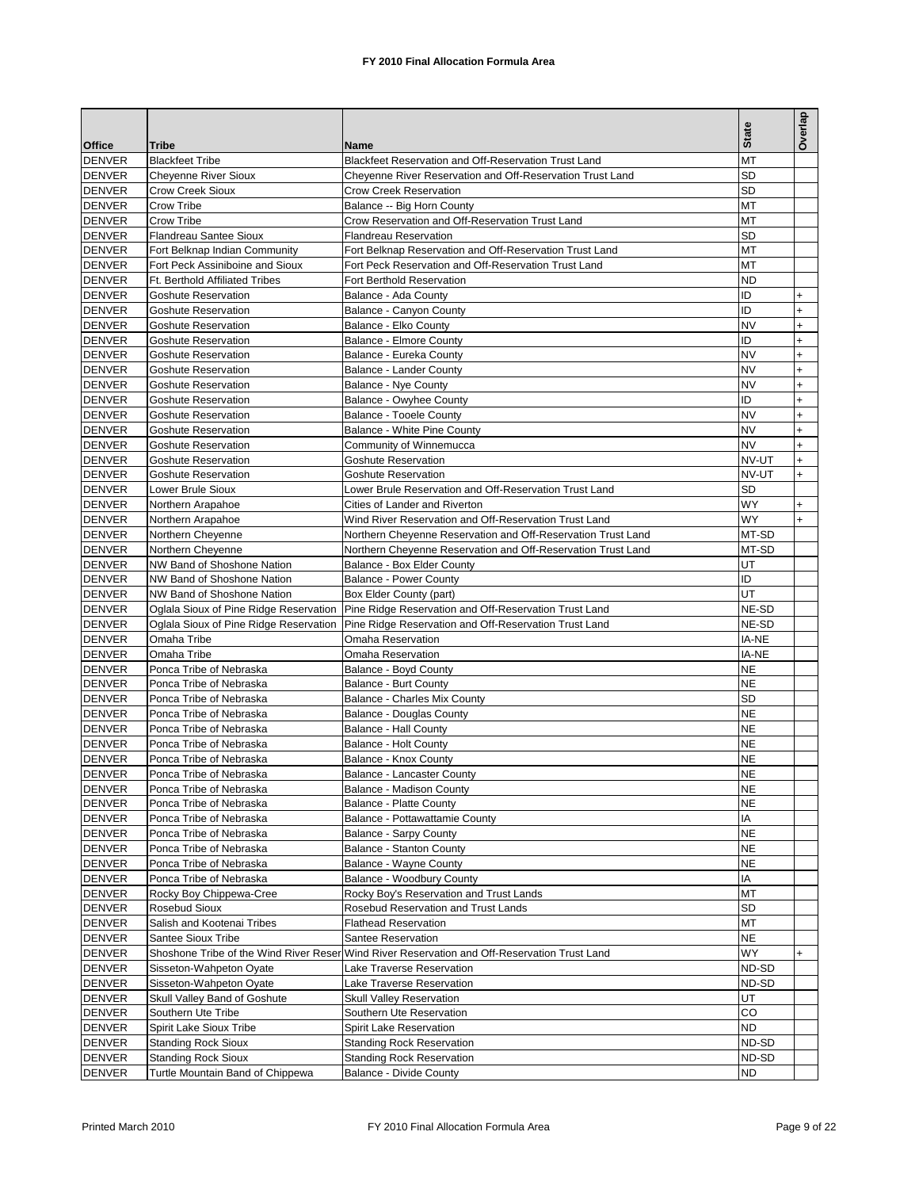|                                |                                                   |                                                                                                | <b>State</b>    | Overlap                |
|--------------------------------|---------------------------------------------------|------------------------------------------------------------------------------------------------|-----------------|------------------------|
| <b>Office</b>                  | <b>Tribe</b>                                      | Name                                                                                           |                 |                        |
| <b>DENVER</b>                  | <b>Blackfeet Tribe</b>                            | Blackfeet Reservation and Off-Reservation Trust Land                                           | MT              |                        |
| <b>DENVER</b>                  | <b>Cheyenne River Sioux</b>                       | Cheyenne River Reservation and Off-Reservation Trust Land                                      | <b>SD</b>       |                        |
| <b>DENVER</b>                  | <b>Crow Creek Sioux</b>                           | <b>Crow Creek Reservation</b>                                                                  | <b>SD</b>       |                        |
| <b>DENVER</b>                  | Crow Tribe                                        | Balance -- Big Horn County                                                                     | MT              |                        |
| <b>DENVER</b>                  | Crow Tribe                                        | Crow Reservation and Off-Reservation Trust Land                                                | MT              |                        |
| <b>DENVER</b>                  | <b>Flandreau Santee Sioux</b>                     | <b>Flandreau Reservation</b>                                                                   | <b>SD</b>       |                        |
| <b>DENVER</b>                  | Fort Belknap Indian Community                     | Fort Belknap Reservation and Off-Reservation Trust Land                                        | MT              |                        |
| <b>DENVER</b>                  | Fort Peck Assiniboine and Sioux                   | Fort Peck Reservation and Off-Reservation Trust Land                                           | MT              |                        |
| <b>DENVER</b>                  | Ft. Berthold Affiliated Tribes                    | Fort Berthold Reservation                                                                      | <b>ND</b>       |                        |
| <b>DENVER</b>                  | <b>Goshute Reservation</b>                        | Balance - Ada County                                                                           | ID<br>ID        | $\ddot{}$              |
| <b>DENVER</b>                  | Goshute Reservation                               | Balance - Canyon County                                                                        |                 | $\ddot{}$              |
| <b>DENVER</b>                  | <b>Goshute Reservation</b>                        | Balance - Elko County                                                                          | <b>NV</b><br>ID | $\ddot{}$              |
| <b>DENVER</b>                  | <b>Goshute Reservation</b>                        | Balance - Elmore County                                                                        | <b>NV</b>       | $\ddot{}$              |
| <b>DENVER</b>                  | Goshute Reservation                               | Balance - Eureka County<br>Balance - Lander County                                             | <b>NV</b>       | $\ddot{}$              |
| <b>DENVER</b>                  | Goshute Reservation<br><b>Goshute Reservation</b> |                                                                                                | <b>NV</b>       | $\ddot{}$              |
| <b>DENVER</b><br><b>DENVER</b> | Goshute Reservation                               | Balance - Nye County<br>Balance - Owyhee County                                                | ID              | $\ddot{}$<br>$\ddot{}$ |
| <b>DENVER</b>                  | <b>Goshute Reservation</b>                        | <b>Balance - Tooele County</b>                                                                 | <b>NV</b>       | $\ddot{}$              |
| <b>DENVER</b>                  | <b>Goshute Reservation</b>                        | Balance - White Pine County                                                                    | <b>NV</b>       | $\ddot{}$              |
| <b>DENVER</b>                  | Goshute Reservation                               | Community of Winnemucca                                                                        | <b>NV</b>       |                        |
| <b>DENVER</b>                  | <b>Goshute Reservation</b>                        | <b>Goshute Reservation</b>                                                                     | NV-UT           | $\ddot{}$              |
| <b>DENVER</b>                  | <b>Goshute Reservation</b>                        | Goshute Reservation                                                                            | NV-UT           | $\ddot{}$<br>+         |
| <b>DENVER</b>                  | Lower Brule Sioux                                 | Lower Brule Reservation and Off-Reservation Trust Land                                         | <b>SD</b>       |                        |
| <b>DENVER</b>                  | Northern Arapahoe                                 | Cities of Lander and Riverton                                                                  | WY              | $\ddot{}$              |
| <b>DENVER</b>                  | Northern Arapahoe                                 | Wind River Reservation and Off-Reservation Trust Land                                          | WY              |                        |
| <b>DENVER</b>                  | Northern Cheyenne                                 | Northern Cheyenne Reservation and Off-Reservation Trust Land                                   | MT-SD           |                        |
| <b>DENVER</b>                  | Northern Cheyenne                                 | Northern Cheyenne Reservation and Off-Reservation Trust Land                                   | MT-SD           |                        |
| <b>DENVER</b>                  | NW Band of Shoshone Nation                        | Balance - Box Elder County                                                                     | UT              |                        |
| <b>DENVER</b>                  | NW Band of Shoshone Nation                        | <b>Balance - Power County</b>                                                                  | ID              |                        |
| <b>DENVER</b>                  | NW Band of Shoshone Nation                        | Box Elder County (part)                                                                        | UT              |                        |
| <b>DENVER</b>                  |                                                   | Oglala Sioux of Pine Ridge Reservation   Pine Ridge Reservation and Off-Reservation Trust Land | NE-SD           |                        |
| <b>DENVER</b>                  | Oglala Sioux of Pine Ridge Reservation            | Pine Ridge Reservation and Off-Reservation Trust Land                                          | NE-SD           |                        |
| <b>DENVER</b>                  | Omaha Tribe                                       | Omaha Reservation                                                                              | IA-NE           |                        |
| <b>DENVER</b>                  | Omaha Tribe                                       | Omaha Reservation                                                                              | IA-NE           |                        |
| <b>DENVER</b>                  | Ponca Tribe of Nebraska                           | Balance - Boyd County                                                                          | <b>NE</b>       |                        |
| <b>DENVER</b>                  | Ponca Tribe of Nebraska                           | Balance - Burt County                                                                          | <b>NE</b>       |                        |
| <b>DENVER</b>                  | Ponca Tribe of Nebraska                           | Balance - Charles Mix County                                                                   | <b>SD</b>       |                        |
| <b>DENVER</b>                  | Ponca Tribe of Nebraska                           | <b>Balance - Douglas County</b>                                                                | <b>NE</b>       |                        |
| <b>DENVER</b>                  | Ponca Tribe of Nebraska                           | <b>Balance - Hall County</b>                                                                   | <b>NE</b>       |                        |
| <b>DENVER</b>                  | Ponca Tribe of Nebraska                           | Balance - Holt County                                                                          | <b>NE</b>       |                        |
| <b>DENVER</b>                  | Ponca Tribe of Nebraska                           | Balance - Knox County                                                                          | <b>NE</b>       |                        |
| <b>DENVER</b>                  | Ponca Tribe of Nebraska                           | Balance - Lancaster County                                                                     | <b>NE</b>       |                        |
| <b>DENVER</b>                  | Ponca Tribe of Nebraska                           | Balance - Madison County                                                                       | <b>NE</b>       |                        |
| <b>DENVER</b>                  | Ponca Tribe of Nebraska                           | <b>Balance - Platte County</b>                                                                 | NE              |                        |
| <b>DENVER</b>                  | Ponca Tribe of Nebraska                           | Balance - Pottawattamie County                                                                 | IA              |                        |
| <b>DENVER</b>                  | Ponca Tribe of Nebraska                           | Balance - Sarpy County                                                                         | <b>NE</b>       |                        |
| <b>DENVER</b>                  | Ponca Tribe of Nebraska                           | Balance - Stanton County                                                                       | <b>NE</b>       |                        |
| <b>DENVER</b>                  | Ponca Tribe of Nebraska                           | Balance - Wayne County                                                                         | <b>NE</b>       |                        |
| <b>DENVER</b>                  | Ponca Tribe of Nebraska                           | Balance - Woodbury County                                                                      | IA              |                        |
| <b>DENVER</b>                  | Rocky Boy Chippewa-Cree                           | Rocky Boy's Reservation and Trust Lands                                                        | MT              |                        |
| <b>DENVER</b>                  | Rosebud Sioux                                     | Rosebud Reservation and Trust Lands                                                            | <b>SD</b>       |                        |
| <b>DENVER</b>                  | Salish and Kootenai Tribes                        | <b>Flathead Reservation</b>                                                                    | MT              |                        |
| <b>DENVER</b>                  | Santee Sioux Tribe                                | Santee Reservation                                                                             | NE              |                        |
| <b>DENVER</b>                  |                                                   | Shoshone Tribe of the Wind River Reser Wind River Reservation and Off-Reservation Trust Land   | WY              | $\ddot{}$              |
| <b>DENVER</b>                  | Sisseton-Wahpeton Oyate                           | Lake Traverse Reservation                                                                      | ND-SD           |                        |
| <b>DENVER</b>                  | Sisseton-Wahpeton Oyate                           | Lake Traverse Reservation                                                                      | ND-SD           |                        |
| <b>DENVER</b>                  | Skull Valley Band of Goshute                      | <b>Skull Valley Reservation</b>                                                                | UT              |                        |
| <b>DENVER</b>                  | Southern Ute Tribe                                | Southern Ute Reservation                                                                       | CO              |                        |
| <b>DENVER</b>                  | Spirit Lake Sioux Tribe                           | Spirit Lake Reservation                                                                        | <b>ND</b>       |                        |
| <b>DENVER</b>                  | <b>Standing Rock Sioux</b>                        | <b>Standing Rock Reservation</b>                                                               | ND-SD           |                        |
| <b>DENVER</b>                  | <b>Standing Rock Sioux</b>                        | <b>Standing Rock Reservation</b>                                                               | ND-SD           |                        |
| <b>DENVER</b>                  | Turtle Mountain Band of Chippewa                  | <b>Balance - Divide County</b>                                                                 | <b>ND</b>       |                        |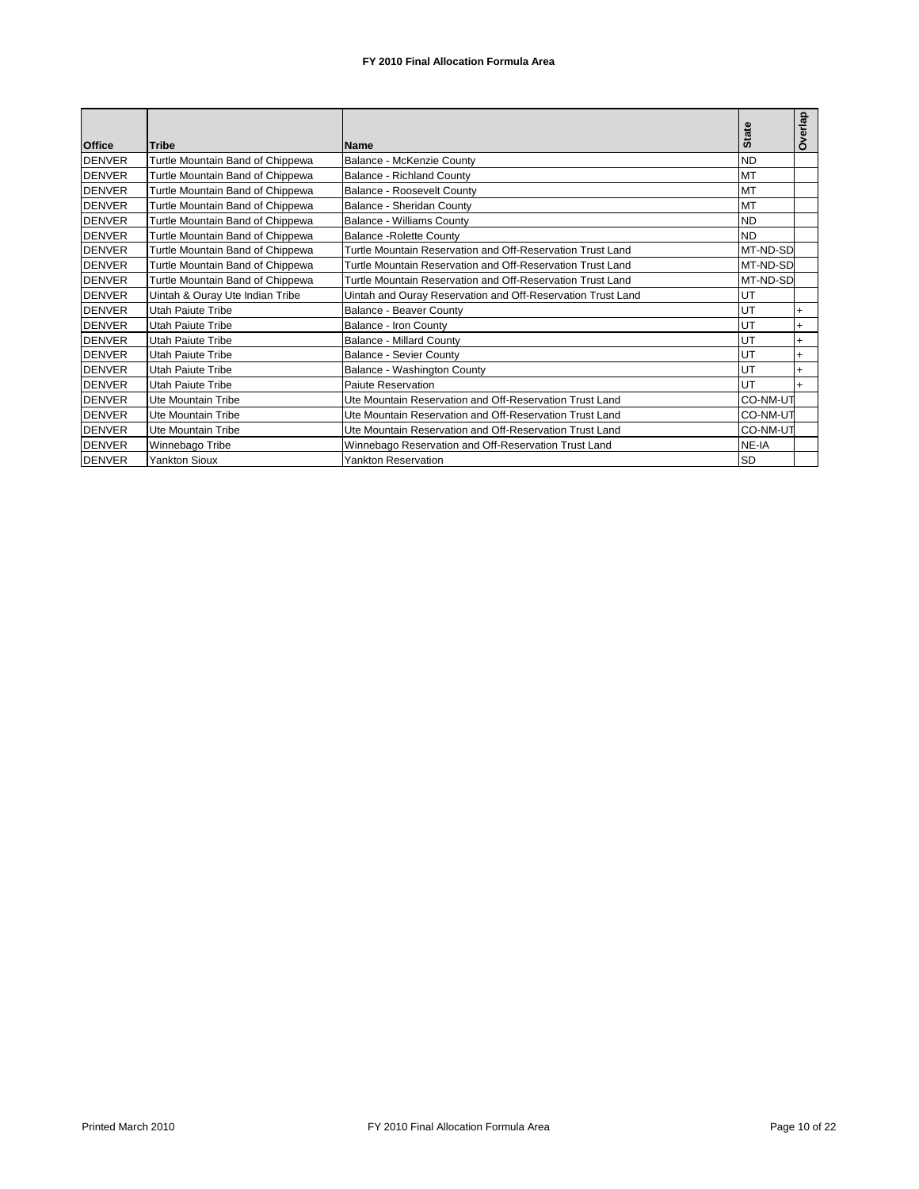|               |                                  |                                                             | <b>State</b> | Overlap   |
|---------------|----------------------------------|-------------------------------------------------------------|--------------|-----------|
| <b>Office</b> | Tribe                            | <b>Name</b>                                                 |              |           |
| <b>DENVER</b> | Turtle Mountain Band of Chippewa | Balance - McKenzie County                                   | <b>ND</b>    |           |
| <b>DENVER</b> | Turtle Mountain Band of Chippewa | <b>Balance - Richland County</b>                            | <b>MT</b>    |           |
| <b>DENVER</b> | Turtle Mountain Band of Chippewa | <b>Balance - Roosevelt County</b>                           | <b>MT</b>    |           |
| <b>DENVER</b> | Turtle Mountain Band of Chippewa | Balance - Sheridan County                                   | <b>MT</b>    |           |
| <b>DENVER</b> | Turtle Mountain Band of Chippewa | <b>Balance - Williams County</b>                            | <b>ND</b>    |           |
| <b>DENVER</b> | Turtle Mountain Band of Chippewa | <b>Balance - Rolette County</b>                             | <b>ND</b>    |           |
| <b>DENVER</b> | Turtle Mountain Band of Chippewa | Turtle Mountain Reservation and Off-Reservation Trust Land  | MT-ND-SD     |           |
| <b>DENVER</b> | Turtle Mountain Band of Chippewa | Turtle Mountain Reservation and Off-Reservation Trust Land  | MT-ND-SD     |           |
| <b>DENVER</b> | Turtle Mountain Band of Chippewa | Turtle Mountain Reservation and Off-Reservation Trust Land  | MT-ND-SD     |           |
| <b>DENVER</b> | Uintah & Ouray Ute Indian Tribe  | Uintah and Ouray Reservation and Off-Reservation Trust Land | UT           |           |
| <b>DENVER</b> | Utah Paiute Tribe                | Balance - Beaver County                                     | UT           | $\ddot{}$ |
| <b>DENVER</b> | Utah Paiute Tribe                | Balance - Iron County                                       | UT           | $\ddot{}$ |
| <b>DENVER</b> | Utah Paiute Tribe                | <b>Balance - Millard County</b>                             | UT           | $\ddot{}$ |
| <b>DENVER</b> | Utah Paiute Tribe                | <b>Balance - Sevier County</b>                              | UT           | $\ddot{}$ |
| <b>DENVER</b> | Utah Paiute Tribe                | Balance - Washington County                                 | UT           |           |
| <b>DENVER</b> | Utah Paiute Tribe                | Paiute Reservation                                          | UT           |           |
| <b>DENVER</b> | Ute Mountain Tribe               | Ute Mountain Reservation and Off-Reservation Trust Land     | CO-NM-UT     |           |
| <b>DENVER</b> | Ute Mountain Tribe               | Ute Mountain Reservation and Off-Reservation Trust Land     | CO-NM-UT     |           |
| <b>DENVER</b> | Ute Mountain Tribe               | Ute Mountain Reservation and Off-Reservation Trust Land     | CO-NM-UT     |           |
| <b>DENVER</b> | Winnebago Tribe                  | Winnebago Reservation and Off-Reservation Trust Land        | NE-IA        |           |
| <b>DENVER</b> | <b>Yankton Sioux</b>             | <b>Yankton Reservation</b>                                  | <b>SD</b>    |           |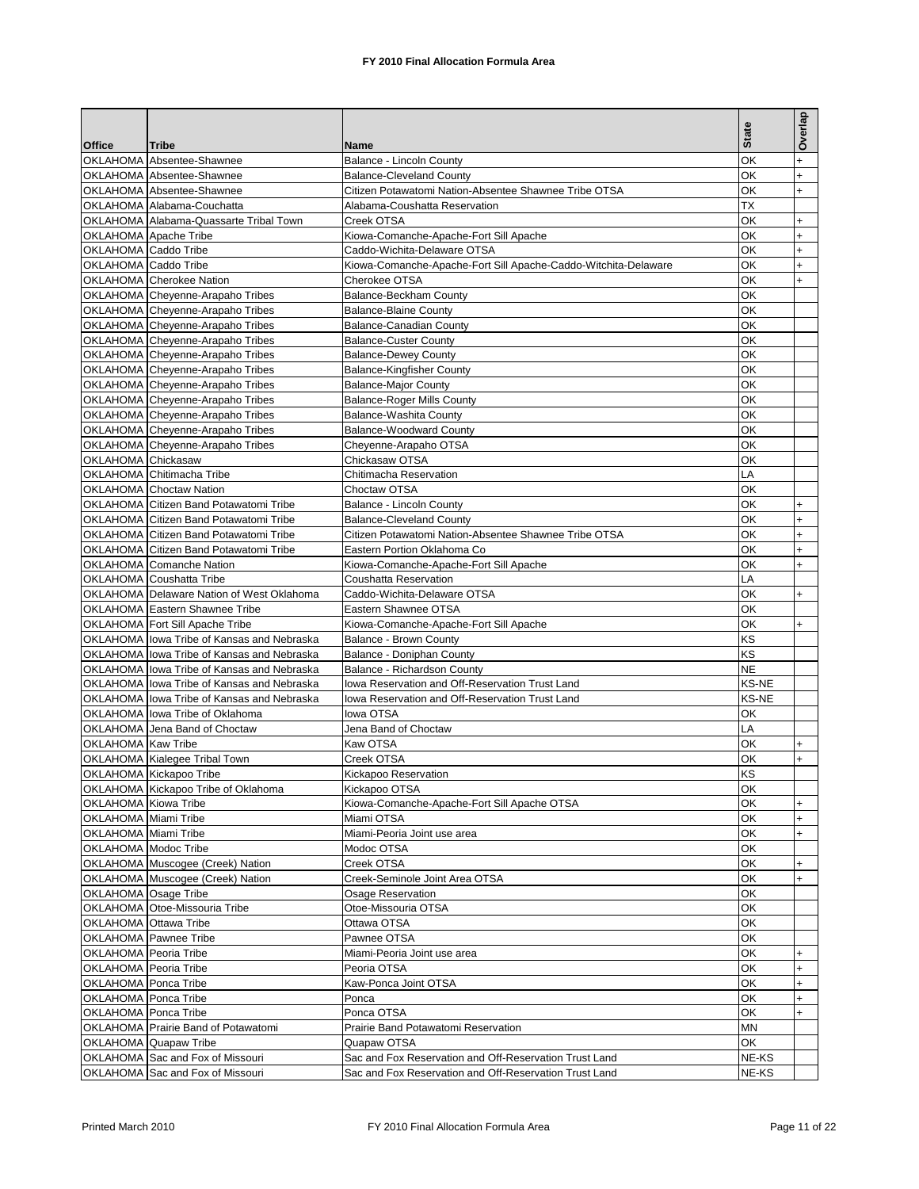|                       |                                                                      |                                                                |              | Overlap          |
|-----------------------|----------------------------------------------------------------------|----------------------------------------------------------------|--------------|------------------|
|                       |                                                                      |                                                                | <b>State</b> |                  |
| <b>Office</b>         | <b>Tribe</b><br>OKLAHOMA Absentee-Shawnee                            | Name<br>Balance - Lincoln County                               | ОK           | $\ddot{}$        |
|                       | OKLAHOMA Absentee-Shawnee                                            | <b>Balance-Cleveland County</b>                                | OK           | $\ddot{}$        |
|                       | OKLAHOMA Absentee-Shawnee                                            | Citizen Potawatomi Nation-Absentee Shawnee Tribe OTSA          | ΟK           | $+$              |
|                       | OKLAHOMA Alabama-Couchatta                                           | Alabama-Coushatta Reservation                                  | ТX           |                  |
|                       | OKLAHOMA Alabama-Quassarte Tribal Town                               | Creek OTSA                                                     | ОK           | $\ddot{}$        |
|                       | OKLAHOMA Apache Tribe                                                | Kiowa-Comanche-Apache-Fort Sill Apache                         | ОΚ           | $\ddot{}$        |
| OKLAHOMA Caddo Tribe  |                                                                      | Caddo-Wichita-Delaware OTSA                                    | ОK           | $\ddot{}$        |
| OKLAHOMA Caddo Tribe  |                                                                      | Kiowa-Comanche-Apache-Fort Sill Apache-Caddo-Witchita-Delaware | ОK           | $\ddot{}$        |
|                       | <b>OKLAHOMA</b> Cherokee Nation                                      | Cherokee OTSA                                                  | ОΚ           | ÷                |
|                       | OKLAHOMA Cheyenne-Arapaho Tribes                                     | Balance-Beckham County                                         | ОK           |                  |
|                       | OKLAHOMA Cheyenne-Arapaho Tribes                                     | <b>Balance-Blaine County</b>                                   | ОK           |                  |
|                       | OKLAHOMA Cheyenne-Arapaho Tribes                                     | Balance-Canadian County                                        | ОΚ           |                  |
|                       | OKLAHOMA Cheyenne-Arapaho Tribes                                     | <b>Balance-Custer County</b>                                   | ОK           |                  |
|                       | OKLAHOMA Cheyenne-Arapaho Tribes                                     | <b>Balance-Dewey County</b>                                    | ОK           |                  |
|                       | OKLAHOMA Cheyenne-Arapaho Tribes                                     | <b>Balance-Kingfisher County</b>                               | OK           |                  |
|                       | OKLAHOMA Cheyenne-Arapaho Tribes                                     | <b>Balance-Major County</b>                                    | ОK<br>ОK     |                  |
|                       | OKLAHOMA Cheyenne-Arapaho Tribes                                     | <b>Balance-Roger Mills County</b><br>Balance-Washita County    | ОΚ           |                  |
|                       | OKLAHOMA Cheyenne-Arapaho Tribes<br>OKLAHOMA Cheyenne-Arapaho Tribes | Balance-Woodward County                                        | ОK           |                  |
|                       | OKLAHOMA Cheyenne-Arapaho Tribes                                     | Cheyenne-Arapaho OTSA                                          | ОK           |                  |
| OKLAHOMA Chickasaw    |                                                                      | Chickasaw OTSA                                                 | ОΚ           |                  |
|                       | OKLAHOMA Chitimacha Tribe                                            | Chitimacha Reservation                                         | LA           |                  |
|                       | <b>OKLAHOMA</b> Choctaw Nation                                       | Choctaw OTSA                                                   | ОK           |                  |
|                       | OKLAHOMA Citizen Band Potawatomi Tribe                               | Balance - Lincoln County                                       | ОΚ           | $\ddot{}$        |
|                       | OKLAHOMA Citizen Band Potawatomi Tribe                               | <b>Balance-Cleveland County</b>                                | OK           | $\ddot{}$        |
|                       | OKLAHOMA Citizen Band Potawatomi Tribe                               | Citizen Potawatomi Nation-Absentee Shawnee Tribe OTSA          | ОK           | $\ddot{}$        |
|                       | OKLAHOMA Citizen Band Potawatomi Tribe                               | Eastern Portion Oklahoma Co                                    | ОΚ           | $\ddot{}$        |
|                       | <b>OKLAHOMA</b> Comanche Nation                                      | Kiowa-Comanche-Apache-Fort Sill Apache                         | ОK           | $\ddot{}$        |
|                       | OKLAHOMA Coushatta Tribe                                             | Coushatta Reservation                                          | LA           |                  |
|                       | OKLAHOMA Delaware Nation of West Oklahoma                            | Caddo-Wichita-Delaware OTSA                                    | ΟK           | $\ddot{}$        |
|                       | OKLAHOMA Eastern Shawnee Tribe                                       | Eastern Shawnee OTSA                                           | ОΚ           |                  |
|                       | OKLAHOMA Fort Sill Apache Tribe                                      | Kiowa-Comanche-Apache-Fort Sill Apache                         | ОK           | $\ddot{}$        |
|                       | OKLAHOMA lowa Tribe of Kansas and Nebraska                           | Balance - Brown County                                         | ΚS           |                  |
|                       | OKLAHOMA lowa Tribe of Kansas and Nebraska                           | Balance - Doniphan County                                      | ΚS           |                  |
|                       | OKLAHOMA lowa Tribe of Kansas and Nebraska                           | Balance - Richardson County                                    | <b>NE</b>    |                  |
|                       | OKLAHOMA lowa Tribe of Kansas and Nebraska                           | Iowa Reservation and Off-Reservation Trust Land                | KS-NE        |                  |
|                       | OKLAHOMA lowa Tribe of Kansas and Nebraska                           | lowa Reservation and Off-Reservation Trust Land                | KS-NE        |                  |
|                       | OKLAHOMA lowa Tribe of Oklahoma<br>OKLAHOMA Jena Band of Choctaw     | lowa OTSA<br>Jena Band of Choctaw                              | ОΚ<br>LA     |                  |
| OKLAHOMA Kaw Tribe    |                                                                      | Kaw OTSA                                                       | ОK           | $\ddot{}$        |
|                       | OKLAHOMA Kialegee Tribal Town                                        | Creek OTSA                                                     | ОΚ           | $\ddot{}$        |
|                       | OKLAHOMA Kickapoo Tribe                                              | Kickapoo Reservation                                           | ΚS           |                  |
|                       | OKLAHOMA Kickapoo Tribe of Oklahoma                                  | Kickapoo OTSA                                                  | ОК           |                  |
| OKLAHOMA Kiowa Tribe  |                                                                      | Kiowa-Comanche-Apache-Fort Sill Apache OTSA                    | ОΚ           | $\ddot{}$        |
| OKLAHOMA Miami Tribe  |                                                                      | Miami OTSA                                                     | ОΚ           | $\ddot{}$        |
| OKLAHOMA Miami Tribe  |                                                                      | Miami-Peoria Joint use area                                    | ОΚ           | $+$              |
| OKLAHOMA Modoc Tribe  |                                                                      | Modoc OTSA                                                     | ОΚ           |                  |
|                       | OKLAHOMA Muscogee (Creek) Nation                                     | Creek OTSA                                                     | ΟK           | $\ddot{}$        |
|                       | OKLAHOMA Muscogee (Creek) Nation                                     | Creek-Seminole Joint Area OTSA                                 | ОΚ           | $+$              |
| OKLAHOMA Osage Tribe  |                                                                      | Osage Reservation                                              | ОΚ           |                  |
|                       | OKLAHOMA Otoe-Missouria Tribe                                        | Otoe-Missouria OTSA                                            | ОΚ           |                  |
| OKLAHOMA Ottawa Tribe |                                                                      | Ottawa OTSA                                                    | ОΚ           |                  |
|                       | OKLAHOMA Pawnee Tribe                                                | Pawnee OTSA                                                    | ОΚ           |                  |
| OKLAHOMA Peoria Tribe |                                                                      | Miami-Peoria Joint use area                                    | OK           | $\ddot{}$        |
| OKLAHOMA Peoria Tribe |                                                                      | Peoria OTSA                                                    | ОΚ           | $\ddot{}$        |
| OKLAHOMA Ponca Tribe  |                                                                      | Kaw-Ponca Joint OTSA                                           | ОΚ           | $\ddot{}$        |
| OKLAHOMA Ponca Tribe  |                                                                      | Ponca<br>Ponca OTSA                                            | ОΚ<br>ОΚ     | $\ddot{}$<br>$+$ |
| OKLAHOMA Ponca Tribe  |                                                                      | Prairie Band Potawatomi Reservation                            | ΜN           |                  |
|                       | OKLAHOMA Prairie Band of Potawatomi<br>OKLAHOMA Quapaw Tribe         | Quapaw OTSA                                                    | ОK           |                  |
|                       | OKLAHOMA Sac and Fox of Missouri                                     | Sac and Fox Reservation and Off-Reservation Trust Land         | NE-KS        |                  |
|                       | OKLAHOMA Sac and Fox of Missouri                                     | Sac and Fox Reservation and Off-Reservation Trust Land         | NE-KS        |                  |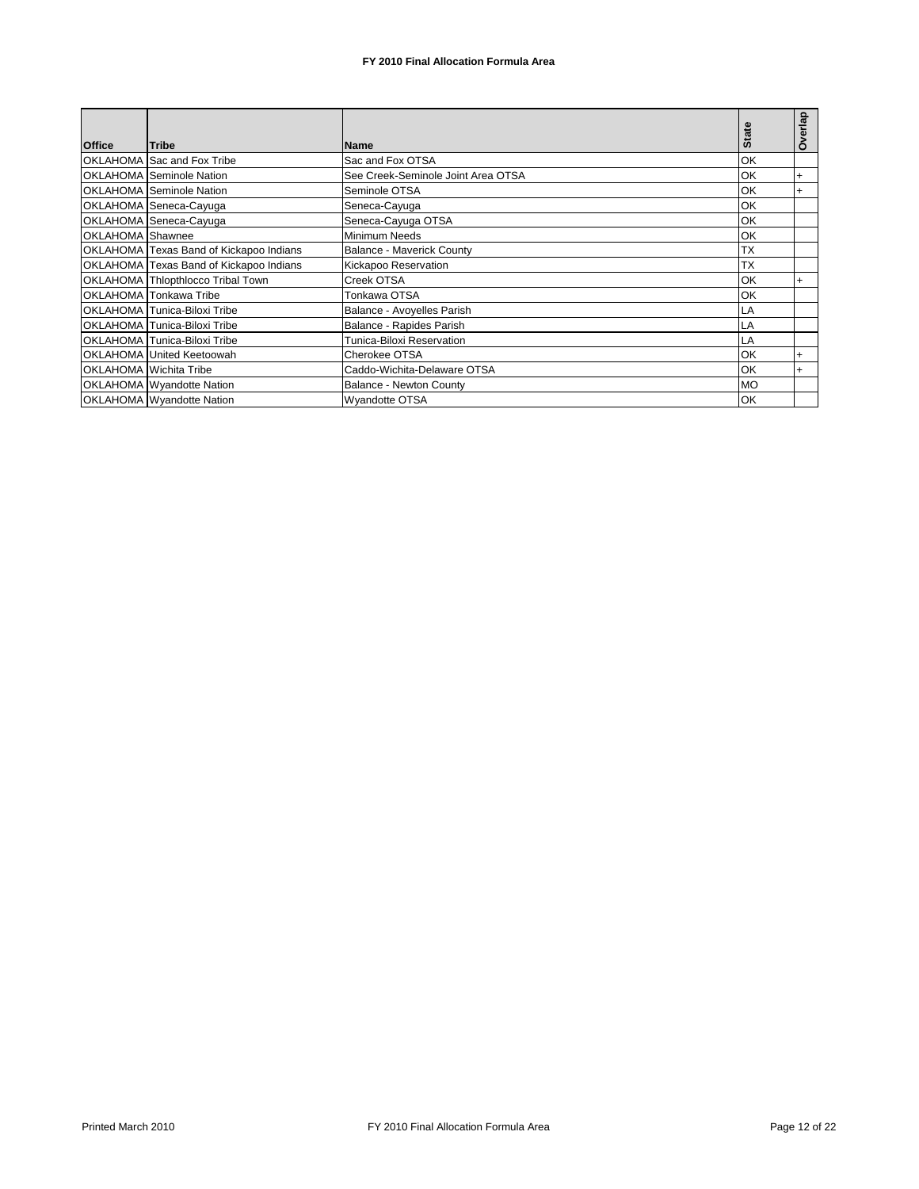|                  |                                         |                                    |           | Overlap   |
|------------------|-----------------------------------------|------------------------------------|-----------|-----------|
| <b>Office</b>    | <b>Tribe</b>                            | <b>Name</b>                        | State     |           |
|                  | OKLAHOMA Sac and Fox Tribe              | Sac and Fox OTSA                   | OK        |           |
|                  | OKLAHOMA Seminole Nation                | See Creek-Seminole Joint Area OTSA | OK        | $\ddot{}$ |
|                  | <b>OKLAHOMA</b> Seminole Nation         | Seminole OTSA                      | OK        | $\ddot{}$ |
|                  | OKLAHOMA Seneca-Cayuga                  | Seneca-Cayuga                      | OK        |           |
|                  | OKLAHOMA Seneca-Cayuga                  | Seneca-Cayuga OTSA                 | OK        |           |
| OKLAHOMA Shawnee |                                         | Minimum Needs                      | OK        |           |
|                  | OKLAHOMA Texas Band of Kickapoo Indians | <b>Balance - Maverick County</b>   | <b>TX</b> |           |
|                  | OKLAHOMA Texas Band of Kickapoo Indians | Kickapoo Reservation               | <b>TX</b> |           |
|                  | OKLAHOMA Thlopthlocco Tribal Town       | Creek OTSA                         | OK        |           |
|                  | OKLAHOMA Tonkawa Tribe                  | Tonkawa OTSA                       | OK        |           |
|                  | OKLAHOMA Tunica-Biloxi Tribe            | Balance - Avoyelles Parish         | LA        |           |
|                  | OKLAHOMA Tunica-Biloxi Tribe            | Balance - Rapides Parish           | LA        |           |
|                  | OKLAHOMA Tunica-Biloxi Tribe            | Tunica-Biloxi Reservation          | LA        |           |
|                  | OKLAHOMA United Keetoowah               | Cherokee OTSA                      | OK        |           |
|                  | <b>OKLAHOMA</b> Wichita Tribe           | Caddo-Wichita-Delaware OTSA        | OK        |           |
|                  | OKLAHOMA Wyandotte Nation               | <b>Balance - Newton County</b>     | <b>MO</b> |           |
|                  | <b>OKLAHOMA</b> Wyandotte Nation        | Wyandotte OTSA                     | OK        |           |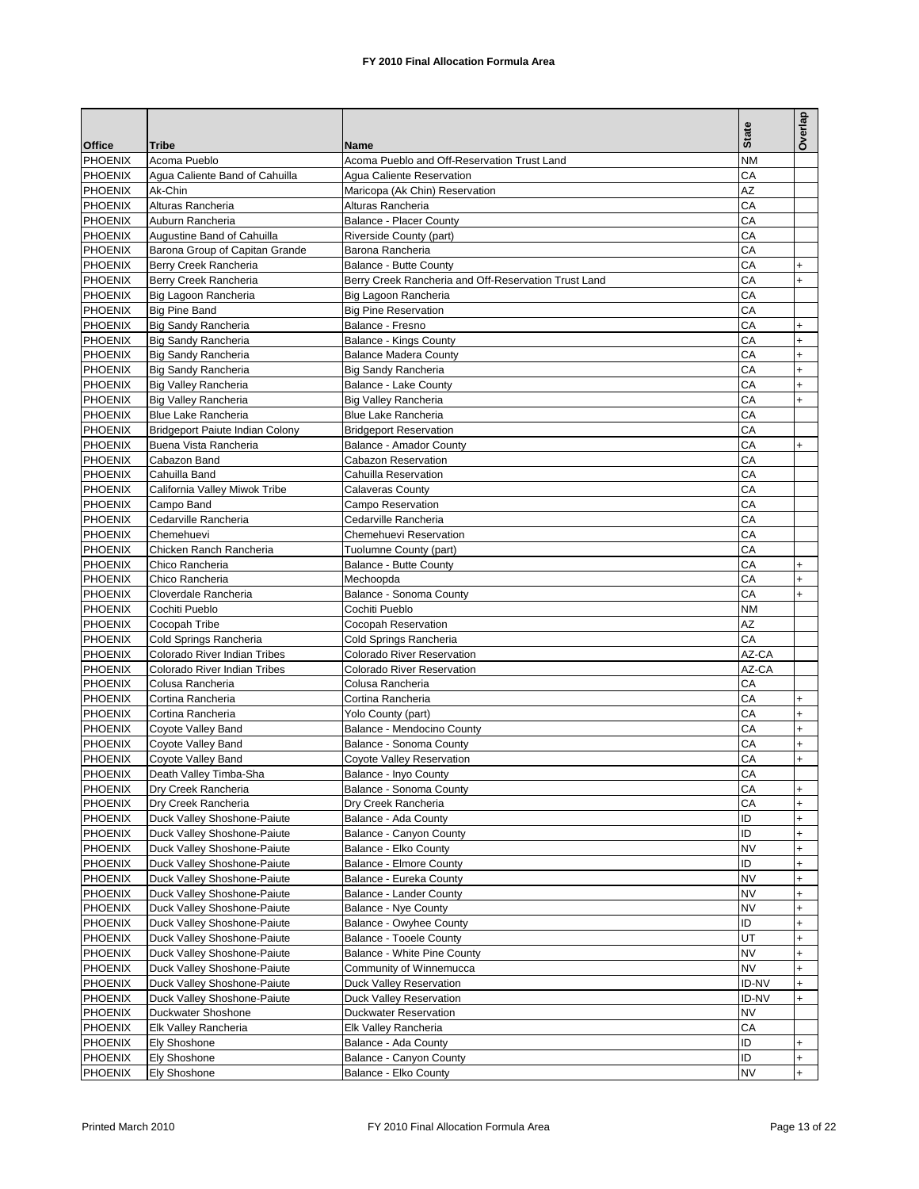|                                  |                                                         |                                                      | <b>State</b> | Overlap                          |
|----------------------------------|---------------------------------------------------------|------------------------------------------------------|--------------|----------------------------------|
| <b>Office</b>                    | <b>Tribe</b>                                            | Name                                                 |              |                                  |
| <b>PHOENIX</b>                   | Acoma Pueblo                                            | Acoma Pueblo and Off-Reservation Trust Land          | <b>NM</b>    |                                  |
| PHOENIX                          | Agua Caliente Band of Cahuilla                          | Agua Caliente Reservation                            | CA           |                                  |
| <b>PHOENIX</b>                   | Ak-Chin                                                 | Maricopa (Ak Chin) Reservation                       | AZ           |                                  |
| <b>PHOENIX</b>                   | Alturas Rancheria                                       | Alturas Rancheria                                    | CA           |                                  |
| PHOENIX                          | Auburn Rancheria                                        | <b>Balance - Placer County</b>                       | CA           |                                  |
| <b>PHOENIX</b>                   | Augustine Band of Cahuilla                              | Riverside County (part)                              | СA<br>CA     |                                  |
| <b>PHOENIX</b><br><b>PHOENIX</b> | Barona Group of Capitan Grande<br>Berry Creek Rancheria | Barona Rancheria<br>Balance - Butte County           | CA           | $\ddot{}$                        |
| PHOENIX                          | Berry Creek Rancheria                                   | Berry Creek Rancheria and Off-Reservation Trust Land | CА           | $\ddot{}$                        |
|                                  |                                                         |                                                      | CA           |                                  |
| <b>PHOENIX</b><br>PHOENIX        | Big Lagoon Rancheria<br><b>Big Pine Band</b>            | Big Lagoon Rancheria<br><b>Big Pine Reservation</b>  | СA           |                                  |
| <b>PHOENIX</b>                   | <b>Big Sandy Rancheria</b>                              | Balance - Fresno                                     | СA           | $\ddot{}$                        |
| <b>PHOENIX</b>                   | <b>Big Sandy Rancheria</b>                              | Balance - Kings County                               | СA           | $\ddot{}$                        |
| PHOENIX                          | <b>Big Sandy Rancheria</b>                              | <b>Balance Madera County</b>                         | CА           | $\ddot{}$                        |
| <b>PHOENIX</b>                   | Big Sandy Rancheria                                     | Big Sandy Rancheria                                  | СA           | $\ddot{}$                        |
| <b>PHOENIX</b>                   | Big Valley Rancheria                                    | Balance - Lake County                                | СA           | $\ddot{}$                        |
| PHOENIX                          | <b>Big Valley Rancheria</b>                             | <b>Big Valley Rancheria</b>                          | CA           | $\ddot{}$                        |
| <b>PHOENIX</b>                   | <b>Blue Lake Rancheria</b>                              | <b>Blue Lake Rancheria</b>                           | CА           |                                  |
| PHOENIX                          | <b>Bridgeport Paiute Indian Colony</b>                  | <b>Bridgeport Reservation</b>                        | CA           |                                  |
| <b>PHOENIX</b>                   | Buena Vista Rancheria                                   | Balance - Amador County                              | CА           | $+$                              |
| <b>PHOENIX</b>                   | Cabazon Band                                            | Cabazon Reservation                                  | CА           |                                  |
| <b>PHOENIX</b>                   | Cahuilla Band                                           | Cahuilla Reservation                                 | CA           |                                  |
| <b>PHOENIX</b>                   | California Valley Miwok Tribe                           | Calaveras County                                     | СA           |                                  |
| PHOENIX                          | Campo Band                                              | Campo Reservation                                    | CА           |                                  |
| <b>PHOENIX</b>                   | Cedarville Rancheria                                    | Cedarville Rancheria                                 | CA           |                                  |
| PHOENIX                          | Chemehuevi                                              | Chemehuevi Reservation                               | СA           |                                  |
| <b>PHOENIX</b>                   | Chicken Ranch Rancheria                                 | Tuolumne County (part)                               | CА           |                                  |
| <b>PHOENIX</b>                   | Chico Rancheria                                         | Balance - Butte County                               | CA           | $\ddot{}$                        |
| PHOENIX                          | Chico Rancheria                                         | Mechoopda                                            | CA           | $\ddot{}$                        |
| <b>PHOENIX</b>                   | Cloverdale Rancheria                                    | Balance - Sonoma County                              | CА           | $\ddot{}$                        |
| <b>PHOENIX</b>                   | Cochiti Pueblo                                          | Cochiti Pueblo                                       | NM           |                                  |
| PHOENIX                          | Cocopah Tribe                                           | Cocopah Reservation                                  | AZ           |                                  |
| <b>PHOENIX</b>                   | Cold Springs Rancheria                                  | Cold Springs Rancheria                               | CA           |                                  |
| <b>PHOENIX</b>                   | Colorado River Indian Tribes                            | <b>Colorado River Reservation</b>                    | AZ-CA        |                                  |
| PHOENIX                          | Colorado River Indian Tribes                            | <b>Colorado River Reservation</b>                    | AZ-CA        |                                  |
| <b>PHOENIX</b>                   | Colusa Rancheria                                        | Colusa Rancheria                                     | СA           |                                  |
| <b>PHOENIX</b>                   | Cortina Rancheria                                       | Cortina Rancheria                                    | CA           | $\ddot{}$                        |
| <b>PHOENIX</b>                   | Cortina Rancheria                                       | Yolo County (part)                                   | CА           | $\ddot{}$                        |
| <b>PHOENIX</b>                   | Coyote Valley Band                                      | Balance - Mendocino County                           | CА           | $\ddot{}$                        |
| <b>PHOENIX</b>                   | Coyote Valley Band                                      | Balance - Sonoma County                              | CA           | $\ddot{}$                        |
| <b>PHOENIX</b>                   | Coyote Valley Band                                      | Coyote Valley Reservation                            | CА           | $\ddot{}$                        |
| PHOENIX                          | Death Valley Timba-Sha                                  | Balance - Inyo County                                | CА           |                                  |
| <b>PHOENIX</b>                   | Dry Creek Rancheria                                     | Balance - Sonoma County                              | CA           | $\begin{array}{c} + \end{array}$ |
| PHOENIX                          | Dry Creek Rancheria                                     | Dry Creek Rancheria                                  | CA           | $^{+}$                           |
| PHOENIX                          | Duck Valley Shoshone-Paiute                             | Balance - Ada County                                 | ID           | +                                |
| <b>PHOENIX</b>                   | Duck Valley Shoshone-Paiute                             | Balance - Canyon County                              | ID           | $\ddot{}$                        |
| <b>PHOENIX</b>                   | Duck Valley Shoshone-Paiute                             | Balance - Elko County                                | <b>NV</b>    | $\ddot{}$                        |
| PHOENIX                          | Duck Valley Shoshone-Paiute                             | Balance - Elmore County                              | ID           | $\ddot{}$                        |
| PHOENIX                          | Duck Valley Shoshone-Paiute                             | Balance - Eureka County                              | <b>NV</b>    | $\ddot{}$                        |
| <b>PHOENIX</b>                   | Duck Valley Shoshone-Paiute                             | Balance - Lander County                              | NV           | $\ddot{}$                        |
| <b>PHOENIX</b>                   | Duck Valley Shoshone-Paiute                             | <b>Balance - Nye County</b>                          | NV           | $\ddot{}$                        |
| PHOENIX                          | Duck Valley Shoshone-Paiute                             | Balance - Owyhee County                              | ID           | $\ddot{}$                        |
| PHOENIX                          | Duck Valley Shoshone-Paiute                             | <b>Balance - Tooele County</b>                       | UT           | $\ddot{}$                        |
| <b>PHOENIX</b>                   | Duck Valley Shoshone-Paiute                             | <b>Balance - White Pine County</b>                   | <b>NV</b>    | $\ddot{}$                        |
| PHOENIX                          | Duck Valley Shoshone-Paiute                             | Community of Winnemucca                              | <b>NV</b>    | $\ddot{}$                        |
| <b>PHOENIX</b>                   | Duck Valley Shoshone-Paiute                             | Duck Valley Reservation                              | ID-NV        | $\ddot{}$                        |
| <b>PHOENIX</b>                   | Duck Valley Shoshone-Paiute                             | Duck Valley Reservation                              | ID-NV        | $\ddot{}$                        |
| PHOENIX                          | Duckwater Shoshone                                      | <b>Duckwater Reservation</b>                         | NV           |                                  |
| <b>PHOENIX</b>                   | Elk Valley Rancheria                                    | Elk Valley Rancheria                                 | CА           |                                  |
| <b>PHOENIX</b>                   | Ely Shoshone                                            | Balance - Ada County                                 | ID           | $\ddot{}$                        |
| PHOENIX                          | Ely Shoshone                                            | Balance - Canyon County                              | ID           | $\ddot{}$                        |
| <b>PHOENIX</b>                   | <b>Ely Shoshone</b>                                     | Balance - Elko County                                | <b>NV</b>    | $\ddot{}$                        |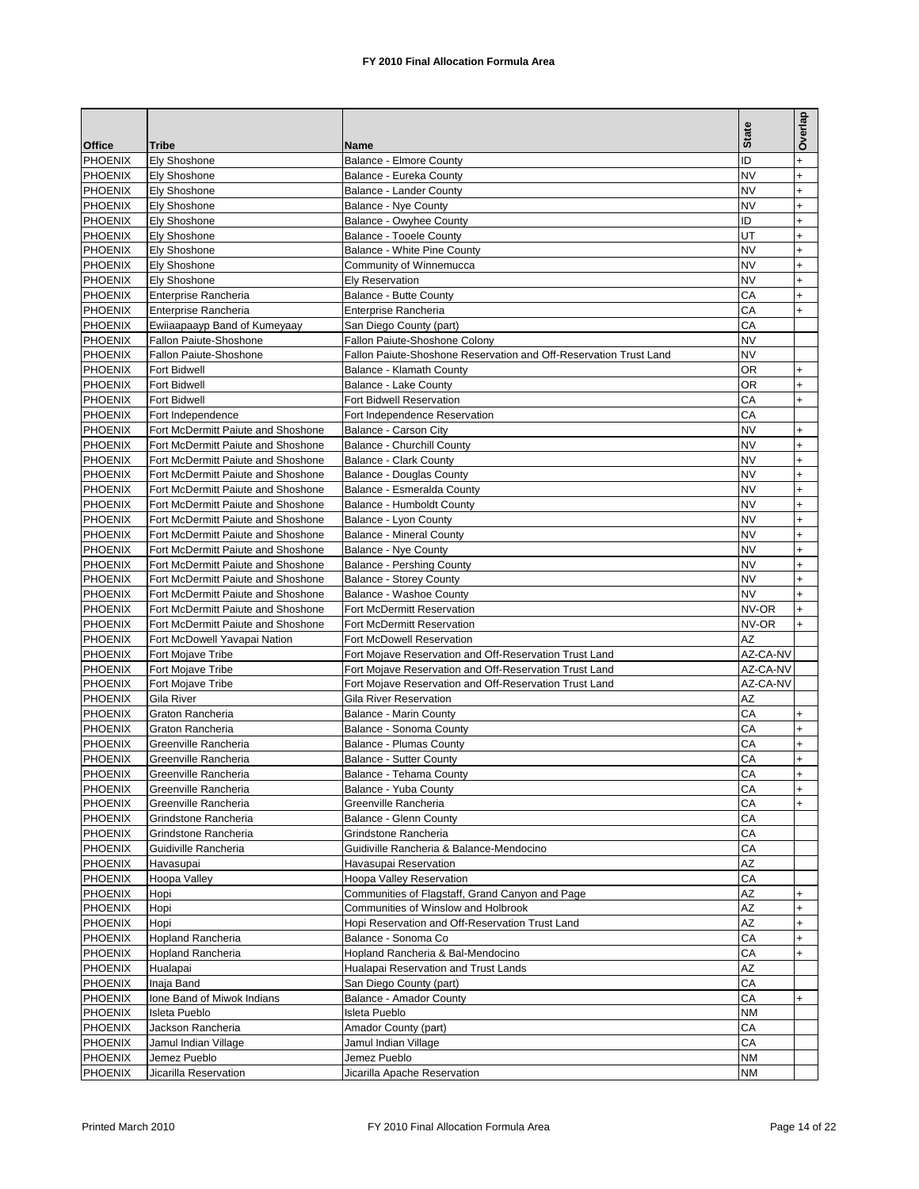|                |                                    |                                                                   | <b>State</b> | Overlap   |
|----------------|------------------------------------|-------------------------------------------------------------------|--------------|-----------|
| <b>Office</b>  | <b>Tribe</b>                       | Name                                                              |              |           |
| <b>PHOENIX</b> | Ely Shoshone                       | <b>Balance - Elmore County</b>                                    | ID           | $\ddot{}$ |
| <b>PHOENIX</b> | <b>Ely Shoshone</b>                | Balance - Eureka County                                           | <b>NV</b>    | $\ddot{}$ |
| PHOENIX        | Ely Shoshone                       | Balance - Lander County                                           | <b>NV</b>    | $\ddot{}$ |
| <b>PHOENIX</b> | Ely Shoshone                       | Balance - Nye County                                              | <b>NV</b>    | $\ddot{}$ |
| <b>PHOENIX</b> | Ely Shoshone                       | Balance - Owyhee County                                           | ID           | $\ddot{}$ |
| PHOENIX        | Ely Shoshone                       | <b>Balance - Tooele County</b>                                    | UT           | $\ddot{}$ |
| <b>PHOENIX</b> | Ely Shoshone                       | Balance - White Pine County                                       | <b>NV</b>    | $\ddot{}$ |
| <b>PHOENIX</b> | Ely Shoshone                       | Community of Winnemucca                                           | <b>NV</b>    | $\ddot{}$ |
|                |                                    |                                                                   | NV           |           |
| PHOENIX        | Ely Shoshone                       | <b>Ely Reservation</b>                                            |              | $\ddot{}$ |
| <b>PHOENIX</b> | Enterprise Rancheria               | Balance - Butte County                                            | CА           | $\ddot{}$ |
| <b>PHOENIX</b> | Enterprise Rancheria               | Enterprise Rancheria                                              | CA           | $\ddot{}$ |
| <b>PHOENIX</b> | Ewiiaapaayp Band of Kumeyaay       | San Diego County (part)                                           | CA           |           |
| PHOENIX        | Fallon Paiute-Shoshone             | Fallon Paiute-Shoshone Colony                                     | NV           |           |
| PHOENIX        | Fallon Paiute-Shoshone             | Fallon Paiute-Shoshone Reservation and Off-Reservation Trust Land | <b>NV</b>    |           |
| <b>PHOENIX</b> | Fort Bidwell                       | Balance - Klamath County                                          | ΟR           | $\ddot{}$ |
| <b>PHOENIX</b> | Fort Bidwell                       | Balance - Lake County                                             | ΟR           | +         |
| <b>PHOENIX</b> | <b>Fort Bidwell</b>                | Fort Bidwell Reservation                                          | CA           | $\ddot{}$ |
| <b>PHOENIX</b> |                                    | Fort Independence Reservation                                     | CA           |           |
|                | Fort Independence                  |                                                                   |              |           |
| PHOENIX        | Fort McDermitt Paiute and Shoshone | Balance - Carson City                                             | <b>NV</b>    | $\ddot{}$ |
| <b>PHOENIX</b> | Fort McDermitt Paiute and Shoshone | Balance - Churchill County                                        | <b>NV</b>    | $\ddot{}$ |
| <b>PHOENIX</b> | Fort McDermitt Paiute and Shoshone | <b>Balance - Clark County</b>                                     | <b>NV</b>    | $\ddot{}$ |
| <b>PHOENIX</b> | Fort McDermitt Paiute and Shoshone | <b>Balance - Douglas County</b>                                   | <b>NV</b>    | $\ddot{}$ |
| PHOENIX        | Fort McDermitt Paiute and Shoshone | Balance - Esmeralda County                                        | NV           | $\ddot{}$ |
| <b>PHOENIX</b> | Fort McDermitt Paiute and Shoshone | Balance - Humboldt County                                         | <b>NV</b>    | $\ddot{}$ |
| <b>PHOENIX</b> | Fort McDermitt Paiute and Shoshone | Balance - Lyon County                                             | <b>NV</b>    | $\ddot{}$ |
| <b>PHOENIX</b> | Fort McDermitt Paiute and Shoshone | <b>Balance - Mineral County</b>                                   | <b>NV</b>    | $\ddot{}$ |
| PHOENIX        | Fort McDermitt Paiute and Shoshone | Balance - Nye County                                              | <b>NV</b>    | $\ddot{}$ |
| <b>PHOENIX</b> | Fort McDermitt Paiute and Shoshone | <b>Balance - Pershing County</b>                                  | <b>NV</b>    | $\ddot{}$ |
|                |                                    |                                                                   | <b>NV</b>    |           |
| <b>PHOENIX</b> | Fort McDermitt Paiute and Shoshone | <b>Balance - Storey County</b>                                    |              | $\ddot{}$ |
| PHOENIX        | Fort McDermitt Paiute and Shoshone | Balance - Washoe County                                           | <b>NV</b>    | $\ddot{}$ |
| PHOENIX        | Fort McDermitt Paiute and Shoshone | Fort McDermitt Reservation                                        | NV-OR        | $\ddot{}$ |
| <b>PHOENIX</b> | Fort McDermitt Paiute and Shoshone | Fort McDermitt Reservation                                        | NV-OR        | $+$       |
| <b>PHOENIX</b> | Fort McDowell Yavapai Nation       | Fort McDowell Reservation                                         | AZ           |           |
| <b>PHOENIX</b> | Fort Mojave Tribe                  | Fort Mojave Reservation and Off-Reservation Trust Land            | AZ-CA-NV     |           |
| <b>PHOENIX</b> | Fort Mojave Tribe                  | Fort Mojave Reservation and Off-Reservation Trust Land            | AZ-CA-NV     |           |
| <b>PHOENIX</b> | Fort Mojave Tribe                  | Fort Mojave Reservation and Off-Reservation Trust Land            | AZ-CA-NV     |           |
| <b>PHOENIX</b> | Gila River                         | Gila River Reservation                                            | AZ           |           |
| <b>PHOENIX</b> | Graton Rancheria                   | <b>Balance - Marin County</b>                                     | СA           | +         |
| <b>PHOENIX</b> | Graton Rancheria                   | Balance - Sonoma County                                           | СA           | $\ddot{}$ |
| <b>PHOENIX</b> | Greenville Rancheria               | <b>Balance - Plumas County</b>                                    | CA           | $\ddot{}$ |
|                |                                    |                                                                   |              |           |
| <b>PHOENIX</b> | Greenville Rancheria               | <b>Balance - Sutter County</b>                                    | СA           | $\ddot{}$ |
| <b>PHOENIX</b> | Greenville Rancheria               | Balance - Tehama County                                           | CA           | $\ddot{}$ |
| <b>PHOENIX</b> | Greenville Rancheria               | Balance - Yuba County                                             | CA           | $\ddot{}$ |
| <b>PHOENIX</b> | Greenville Rancheria               | Greenville Rancheria                                              | CA           | $+$       |
| PHOENIX        | Grindstone Rancheria               | Balance - Glenn County                                            | СA           |           |
| <b>PHOENIX</b> | Grindstone Rancheria               | Grindstone Rancheria                                              | CA           |           |
| PHOENIX        | Guidiville Rancheria               | Guidiville Rancheria & Balance-Mendocino                          | CA           |           |
| PHOENIX        | Havasupai                          | Havasupai Reservation                                             | AZ           |           |
| <b>PHOENIX</b> | Hoopa Valley                       | Hoopa Valley Reservation                                          | CA           |           |
| PHOENIX        | Hopi                               | Communities of Flagstaff, Grand Canyon and Page                   | AZ           | $\ddot{}$ |
| PHOENIX        | Hopi                               | Communities of Winslow and Holbrook                               | AZ           | $+$       |
|                |                                    |                                                                   |              |           |
| <b>PHOENIX</b> | Hopi                               | Hopi Reservation and Off-Reservation Trust Land                   | AZ           | $\ddot{}$ |
| PHOENIX        | Hopland Rancheria                  | Balance - Sonoma Co                                               | СA           | $\ddot{}$ |
| PHOENIX        | Hopland Rancheria                  | Hopland Rancheria & Bal-Mendocino                                 | СA           | $+$       |
| <b>PHOENIX</b> | Hualapai                           | Hualapai Reservation and Trust Lands                              | AZ           |           |
| PHOENIX        | Inaja Band                         | San Diego County (part)                                           | СA           |           |
| <b>PHOENIX</b> | Ione Band of Miwok Indians         | Balance - Amador County                                           | СA           | $\ddot{}$ |
| PHOENIX        | Isleta Pueblo                      | Isleta Pueblo                                                     | <b>NM</b>    |           |
| PHOENIX        | Jackson Rancheria                  | Amador County (part)                                              | СA           |           |
| <b>PHOENIX</b> | Jamul Indian Village               | Jamul Indian Village                                              | CA           |           |
| PHOENIX        | Jemez Pueblo                       | Jemez Pueblo                                                      | <b>NM</b>    |           |
| PHOENIX        | Jicarilla Reservation              | Jicarilla Apache Reservation                                      | NM           |           |
|                |                                    |                                                                   |              |           |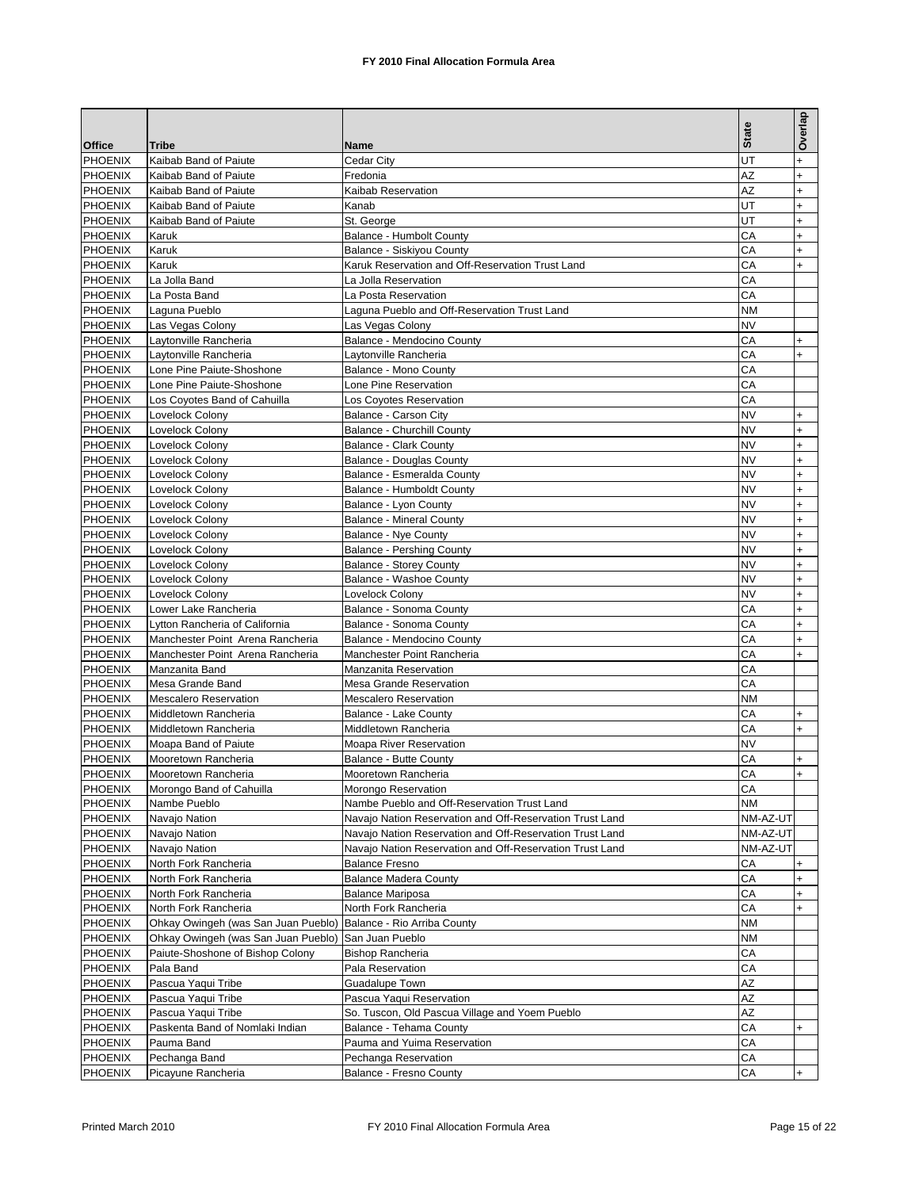|                           |                                                |                                                          |              | Overlap                |
|---------------------------|------------------------------------------------|----------------------------------------------------------|--------------|------------------------|
|                           |                                                |                                                          | <b>State</b> |                        |
| <b>Office</b>             | Tribe                                          | Name                                                     |              |                        |
| <b>PHOENIX</b>            | Kaibab Band of Paiute                          | Cedar City                                               | UT           | $\ddot{}$              |
| PHOENIX                   | Kaibab Band of Paiute                          | Fredonia                                                 | AZ           | $\ddot{}$              |
| PHOENIX                   | Kaibab Band of Paiute<br>Kaibab Band of Paiute | Kaibab Reservation<br>Kanab                              | AZ<br>UT     | $\ddot{}$              |
| <b>PHOENIX</b>            |                                                |                                                          | UT           | +<br>$\ddot{}$         |
| PHOENIX<br><b>PHOENIX</b> | Kaibab Band of Paiute<br>Karuk                 | St. George<br>Balance - Humbolt County                   | СA           | $\ddot{}$              |
| <b>PHOENIX</b>            | Karuk                                          | Balance - Siskiyou County                                | CА           |                        |
| PHOENIX                   | Karuk                                          | Karuk Reservation and Off-Reservation Trust Land         | CA           | $\ddot{}$<br>$\ddot{}$ |
| <b>PHOENIX</b>            | La Jolla Band                                  | La Jolla Reservation                                     | CА           |                        |
| <b>PHOENIX</b>            | La Posta Band                                  | La Posta Reservation                                     | CA           |                        |
| PHOENIX                   | Laguna Pueblo                                  | Laguna Pueblo and Off-Reservation Trust Land             | <b>NM</b>    |                        |
| <b>PHOENIX</b>            | Las Vegas Colony                               | Las Vegas Colony                                         | NV           |                        |
| <b>PHOENIX</b>            | Laytonville Rancheria                          | Balance - Mendocino County                               | СA           | $\ddot{}$              |
| PHOENIX                   | Laytonville Rancheria                          | Laytonville Rancheria                                    | СA           | $+$                    |
| <b>PHOENIX</b>            | Lone Pine Paiute-Shoshone                      | Balance - Mono County                                    | СA           |                        |
| <b>PHOENIX</b>            | Lone Pine Paiute-Shoshone                      | Lone Pine Reservation                                    | CA           |                        |
| PHOENIX                   | Los Covotes Band of Cahuilla                   | Los Coyotes Reservation                                  | CA           |                        |
| PHOENIX                   | Lovelock Colony                                | Balance - Carson City                                    | NV           | $\ddot{}$              |
| <b>PHOENIX</b>            | Lovelock Colony                                | <b>Balance - Churchill County</b>                        | <b>NV</b>    | $\ddot{}$              |
| PHOENIX                   | Lovelock Colony                                | <b>Balance - Clark County</b>                            | <b>NV</b>    | $+$                    |
| <b>PHOENIX</b>            | Lovelock Colony                                | <b>Balance - Douglas County</b>                          | <b>NV</b>    | $\ddot{}$              |
| <b>PHOENIX</b>            | Lovelock Colony                                | Balance - Esmeralda County                               | <b>NV</b>    | $\ddot{}$              |
| PHOENIX                   | Lovelock Colony                                | Balance - Humboldt County                                | <b>NV</b>    | $+$                    |
| PHOENIX                   | Lovelock Colony                                | Balance - Lyon County                                    | <b>NV</b>    | $\ddot{}$              |
| <b>PHOENIX</b>            | Lovelock Colony                                | <b>Balance - Mineral County</b>                          | <b>NV</b>    | $\ddot{}$              |
| PHOENIX                   | Lovelock Colony                                | Balance - Nye County                                     | <b>NV</b>    | $\ddot{}$              |
| PHOENIX                   | Lovelock Colony                                | <b>Balance - Pershing County</b>                         | <b>NV</b>    | $\ddot{}$              |
| <b>PHOENIX</b>            | Lovelock Colony                                | <b>Balance - Storey County</b>                           | <b>NV</b>    | $\ddot{}$              |
| PHOENIX                   | Lovelock Colony                                | Balance - Washoe County                                  | <b>NV</b>    | $\ddot{}$              |
| <b>PHOENIX</b>            | Lovelock Colony                                | Lovelock Colony                                          | NV           | $\ddot{}$              |
| <b>PHOENIX</b>            | Lower Lake Rancheria                           | Balance - Sonoma County                                  | СA           | $\ddot{}$              |
| PHOENIX                   | Lytton Rancheria of California                 | Balance - Sonoma County                                  | СA           | $\ddot{}$              |
| <b>PHOENIX</b>            | Manchester Point Arena Rancheria               | Balance - Mendocino County                               | СA           | $\ddot{}$              |
| PHOENIX                   | Manchester Point Arena Rancheria               | Manchester Point Rancheria                               | СA           | $\ddot{}$              |
| PHOENIX                   | Manzanita Band                                 | Manzanita Reservation                                    | СA           |                        |
| <b>PHOENIX</b>            | Mesa Grande Band                               | <b>Mesa Grande Reservation</b>                           | CА           |                        |
| PHOENIX                   | <b>Mescalero Reservation</b>                   | <b>Mescalero Reservation</b>                             | <b>NM</b>    |                        |
| PHOENIX                   | Middletown Rancheria                           | Balance - Lake County                                    | СA           | +                      |
| <b>PHOENIX</b>            | Middletown Rancheria                           | Middletown Rancheria                                     | СA           | $\ddot{}$              |
| <b>PHOENIX</b>            | Moapa Band of Paiute                           | Moapa River Reservation                                  | NV           |                        |
| <b>PHOENIX</b>            | Mooretown Rancheria                            | Balance - Butte County                                   | CА           | +                      |
| <b>PHOENIX</b>            | Mooretown Rancheria                            | Mooretown Rancheria                                      | CA           | $+$                    |
| <b>PHOENIX</b>            | Morongo Band of Cahuilla                       | Morongo Reservation                                      | CA           |                        |
| PHOENIX                   | Nambe Pueblo                                   | Nambe Pueblo and Off-Reservation Trust Land              | ΝM           |                        |
| <b>PHOENIX</b>            | Navajo Nation                                  | Navajo Nation Reservation and Off-Reservation Trust Land | NM-AZ-UT     |                        |
| PHOENIX                   | Navajo Nation                                  | Navajo Nation Reservation and Off-Reservation Trust Land | NM-AZ-UT     |                        |
| PHOENIX                   | Navajo Nation                                  | Navajo Nation Reservation and Off-Reservation Trust Land | NM-AZ-UT     |                        |
| <b>PHOENIX</b>            | North Fork Rancheria                           | <b>Balance Fresno</b>                                    | СA           | +                      |
| <b>PHOENIX</b>            | North Fork Rancheria                           | <b>Balance Madera County</b>                             | CA           | $\ddot{}$              |
| PHOENIX                   | North Fork Rancheria                           | <b>Balance Mariposa</b>                                  | СA           | +                      |
| <b>PHOENIX</b>            | North Fork Rancheria                           | North Fork Rancheria                                     | СA           | +                      |
| PHOENIX                   | Ohkay Owingeh (was San Juan Pueblo)            | Balance - Rio Arriba County                              | NM           |                        |
| <b>PHOENIX</b>            | Ohkay Owingeh (was San Juan Pueblo)            | San Juan Pueblo                                          | ΝM           |                        |
| <b>PHOENIX</b>            | Paiute-Shoshone of Bishop Colony               | <b>Bishop Rancheria</b>                                  | СA           |                        |
| <b>PHOENIX</b>            | Pala Band                                      | Pala Reservation                                         | CA           |                        |
| <b>PHOENIX</b>            | Pascua Yaqui Tribe                             | <b>Guadalupe Town</b>                                    | AZ           |                        |
| <b>PHOENIX</b>            | Pascua Yaqui Tribe                             | Pascua Yaqui Reservation                                 | AΖ           |                        |
| <b>PHOENIX</b>            | Pascua Yaqui Tribe                             | So. Tuscon, Old Pascua Village and Yoem Pueblo           | AZ           |                        |
| <b>PHOENIX</b>            | Paskenta Band of Nomlaki Indian                | Balance - Tehama County                                  | СA           | $\ddot{}$              |
| <b>PHOENIX</b>            | Pauma Band                                     | Pauma and Yuima Reservation                              | CA           |                        |
| <b>PHOENIX</b>            | Pechanga Band                                  | Pechanga Reservation                                     | СA           |                        |
| <b>PHOENIX</b>            | Picayune Rancheria                             | Balance - Fresno County                                  | CA           | $\ddot{}$              |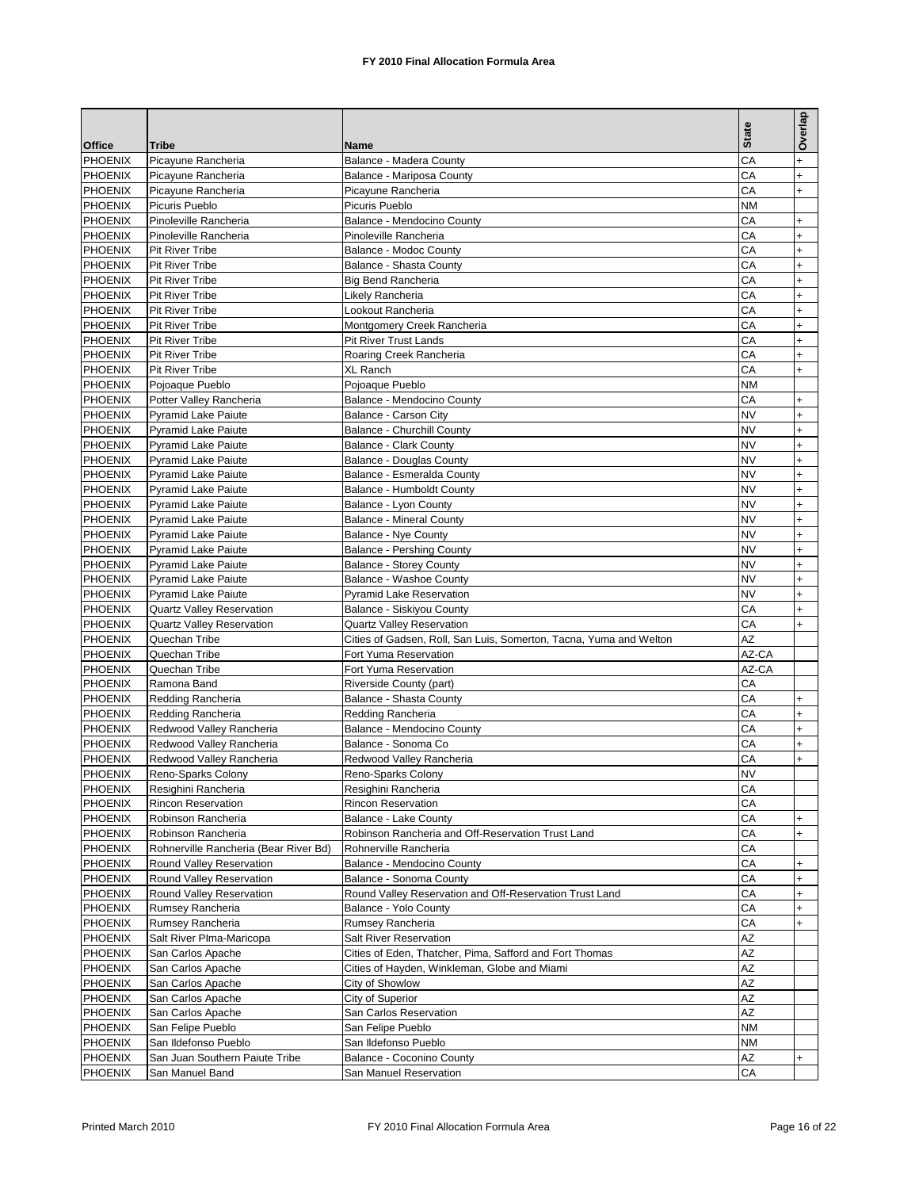| <b>Office</b>  | <b>Tribe</b>                          | Name                                                               | <b>State</b> | Overlap   |
|----------------|---------------------------------------|--------------------------------------------------------------------|--------------|-----------|
|                |                                       |                                                                    | CA           |           |
| <b>PHOENIX</b> | Picayune Rancheria                    | Balance - Madera County                                            |              | $\ddot{}$ |
| <b>PHOENIX</b> | Picayune Rancheria                    | Balance - Mariposa County                                          | CA           | $\ddot{}$ |
| PHOENIX        | Picayune Rancheria                    | Picayune Rancheria                                                 | CA           | $\ddot{}$ |
| <b>PHOENIX</b> | Picuris Pueblo                        | Picuris Pueblo                                                     | <b>NM</b>    |           |
| <b>PHOENIX</b> | Pinoleville Rancheria                 | Balance - Mendocino County                                         | CA           | $\ddot{}$ |
| PHOENIX        | Pinoleville Rancheria                 | Pinoleville Rancheria                                              | СA           | $\ddot{}$ |
| <b>PHOENIX</b> | <b>Pit River Tribe</b>                | Balance - Modoc County                                             | СA           | $+$       |
| PHOENIX        | <b>Pit River Tribe</b>                | Balance - Shasta County                                            | CA           | $\ddot{}$ |
| PHOENIX        | <b>Pit River Tribe</b>                | <b>Big Bend Rancheria</b>                                          | СA           | $\ddot{}$ |
|                |                                       |                                                                    |              |           |
| <b>PHOENIX</b> | Pit River Tribe                       | Likely Rancheria                                                   | СA           | $\ddot{}$ |
| <b>PHOENIX</b> | <b>Pit River Tribe</b>                | Lookout Rancheria                                                  | CA           | $\ddot{}$ |
| PHOENIX        | <b>Pit River Tribe</b>                | Montgomery Creek Rancheria                                         | CA           | $\ddot{}$ |
| PHOENIX        | Pit River Tribe                       | Pit River Trust Lands                                              | СA           | $\ddot{}$ |
| <b>PHOENIX</b> | <b>Pit River Tribe</b>                | Roaring Creek Rancheria                                            | CA           | $\ddot{}$ |
| PHOENIX        | <b>Pit River Tribe</b>                | XL Ranch                                                           | СA           | $\ddot{}$ |
| <b>PHOENIX</b> | Pojoaque Pueblo                       | Pojoaque Pueblo                                                    | <b>NM</b>    |           |
| <b>PHOENIX</b> | Potter Valley Rancheria               | Balance - Mendocino County                                         | CA           | $\ddot{}$ |
| <b>PHOENIX</b> | <b>Pyramid Lake Paiute</b>            | Balance - Carson City                                              | <b>NV</b>    | $\ddot{}$ |
|                | <b>Pyramid Lake Paiute</b>            |                                                                    | <b>NV</b>    |           |
| <b>PHOENIX</b> |                                       | <b>Balance - Churchill County</b>                                  |              | $\ddot{}$ |
| PHOENIX        | <b>Pyramid Lake Paiute</b>            | <b>Balance - Clark County</b>                                      | <b>NV</b>    | $\ddot{}$ |
| <b>PHOENIX</b> | <b>Pyramid Lake Paiute</b>            | <b>Balance - Douglas County</b>                                    | <b>NV</b>    | $\ddot{}$ |
| <b>PHOENIX</b> | <b>Pyramid Lake Paiute</b>            | Balance - Esmeralda County                                         | <b>NV</b>    | $\ddot{}$ |
| PHOENIX        | <b>Pyramid Lake Paiute</b>            | Balance - Humboldt County                                          | <b>NV</b>    | $\ddot{}$ |
| <b>PHOENIX</b> | <b>Pyramid Lake Paiute</b>            | Balance - Lyon County                                              | <b>NV</b>    | $\ddot{}$ |
| <b>PHOENIX</b> | <b>Pyramid Lake Paiute</b>            | <b>Balance - Mineral County</b>                                    | <b>NV</b>    | $\ddot{}$ |
| <b>PHOENIX</b> | <b>Pyramid Lake Paiute</b>            | <b>Balance - Nye County</b>                                        | <b>NV</b>    | $\ddot{}$ |
| <b>PHOENIX</b> | <b>Pyramid Lake Paiute</b>            | <b>Balance - Pershing County</b>                                   | <b>NV</b>    | $\ddot{}$ |
| <b>PHOENIX</b> | <b>Pyramid Lake Paiute</b>            | <b>Balance - Storey County</b>                                     | <b>NV</b>    | $\ddot{}$ |
|                |                                       |                                                                    |              |           |
| PHOENIX        | <b>Pyramid Lake Paiute</b>            | Balance - Washoe County                                            | <b>NV</b>    | $+$       |
| <b>PHOENIX</b> | <b>Pyramid Lake Paiute</b>            | <b>Pyramid Lake Reservation</b>                                    | <b>NV</b>    | $\ddot{}$ |
| <b>PHOENIX</b> | <b>Quartz Valley Reservation</b>      | Balance - Siskiyou County                                          | CA           | $\ddot{}$ |
| PHOENIX        | Quartz Valley Reservation             | <b>Quartz Valley Reservation</b>                                   | СA           | $+$       |
| <b>PHOENIX</b> | Quechan Tribe                         | Cities of Gadsen, Roll, San Luis, Somerton, Tacna, Yuma and Welton | <b>AZ</b>    |           |
| <b>PHOENIX</b> | Quechan Tribe                         | Fort Yuma Reservation                                              | AZ-CA        |           |
| <b>PHOENIX</b> | Quechan Tribe                         | Fort Yuma Reservation                                              | AZ-CA        |           |
| <b>PHOENIX</b> | Ramona Band                           | Riverside County (part)                                            | CA           |           |
| <b>PHOENIX</b> | Redding Rancheria                     | Balance - Shasta County                                            | CA           | $\ddot{}$ |
| <b>PHOENIX</b> | Redding Rancheria                     | Redding Rancheria                                                  | СA           | $+$       |
|                |                                       |                                                                    |              |           |
| <b>PHOENIX</b> | Redwood Valley Rancheria              | Balance - Mendocino County                                         | СA           | $\ddot{}$ |
| <b>PHOENIX</b> | Redwood Valley Rancheria              | Balance - Sonoma Co                                                | CA           | $\ddot{}$ |
| <b>PHOENIX</b> | Redwood Valley Rancheria              | Redwood Valley Rancheria                                           | СA           | $\ddot{}$ |
| <b>PHOENIX</b> | Reno-Sparks Colony                    | Reno-Sparks Colony                                                 | <b>NV</b>    |           |
| <b>PHOENIX</b> | Resighini Rancheria                   | Resighini Rancheria                                                | CA           |           |
| <b>PHOENIX</b> | <b>Rincon Reservation</b>             | <b>Rincon Reservation</b>                                          | CA           |           |
| PHOENIX        | Robinson Rancheria                    | Balance - Lake County                                              | СA           | $\ddot{}$ |
| <b>PHOENIX</b> | Robinson Rancheria                    | Robinson Rancheria and Off-Reservation Trust Land                  | СA           | $\ddot{}$ |
| <b>PHOENIX</b> | Rohnerville Rancheria (Bear River Bd) | Rohnerville Rancheria                                              | CA           |           |
| PHOENIX        | Round Valley Reservation              | Balance - Mendocino County                                         | СA           | $\ddot{}$ |
|                |                                       |                                                                    |              |           |
| <b>PHOENIX</b> | Round Valley Reservation              | Balance - Sonoma County                                            | СA           | $\ddot{}$ |
| <b>PHOENIX</b> | Round Valley Reservation              | Round Valley Reservation and Off-Reservation Trust Land            | CA           | $\ddot{}$ |
| PHOENIX        | Rumsey Rancheria                      | Balance - Yolo County                                              | СA           | $\ddot{}$ |
| <b>PHOENIX</b> | Rumsey Rancheria                      | Rumsey Rancheria                                                   | CА           | $\ddot{}$ |
| PHOENIX        | Salt River Plma-Maricopa              | Salt River Reservation                                             | AΖ           |           |
| PHOENIX        | San Carlos Apache                     | Cities of Eden, Thatcher, Pima, Safford and Fort Thomas            | ΑZ           |           |
| <b>PHOENIX</b> | San Carlos Apache                     | Cities of Hayden, Winkleman, Globe and Miami                       | AZ           |           |
| PHOENIX        | San Carlos Apache                     | City of Showlow                                                    | AZ           |           |
| <b>PHOENIX</b> |                                       |                                                                    | AΖ           |           |
|                | San Carlos Apache                     | City of Superior                                                   |              |           |
| <b>PHOENIX</b> | San Carlos Apache                     | San Carlos Reservation                                             | AZ           |           |
| PHOENIX        | San Felipe Pueblo                     | San Felipe Pueblo                                                  | ΝM           |           |
| <b>PHOENIX</b> | San Ildefonso Pueblo                  | San Ildefonso Pueblo                                               | ΝM           |           |
| <b>PHOENIX</b> | San Juan Southern Paiute Tribe        | Balance - Coconino County                                          | <b>AZ</b>    | $\ddot{}$ |
| <b>PHOENIX</b> | San Manuel Band                       | San Manuel Reservation                                             | СA           |           |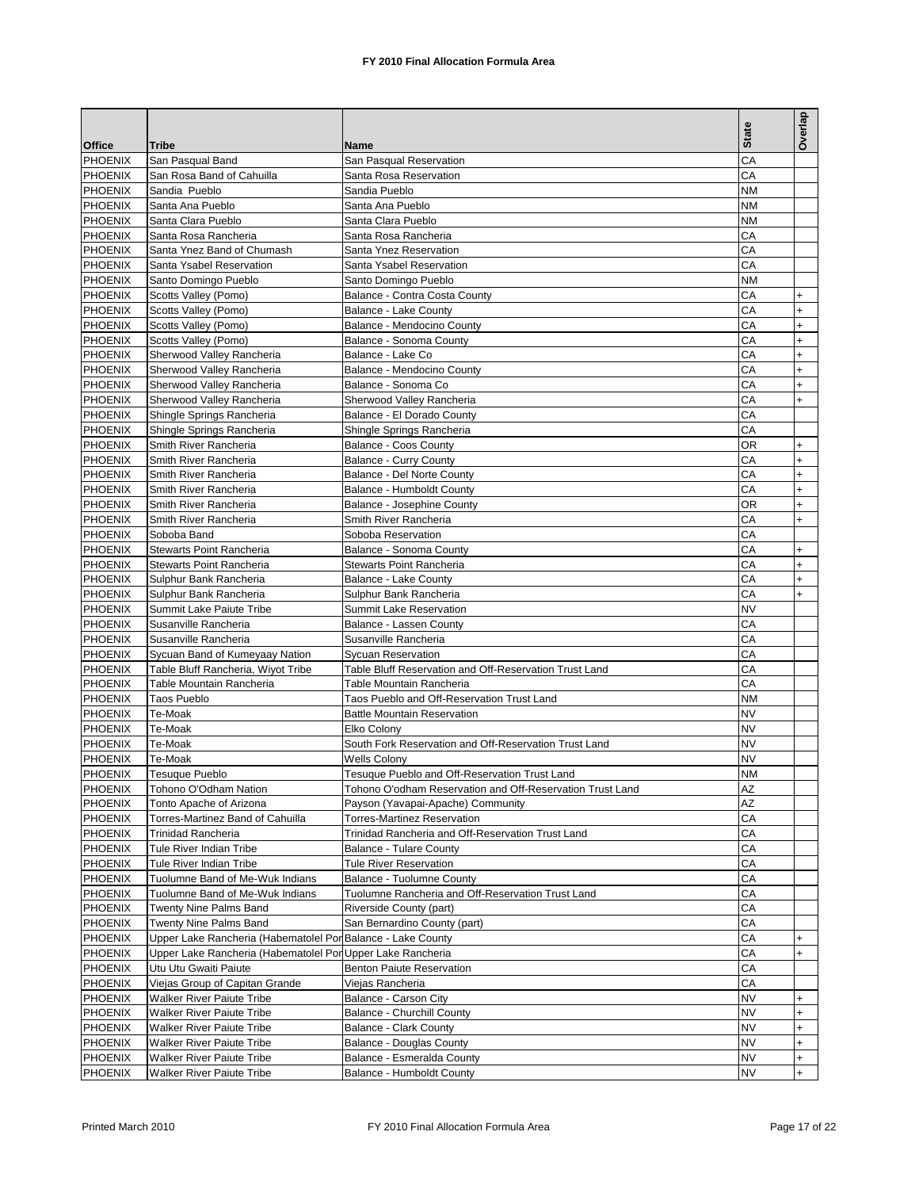|                           |                                                             |                                                           | <b>State</b>    | Overlap                |
|---------------------------|-------------------------------------------------------------|-----------------------------------------------------------|-----------------|------------------------|
| <b>Office</b>             | Tribe                                                       | Name                                                      |                 |                        |
| <b>PHOENIX</b>            | San Pasqual Band                                            | San Pasqual Reservation                                   | CA              |                        |
| PHOENIX                   | San Rosa Band of Cahuilla                                   | Santa Rosa Reservation                                    | CA              |                        |
| PHOENIX                   | Sandia Pueblo                                               | Sandia Pueblo                                             | NΜ              |                        |
| <b>PHOENIX</b>            | Santa Ana Pueblo                                            | Santa Ana Pueblo                                          | NΜ              |                        |
| <b>PHOENIX</b>            | Santa Clara Pueblo                                          | Santa Clara Pueblo                                        | <b>NM</b>       |                        |
| PHOENIX                   | Santa Rosa Rancheria                                        | Santa Rosa Rancheria                                      | СA              |                        |
| <b>PHOENIX</b>            | Santa Ynez Band of Chumash                                  | Santa Ynez Reservation                                    | CA              |                        |
| PHOENIX                   | Santa Ysabel Reservation                                    | Santa Ysabel Reservation                                  | CA              |                        |
| PHOENIX                   | Santo Domingo Pueblo                                        | Santo Domingo Pueblo                                      | NM              |                        |
| <b>PHOENIX</b>            | Scotts Valley (Pomo)                                        | Balance - Contra Costa County                             | CA              | $\ddot{}$              |
| PHOENIX                   | Scotts Valley (Pomo)                                        | Balance - Lake County                                     | CA              | $\ddot{}$              |
| <b>PHOENIX</b>            | Scotts Valley (Pomo)                                        | Balance - Mendocino County                                | СA              | $\ddot{}$              |
| <b>PHOENIX</b>            | Scotts Valley (Pomo)                                        | Balance - Sonoma County                                   | CA              | $\ddot{}$              |
| PHOENIX                   | Sherwood Valley Rancheria                                   | Balance - Lake Co                                         | CA              | $\ddot{}$              |
| <b>PHOENIX</b>            | Sherwood Valley Rancheria                                   | Balance - Mendocino County                                | СA              | $\ddot{}$              |
| <b>PHOENIX</b>            | Sherwood Valley Rancheria                                   | Balance - Sonoma Co                                       | CA              | $\ddot{}$              |
| PHOENIX                   | Sherwood Valley Rancheria                                   | Sherwood Valley Rancheria                                 | CA              | $\ddot{}$              |
| <b>PHOENIX</b>            | Shingle Springs Rancheria                                   | Balance - El Dorado County                                | СA              |                        |
| <b>PHOENIX</b>            | Shingle Springs Rancheria                                   | Shingle Springs Rancheria                                 | CA              |                        |
| PHOENIX                   | Smith River Rancheria                                       | Balance - Coos County                                     | ΟR              | $\ddot{}$              |
| PHOENIX                   | Smith River Rancheria                                       | <b>Balance - Curry County</b>                             | СA              | $\ddot{}$              |
| PHOENIX                   | Smith River Rancheria                                       | Balance - Del Norte County                                | CA              | $\ddot{}$              |
| PHOENIX                   | Smith River Rancheria                                       | Balance - Humboldt County                                 | CA              | $\ddot{}$              |
| PHOENIX                   | Smith River Rancheria                                       | Balance - Josephine County                                | ΟR              | $\ddot{}$              |
| <b>PHOENIX</b>            | Smith River Rancheria                                       | Smith River Rancheria                                     | СA              | $\ddot{}$              |
| PHOENIX                   | Soboba Band                                                 | Soboba Reservation                                        | CA              |                        |
| PHOENIX                   | Stewarts Point Rancheria                                    | Balance - Sonoma County                                   | СA              | $\ddot{}$              |
| <b>PHOENIX</b><br>PHOENIX | Stewarts Point Rancheria                                    | Stewarts Point Rancheria                                  | CA<br>СA        | $\ddot{}$              |
|                           | Sulphur Bank Rancheria                                      | Balance - Lake County                                     |                 | $\ddot{}$<br>$\ddot{}$ |
| PHOENIX<br><b>PHOENIX</b> | Sulphur Bank Rancheria<br>Summit Lake Paiute Tribe          | Sulphur Bank Rancheria<br>Summit Lake Reservation         | CА<br><b>NV</b> |                        |
| PHOENIX                   | Susanville Rancheria                                        | Balance - Lassen County                                   | CA              |                        |
| <b>PHOENIX</b>            | Susanville Rancheria                                        | Susanville Rancheria                                      | CA              |                        |
| PHOENIX                   | Sycuan Band of Kumeyaay Nation                              | <b>Sycuan Reservation</b>                                 | CA              |                        |
| PHOENIX                   | Table Bluff Rancheria, Wiyot Tribe                          | Table Bluff Reservation and Off-Reservation Trust Land    | CA              |                        |
| <b>PHOENIX</b>            | Table Mountain Rancheria                                    | Table Mountain Rancheria                                  | CA              |                        |
| <b>PHOENIX</b>            | <b>Taos Pueblo</b>                                          | Taos Pueblo and Off-Reservation Trust Land                | <b>NM</b>       |                        |
| PHOENIX                   | Te-Moak                                                     | <b>Battle Mountain Reservation</b>                        | <b>NV</b>       |                        |
| PHOENIX                   | Te-Moak                                                     | Elko Colony                                               | NV              |                        |
| <b>PHOENIX</b>            | Te-Moak                                                     | South Fork Reservation and Off-Reservation Trust Land     | <b>NV</b>       |                        |
| <b>PHOENIX</b>            | Te-Moak                                                     | <b>Wells Colony</b>                                       | <b>NV</b>       |                        |
| <b>PHOENIX</b>            | <b>Tesuaue Pueblo</b>                                       | Tesugue Pueblo and Off-Reservation Trust Land             | <b>NM</b>       |                        |
| <b>PHOENIX</b>            | Tohono O'Odham Nation                                       | Tohono O'odham Reservation and Off-Reservation Trust Land | AZ              |                        |
| PHOENIX                   | Tonto Apache of Arizona                                     | Payson (Yavapai-Apache) Community                         | AZ              |                        |
| PHOENIX                   | Torres-Martinez Band of Cahuilla                            | <b>Torres-Martinez Reservation</b>                        | СA              |                        |
| <b>PHOENIX</b>            | <b>Trinidad Rancheria</b>                                   | Trinidad Rancheria and Off-Reservation Trust Land         | CA              |                        |
| PHOENIX                   | Tule River Indian Tribe                                     | <b>Balance - Tulare County</b>                            | СA              |                        |
| <b>PHOENIX</b>            | Tule River Indian Tribe                                     | <b>Tule River Reservation</b>                             | СA              |                        |
| PHOENIX                   | Tuolumne Band of Me-Wuk Indians                             | <b>Balance - Tuolumne County</b>                          | CA              |                        |
| PHOENIX                   | Tuolumne Band of Me-Wuk Indians                             | Tuolumne Rancheria and Off-Reservation Trust Land         | СA              |                        |
| <b>PHOENIX</b>            | Twenty Nine Palms Band                                      | Riverside County (part)                                   | СA              |                        |
| PHOENIX                   | <b>Twenty Nine Palms Band</b>                               | San Bernardino County (part)                              | СA              |                        |
| <b>PHOENIX</b>            | Upper Lake Rancheria (Habematolel Por Balance - Lake County |                                                           | СA              | $\ddot{}$              |
| PHOENIX                   | Upper Lake Rancheria (Habematolel Por Upper Lake Rancheria  |                                                           | СA              | $\ddot{}$              |
| PHOENIX                   | Utu Utu Gwaiti Paiute                                       | <b>Benton Paiute Reservation</b>                          | CA              |                        |
| <b>PHOENIX</b>            | Viejas Group of Capitan Grande                              | Viejas Rancheria                                          | СA              |                        |
| <b>PHOENIX</b>            | Walker River Paiute Tribe                                   | Balance - Carson City                                     | NV              | $\ddot{}$              |
| <b>PHOENIX</b>            | Walker River Paiute Tribe                                   | Balance - Churchill County                                | NV              | $\ddot{}$              |
| <b>PHOENIX</b>            | <b>Walker River Paiute Tribe</b>                            | Balance - Clark County                                    | NV              | $\ddot{}$              |
| <b>PHOENIX</b>            | <b>Walker River Paiute Tribe</b>                            | <b>Balance - Douglas County</b>                           | <b>NV</b>       | $\ddot{}$              |
| <b>PHOENIX</b>            | <b>Walker River Paiute Tribe</b>                            | Balance - Esmeralda County                                | <b>NV</b>       | $\ddot{}$              |
| <b>PHOENIX</b>            | <b>Walker River Paiute Tribe</b>                            | Balance - Humboldt County                                 | <b>NV</b>       | $^{+}$                 |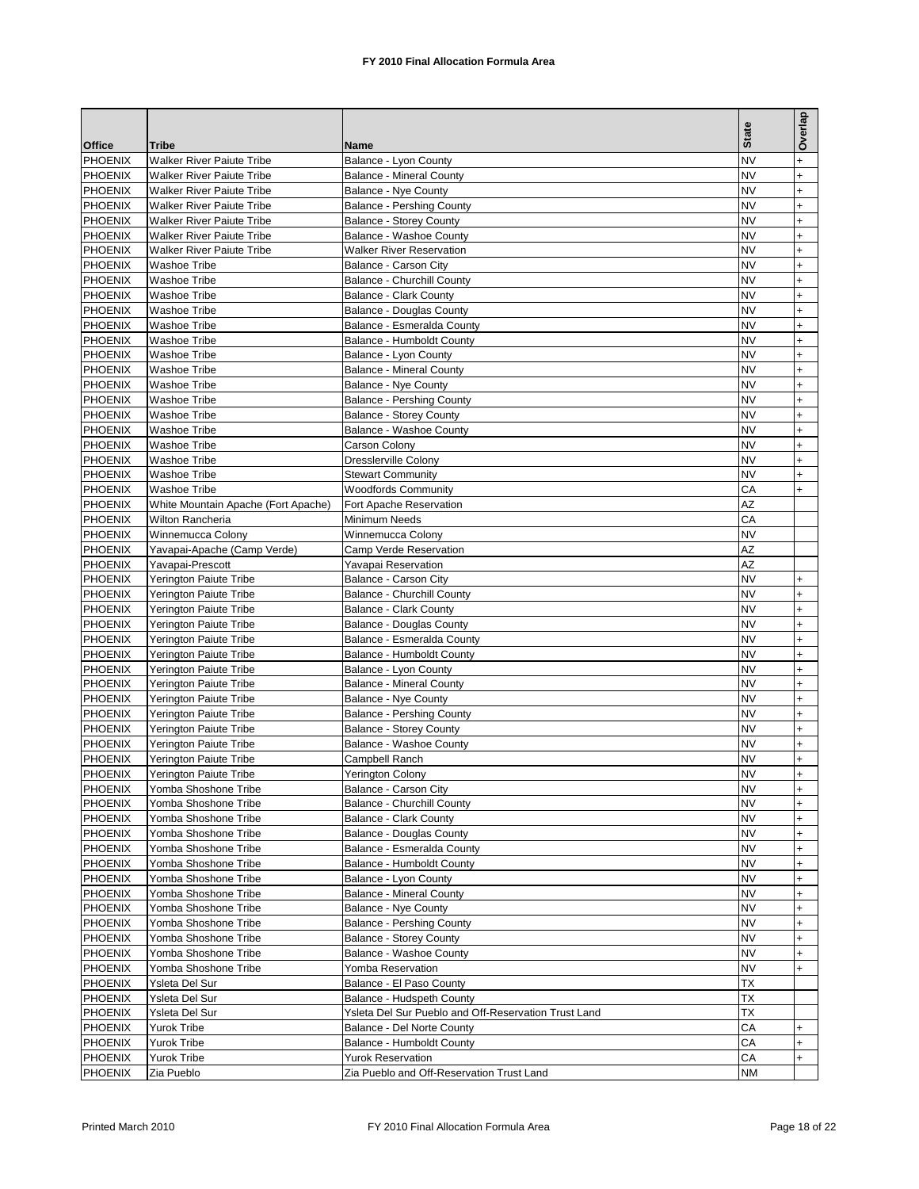|                |                                     |                                                      | <b>State</b> | Overlap   |
|----------------|-------------------------------------|------------------------------------------------------|--------------|-----------|
| <b>Office</b>  | <b>Tribe</b>                        | Name                                                 |              |           |
| <b>PHOENIX</b> | <b>Walker River Paiute Tribe</b>    | Balance - Lyon County                                | <b>NV</b>    | $\ddot{}$ |
| <b>PHOENIX</b> | <b>Walker River Paiute Tribe</b>    | <b>Balance - Mineral County</b>                      | <b>NV</b>    | $\ddot{}$ |
| PHOENIX        | <b>Walker River Paiute Tribe</b>    | <b>Balance - Nye County</b>                          | <b>NV</b>    | $\ddot{}$ |
| <b>PHOENIX</b> | <b>Walker River Paiute Tribe</b>    | <b>Balance - Pershing County</b>                     | <b>NV</b>    | $+$       |
| <b>PHOENIX</b> | <b>Walker River Paiute Tribe</b>    | <b>Balance - Storey County</b>                       | <b>NV</b>    | $\ddot{}$ |
| <b>PHOENIX</b> | <b>Walker River Paiute Tribe</b>    | Balance - Washoe County                              | <b>NV</b>    | $\ddot{}$ |
| <b>PHOENIX</b> | <b>Walker River Paiute Tribe</b>    | <b>Walker River Reservation</b>                      | <b>NV</b>    | $\ddot{}$ |
| PHOENIX        | Washoe Tribe                        | Balance - Carson City                                | <b>NV</b>    | $\ddot{}$ |
| PHOENIX        | <b>Washoe Tribe</b>                 | <b>Balance - Churchill County</b>                    | NV           | $\ddot{}$ |
| <b>PHOENIX</b> | <b>Washoe Tribe</b>                 | <b>Balance - Clark County</b>                        | <b>NV</b>    | $\ddot{}$ |
| <b>PHOENIX</b> | <b>Washoe Tribe</b>                 | <b>Balance - Douglas County</b>                      | <b>NV</b>    | $\ddot{}$ |
| <b>PHOENIX</b> | Washoe Tribe                        |                                                      | NV           | $\ddot{}$ |
|                |                                     | Balance - Esmeralda County                           |              |           |
| PHOENIX        | Washoe Tribe                        | <b>Balance - Humboldt County</b>                     | <b>NV</b>    | $\ddot{}$ |
| PHOENIX        | <b>Washoe Tribe</b>                 | Balance - Lyon County                                | <b>NV</b>    | $\ddot{}$ |
| <b>PHOENIX</b> | Washoe Tribe                        | <b>Balance - Mineral County</b>                      | NV           | $\ddot{}$ |
| <b>PHOENIX</b> | Washoe Tribe                        | Balance - Nye County                                 | <b>NV</b>    | $\ddot{}$ |
| PHOENIX        | <b>Washoe Tribe</b>                 | <b>Balance - Pershing County</b>                     | <b>NV</b>    | $\ddot{}$ |
| <b>PHOENIX</b> | Washoe Tribe                        | <b>Balance - Storey County</b>                       | <b>NV</b>    | $\ddot{}$ |
| <b>PHOENIX</b> | Washoe Tribe                        | Balance - Washoe County                              | <b>NV</b>    | $\ddot{}$ |
| PHOENIX        | Washoe Tribe                        | Carson Colony                                        | <b>NV</b>    | $\ddot{}$ |
| <b>PHOENIX</b> | <b>Washoe Tribe</b>                 | <b>Dresslerville Colony</b>                          | <b>NV</b>    | $\ddot{}$ |
| <b>PHOENIX</b> | Washoe Tribe                        | <b>Stewart Community</b>                             | <b>NV</b>    | $\ddot{}$ |
| PHOENIX        | <b>Washoe Tribe</b>                 | <b>Woodfords Community</b>                           | CA           | $\ddot{}$ |
| <b>PHOENIX</b> |                                     | Fort Apache Reservation                              | AZ           |           |
|                | White Mountain Apache (Fort Apache) |                                                      |              |           |
| <b>PHOENIX</b> | Wilton Rancheria                    | Minimum Needs                                        | CA           |           |
| <b>PHOENIX</b> | Winnemucca Colony                   | Winnemucca Colony                                    | <b>NV</b>    |           |
| PHOENIX        | Yavapai-Apache (Camp Verde)         | Camp Verde Reservation                               | AZ           |           |
| <b>PHOENIX</b> | Yavapai-Prescott                    | Yavapai Reservation                                  | AZ           |           |
| <b>PHOENIX</b> | Yerington Paiute Tribe              | Balance - Carson City                                | <b>NV</b>    | $+$       |
| <b>PHOENIX</b> | <b>Yerington Paiute Tribe</b>       | Balance - Churchill County                           | <b>NV</b>    | $\ddot{}$ |
| PHOENIX        | Yerington Paiute Tribe              | Balance - Clark County                               | <b>NV</b>    | $\ddot{}$ |
| PHOENIX        | Yerington Paiute Tribe              | <b>Balance - Douglas County</b>                      | <b>NV</b>    | $\ddot{}$ |
| <b>PHOENIX</b> | Yerington Paiute Tribe              | Balance - Esmeralda County                           | <b>NV</b>    | $\ddot{}$ |
| <b>PHOENIX</b> | Yerington Paiute Tribe              | Balance - Humboldt County                            | NV           | $\ddot{}$ |
| <b>PHOENIX</b> | Yerington Paiute Tribe              | Balance - Lyon County                                | <b>NV</b>    | $\ddot{}$ |
| <b>PHOENIX</b> | Yerington Paiute Tribe              | <b>Balance - Mineral County</b>                      | <b>NV</b>    | $\ddot{}$ |
|                |                                     |                                                      | NV           |           |
| <b>PHOENIX</b> | Yerington Paiute Tribe              | Balance - Nye County                                 |              | $\ddot{}$ |
| <b>PHOENIX</b> | Yerington Paiute Tribe              | <b>Balance - Pershing County</b>                     | <b>NV</b>    | $\ddot{}$ |
| <b>PHOENIX</b> | Yerington Paiute Tribe              | <b>Balance - Storey County</b>                       | <b>NV</b>    | $\ddot{}$ |
| <b>PHOENIX</b> | Yerington Paiute Tribe              | Balance - Washoe County                              | NV           | $\ddot{}$ |
| PHOENIX        | Yerington Paiute Tribe              | Campbell Ranch                                       | <b>NV</b>    | $\ddot{}$ |
| PHOENIX        | <b>Yerington Paiute Tribe</b>       | Yerington Colony                                     | <b>NV</b>    | $\ddot{}$ |
| <b>PHOENIX</b> | Yomba Shoshone Tribe                | Balance - Carson City                                | <b>NV</b>    | $\ddot{}$ |
| <b>PHOENIX</b> | Yomba Shoshone Tribe                | <b>Balance - Churchill County</b>                    | <b>NV</b>    | $\ddot{}$ |
| PHOENIX        | Yomba Shoshone Tribe                | Balance - Clark County                               | <b>NV</b>    | $\ddot{}$ |
| <b>PHOENIX</b> | Yomba Shoshone Tribe                | <b>Balance - Douglas County</b>                      | <b>NV</b>    | $\ddot{}$ |
| <b>PHOENIX</b> | Yomba Shoshone Tribe                | Balance - Esmeralda County                           | <b>NV</b>    | $\ddot{}$ |
| PHOENIX        | Yomba Shoshone Tribe                | Balance - Humboldt County                            | <b>NV</b>    | $\ddot{}$ |
| <b>PHOENIX</b> | Yomba Shoshone Tribe                | Balance - Lyon County                                | <b>NV</b>    | $\ddot{}$ |
| <b>PHOENIX</b> | Yomba Shoshone Tribe                | <b>Balance - Mineral County</b>                      | <b>NV</b>    | $\ddot{}$ |
| PHOENIX        | Yomba Shoshone Tribe                |                                                      | <b>NV</b>    | $\ddot{}$ |
|                |                                     | Balance - Nye County                                 |              |           |
| <b>PHOENIX</b> | Yomba Shoshone Tribe                | Balance - Pershing County                            | <b>NV</b>    | $\ddot{}$ |
| <b>PHOENIX</b> | Yomba Shoshone Tribe                | <b>Balance - Storey County</b>                       | <b>NV</b>    | $\ddot{}$ |
| PHOENIX        | Yomba Shoshone Tribe                | Balance - Washoe County                              | <b>NV</b>    | $\ddot{}$ |
| <b>PHOENIX</b> | Yomba Shoshone Tribe                | Yomba Reservation                                    | <b>NV</b>    | $\ddot{}$ |
| PHOENIX        | Ysleta Del Sur                      | Balance - El Paso County                             | ТX           |           |
| <b>PHOENIX</b> | Ysleta Del Sur                      | Balance - Hudspeth County                            | ТX           |           |
| <b>PHOENIX</b> | Ysleta Del Sur                      | Ysleta Del Sur Pueblo and Off-Reservation Trust Land | ТX           |           |
| PHOENIX        | Yurok Tribe                         | Balance - Del Norte County                           | СA           | $\ddot{}$ |
| <b>PHOENIX</b> | Yurok Tribe                         | Balance - Humboldt County                            | CA           | $\ddot{}$ |
| <b>PHOENIX</b> | Yurok Tribe                         | <b>Yurok Reservation</b>                             | CA           | $\ddot{}$ |
| PHOENIX        | Zia Pueblo                          | Zia Pueblo and Off-Reservation Trust Land            | <b>NM</b>    |           |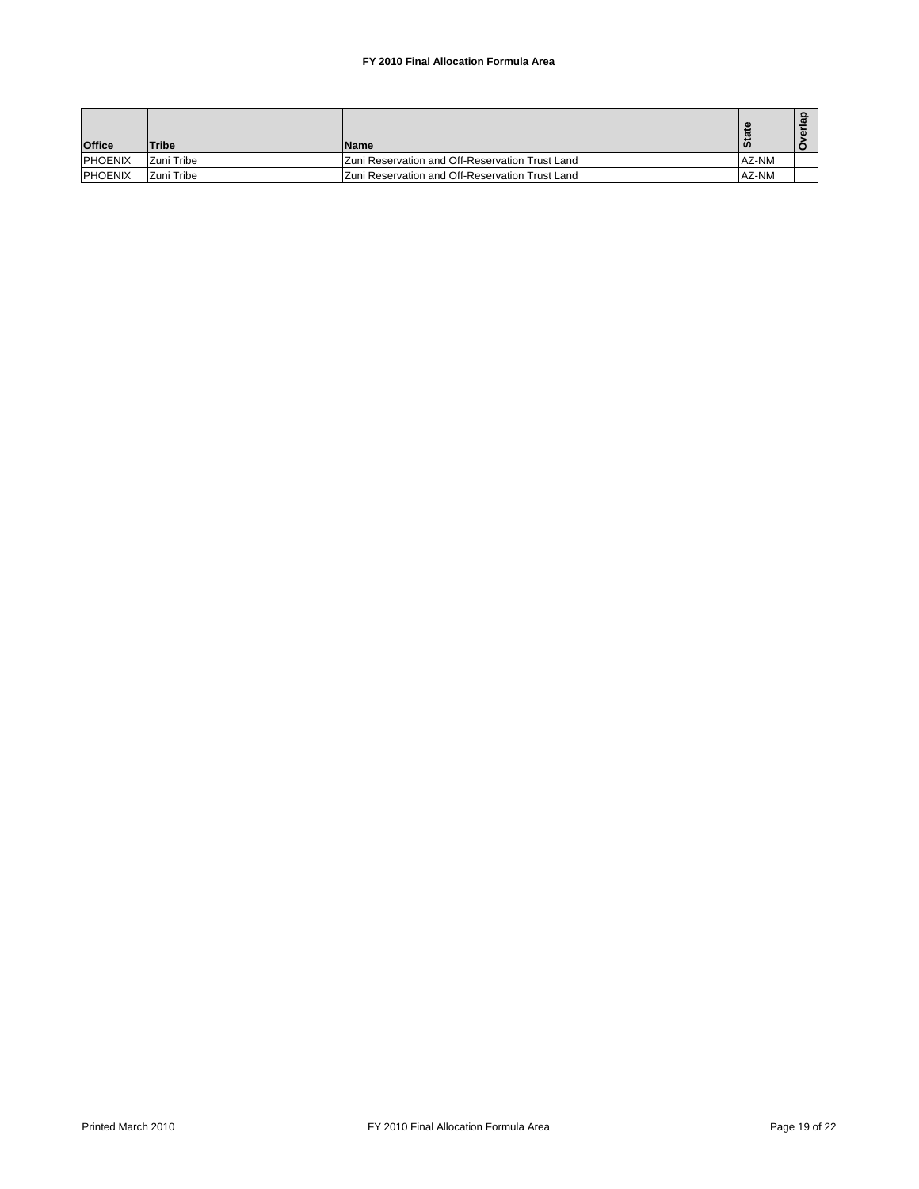## **FY 2010 Final Allocation Formula Area**

| <b>Office</b>   | <b>Tribe</b>      | <b>Name</b>                                             | m     |  |
|-----------------|-------------------|---------------------------------------------------------|-------|--|
| <b>IPHOENIX</b> | <b>Zuni Tribe</b> | <b>IZuni Reservation and Off-Reservation Trust Land</b> | AZ-NM |  |
| <b>IPHOENIX</b> | Zuni Tribe        | <b>Zuni Reservation and Off-Reservation Trust Land</b>  | AZ-NM |  |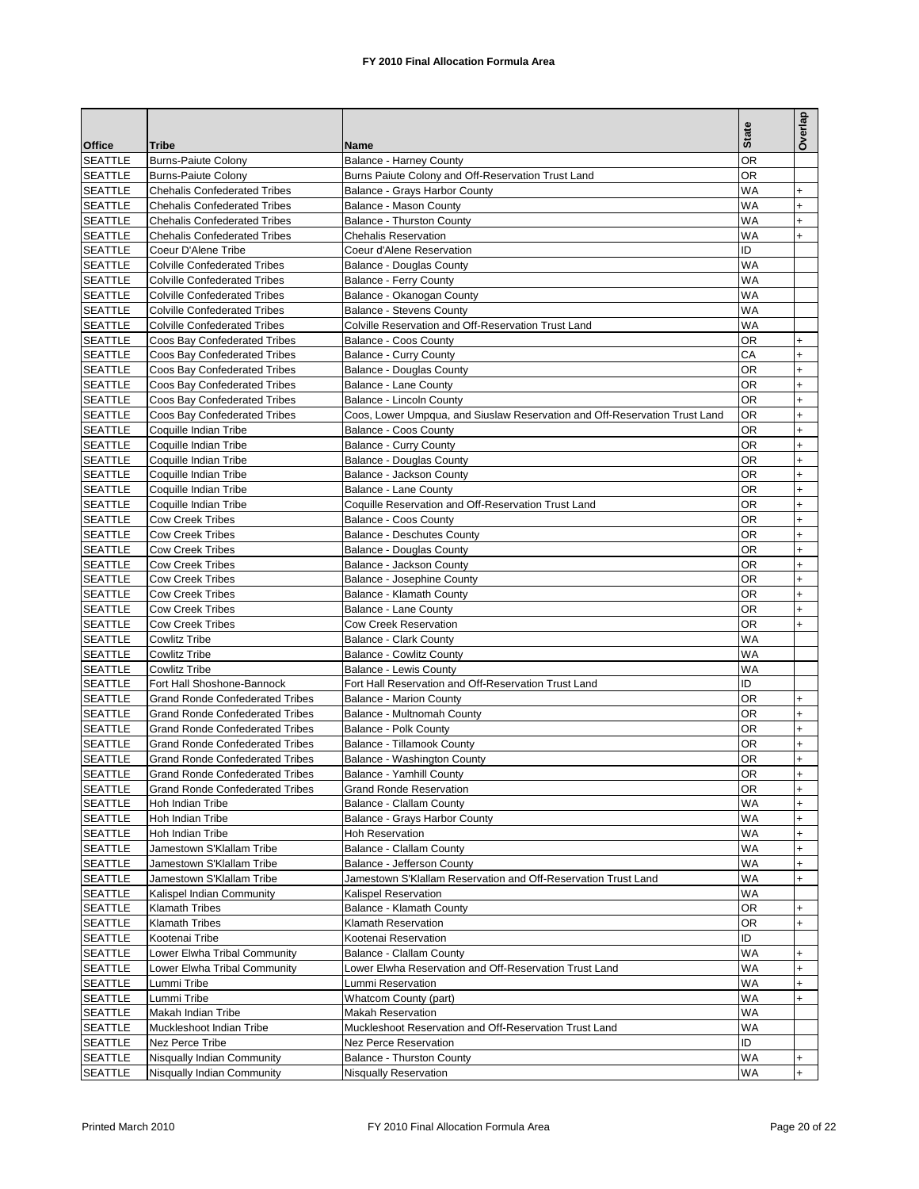|                                 |                                        |                                                                               | <b>State</b> | Overlap   |
|---------------------------------|----------------------------------------|-------------------------------------------------------------------------------|--------------|-----------|
| <b>Office</b><br><b>SEATTLE</b> | Tribe<br><b>Burns-Paiute Colony</b>    | Name                                                                          | ΟR           |           |
| <b>SEATTLE</b>                  | <b>Burns-Paiute Colony</b>             | Balance - Harney County<br>Burns Paiute Colony and Off-Reservation Trust Land | ΟR           |           |
| <b>SEATTLE</b>                  | <b>Chehalis Confederated Tribes</b>    | Balance - Grays Harbor County                                                 | WA           | $\ddot{}$ |
| <b>SEATTLE</b>                  | <b>Chehalis Confederated Tribes</b>    | Balance - Mason County                                                        | <b>WA</b>    | $\ddot{}$ |
| <b>SEATTLE</b>                  | <b>Chehalis Confederated Tribes</b>    | Balance - Thurston County                                                     | WA           | $\ddot{}$ |
| <b>SEATTLE</b>                  | <b>Chehalis Confederated Tribes</b>    | <b>Chehalis Reservation</b>                                                   | WA           | +         |
| <b>SEATTLE</b>                  | Coeur D'Alene Tribe                    | Coeur d'Alene Reservation                                                     | ID           |           |
| <b>SEATTLE</b>                  | <b>Colville Confederated Tribes</b>    | <b>Balance - Douglas County</b>                                               | <b>WA</b>    |           |
| <b>SEATTLE</b>                  | <b>Colville Confederated Tribes</b>    | Balance - Ferry County                                                        | WA           |           |
| <b>SEATTLE</b>                  | <b>Colville Confederated Tribes</b>    | Balance - Okanogan County                                                     | WA           |           |
| <b>SEATTLE</b>                  | <b>Colville Confederated Tribes</b>    | <b>Balance - Stevens County</b>                                               | <b>WA</b>    |           |
| <b>SEATTLE</b>                  | <b>Colville Confederated Tribes</b>    | Colville Reservation and Off-Reservation Trust Land                           | WA           |           |
| <b>SEATTLE</b>                  | Coos Bay Confederated Tribes           | <b>Balance - Coos County</b>                                                  | OR           | $\ddot{}$ |
| <b>SEATTLE</b>                  | Coos Bay Confederated Tribes           | <b>Balance - Curry County</b>                                                 | СA           | $\ddot{}$ |
| <b>SEATTLE</b>                  | Coos Bay Confederated Tribes           | Balance - Douglas County                                                      | ΟR           | $\ddot{}$ |
| <b>SEATTLE</b>                  | Coos Bay Confederated Tribes           | Balance - Lane County                                                         | OR           | $\ddot{}$ |
| <b>SEATTLE</b>                  | Coos Bay Confederated Tribes           | Balance - Lincoln County                                                      | OR           | $\ddot{}$ |
| <b>SEATTLE</b>                  | Coos Bay Confederated Tribes           | Coos, Lower Umpqua, and Siuslaw Reservation and Off-Reservation Trust Land    | OR           | $\ddot{}$ |
| <b>SEATTLE</b>                  | Coquille Indian Tribe                  | Balance - Coos County                                                         | OR           | $\ddot{}$ |
| <b>SEATTLE</b>                  | Coquille Indian Tribe                  | <b>Balance - Curry County</b>                                                 | OR           | $\ddot{}$ |
| <b>SEATTLE</b>                  | Coquille Indian Tribe                  | Balance - Douglas County                                                      | OR           | $\ddot{}$ |
| <b>SEATTLE</b>                  | Coquille Indian Tribe                  | Balance - Jackson County                                                      | OR           | $\ddot{}$ |
| <b>SEATTLE</b>                  | Coquille Indian Tribe                  | Balance - Lane County                                                         | ΟR           | $\ddot{}$ |
| <b>SEATTLE</b>                  | Coquille Indian Tribe                  | Coquille Reservation and Off-Reservation Trust Land                           | OR           | $\ddot{}$ |
| <b>SEATTLE</b>                  | <b>Cow Creek Tribes</b>                | Balance - Coos County                                                         | OR           | $\ddot{}$ |
| <b>SEATTLE</b>                  | <b>Cow Creek Tribes</b>                | <b>Balance - Deschutes County</b>                                             | ΟR           | $\ddot{}$ |
| <b>SEATTLE</b>                  | <b>Cow Creek Tribes</b>                | Balance - Douglas County                                                      | OR           | $\ddot{}$ |
| <b>SEATTLE</b>                  | <b>Cow Creek Tribes</b>                | Balance - Jackson County                                                      | ΟR           | $\ddot{}$ |
| <b>SEATTLE</b>                  | <b>Cow Creek Tribes</b>                | Balance - Josephine County                                                    | ΟR           | $\ddot{}$ |
| <b>SEATTLE</b>                  | <b>Cow Creek Tribes</b>                | Balance - Klamath County                                                      | OR           | $\ddot{}$ |
| <b>SEATTLE</b>                  | <b>Cow Creek Tribes</b>                | Balance - Lane County                                                         | OR           | $\ddot{}$ |
| <b>SEATTLE</b>                  | <b>Cow Creek Tribes</b>                | <b>Cow Creek Reservation</b>                                                  | OR           | $\ddot{}$ |
| <b>SEATTLE</b>                  | <b>Cowlitz Tribe</b>                   | <b>Balance - Clark County</b>                                                 | WA           |           |
| <b>SEATTLE</b>                  | <b>Cowlitz Tribe</b>                   | <b>Balance - Cowlitz County</b>                                               | WA           |           |
| <b>SEATTLE</b>                  | <b>Cowlitz Tribe</b>                   | Balance - Lewis County                                                        | <b>WA</b>    |           |
| <b>SEATTLE</b>                  | Fort Hall Shoshone-Bannock             | Fort Hall Reservation and Off-Reservation Trust Land                          | ID           |           |
| <b>SEATTLE</b>                  | <b>Grand Ronde Confederated Tribes</b> | <b>Balance - Marion County</b>                                                | OR           | $\ddot{}$ |
| <b>SEATTLE</b>                  | <b>Grand Ronde Confederated Tribes</b> | Balance - Multnomah County                                                    | ΟR           | $\ddot{}$ |
| <b>SEATTLE</b>                  | <b>Grand Ronde Confederated Tribes</b> | Balance - Polk County                                                         | OR           | $\ddot{}$ |
| <b>SEATTLE</b>                  | <b>Grand Ronde Confederated Tribes</b> | Balance - Tillamook County                                                    | ΟR           | $\ddot{}$ |
| <b>SEATTLE</b>                  | <b>Grand Ronde Confederated Tribes</b> | Balance - Washington County                                                   | ΟR           | +         |
| <b>SEATTLE</b>                  | <b>Grand Ronde Confederated Tribes</b> | Balance - Yamhill County                                                      | <b>OR</b>    | $\ddot{}$ |
| <b>SEATTLE</b>                  | <b>Grand Ronde Confederated Tribes</b> | <b>Grand Ronde Reservation</b>                                                | OR           | $\ddot{}$ |
| <b>SEATTLE</b>                  | Hoh Indian Tribe                       | Balance - Clallam County                                                      | WA           | $\ddot{}$ |
| <b>SEATTLE</b>                  | Hoh Indian Tribe                       | Balance - Grays Harbor County                                                 | WA           | $\ddot{}$ |
| <b>SEATTLE</b>                  | Hoh Indian Tribe                       | <b>Hoh Reservation</b>                                                        | WA           | $\ddot{}$ |
| <b>SEATTLE</b>                  | Jamestown S'Klallam Tribe              | Balance - Clallam County                                                      | WA           | $\ddot{}$ |
| <b>SEATTLE</b>                  | Jamestown S'Klallam Tribe              | Balance - Jefferson County                                                    | WA           | $\ddot{}$ |
| <b>SEATTLE</b>                  | Jamestown S'Klallam Tribe              | Jamestown S'Klallam Reservation and Off-Reservation Trust Land                | WA           | $\ddot{}$ |
| <b>SEATTLE</b>                  | Kalispel Indian Community              | Kalispel Reservation                                                          | WA           |           |
| <b>SEATTLE</b>                  | <b>Klamath Tribes</b>                  | Balance - Klamath County                                                      | OR           | $\ddot{}$ |
| <b>SEATTLE</b>                  | <b>Klamath Tribes</b>                  | Klamath Reservation                                                           | OR           | $\ddot{}$ |
| <b>SEATTLE</b>                  | Kootenai Tribe                         | Kootenai Reservation                                                          | ID           |           |
| <b>SEATTLE</b>                  | Lower Elwha Tribal Community           | <b>Balance - Clallam County</b>                                               | <b>WA</b>    | $\ddot{}$ |
| <b>SEATTLE</b>                  | Lower Elwha Tribal Community           | Lower Elwha Reservation and Off-Reservation Trust Land                        | WA           | $\ddot{}$ |
| <b>SEATTLE</b>                  | Lummi Tribe                            | Lummi Reservation                                                             | WA           | $\ddot{}$ |
| <b>SEATTLE</b>                  | Lummi Tribe                            | Whatcom County (part)                                                         | WA           | $\ddot{}$ |
| <b>SEATTLE</b>                  | Makah Indian Tribe                     | <b>Makah Reservation</b>                                                      | WA           |           |
| <b>SEATTLE</b>                  | Muckleshoot Indian Tribe               | Muckleshoot Reservation and Off-Reservation Trust Land                        | WA           |           |
| <b>SEATTLE</b>                  | Nez Perce Tribe                        | Nez Perce Reservation                                                         | ID           |           |
| <b>SEATTLE</b>                  | Nisqually Indian Community             | Balance - Thurston County                                                     | <b>WA</b>    | $\ddot{}$ |
| <b>SEATTLE</b>                  | Nisqually Indian Community             | Nisqually Reservation                                                         | WA           | $\ddot{}$ |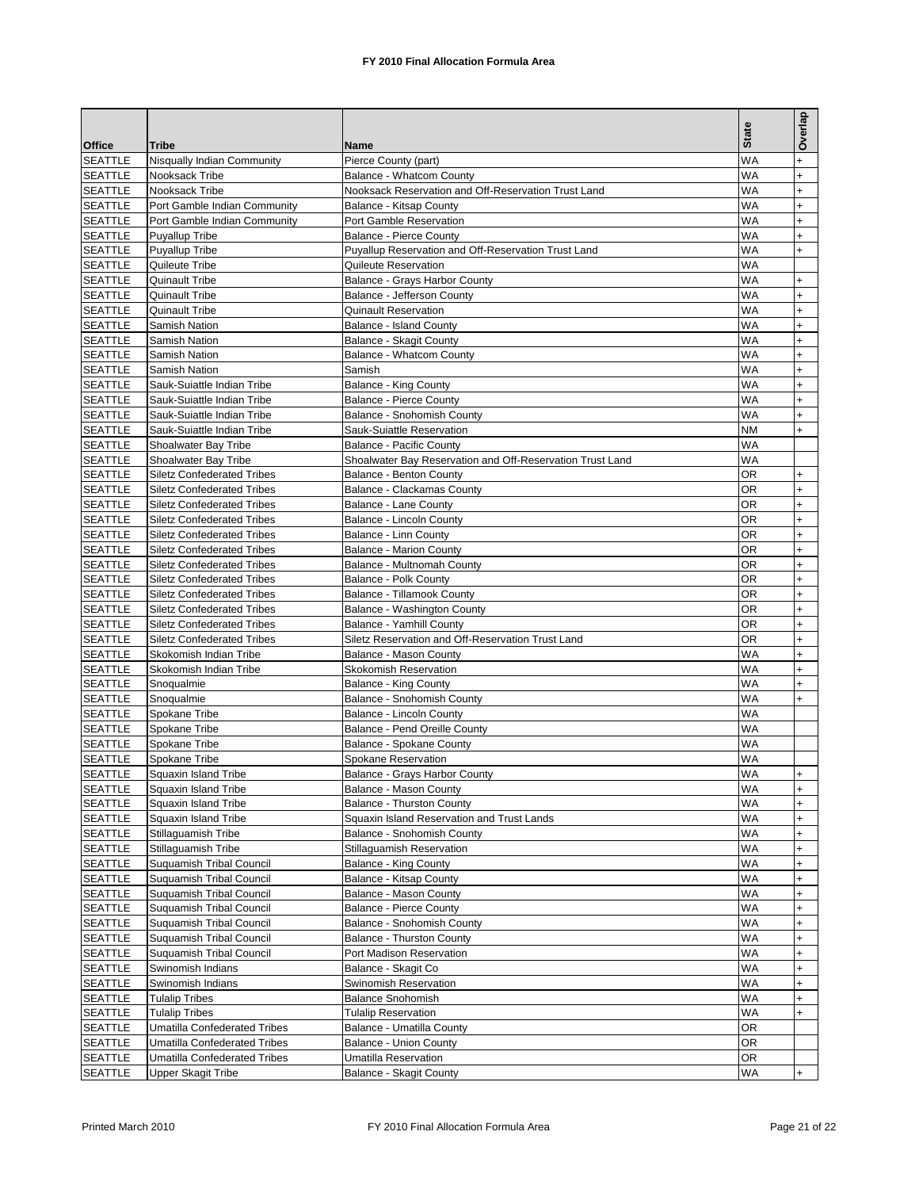|                                  |                                                                        |                                                           | <b>State</b>    | Overlap                |
|----------------------------------|------------------------------------------------------------------------|-----------------------------------------------------------|-----------------|------------------------|
| <b>Office</b>                    | <b>Tribe</b>                                                           | Name                                                      |                 |                        |
| <b>SEATTLE</b><br><b>SEATTLE</b> | Nisqually Indian Community<br>Nooksack Tribe                           | Pierce County (part)<br>Balance - Whatcom County          | WA<br><b>WA</b> | $\ddot{}$<br>$\ddot{}$ |
| <b>SEATTLE</b>                   | Nooksack Tribe                                                         | Nooksack Reservation and Off-Reservation Trust Land       | WA              | $\ddot{}$              |
| <b>SEATTLE</b>                   | Port Gamble Indian Community                                           | Balance - Kitsap County                                   | WA              | $\ddot{}$              |
| <b>SEATTLE</b>                   | Port Gamble Indian Community                                           | Port Gamble Reservation                                   | WA              | $\ddot{}$              |
| <b>SEATTLE</b>                   | <b>Puyallup Tribe</b>                                                  | <b>Balance - Pierce County</b>                            | WA              | $\ddot{}$              |
| <b>SEATTLE</b>                   | <b>Puyallup Tribe</b>                                                  | Puyallup Reservation and Off-Reservation Trust Land       | WA              | $\ddot{}$              |
| <b>SEATTLE</b>                   | Quileute Tribe                                                         | Quileute Reservation                                      | WA              |                        |
| <b>SEATTLE</b>                   | Quinault Tribe                                                         | Balance - Grays Harbor County                             | WA              | $\ddot{}$              |
| <b>SEATTLE</b>                   | <b>Quinault Tribe</b>                                                  | Balance - Jefferson County                                | <b>WA</b>       | $\ddot{}$              |
| <b>SEATTLE</b>                   | Quinault Tribe                                                         | <b>Quinault Reservation</b>                               | WA              | $\ddot{}$              |
| <b>SEATTLE</b>                   | Samish Nation                                                          | <b>Balance - Island County</b>                            | WA              | $\ddot{}$              |
| <b>SEATTLE</b>                   | Samish Nation                                                          | Balance - Skagit County                                   | <b>WA</b>       | $\ddot{}$              |
| <b>SEATTLE</b>                   | Samish Nation                                                          | Balance - Whatcom County                                  | WA              | $\ddot{}$              |
| <b>SEATTLE</b>                   | Samish Nation                                                          | Samish                                                    | WA              | $\ddot{}$              |
| <b>SEATTLE</b>                   | Sauk-Suiattle Indian Tribe                                             | Balance - King County                                     | <b>WA</b>       | $\ddot{}$              |
| <b>SEATTLE</b>                   | Sauk-Suiattle Indian Tribe                                             | <b>Balance - Pierce County</b>                            | <b>WA</b>       | $\ddot{}$              |
| <b>SEATTLE</b>                   | Sauk-Suiattle Indian Tribe                                             | Balance - Snohomish County                                | WA              | $\ddot{}$              |
| <b>SEATTLE</b>                   | Sauk-Suiattle Indian Tribe                                             | Sauk-Suiattle Reservation                                 | <b>NM</b>       | $\ddot{}$              |
| <b>SEATTLE</b>                   | Shoalwater Bay Tribe                                                   | <b>Balance - Pacific County</b>                           | <b>WA</b>       |                        |
| <b>SEATTLE</b>                   | Shoalwater Bay Tribe                                                   | Shoalwater Bay Reservation and Off-Reservation Trust Land | WA              |                        |
| <b>SEATTLE</b>                   | <b>Siletz Confederated Tribes</b>                                      | <b>Balance - Benton County</b>                            | ΟR              | $\ddot{}$              |
| <b>SEATTLE</b>                   | <b>Siletz Confederated Tribes</b>                                      | Balance - Clackamas County                                | OR              | $+$                    |
| <b>SEATTLE</b>                   | <b>Siletz Confederated Tribes</b>                                      | Balance - Lane County                                     | ΟR              | $\ddot{}$              |
| <b>SEATTLE</b><br><b>SEATTLE</b> | <b>Siletz Confederated Tribes</b><br><b>Siletz Confederated Tribes</b> | Balance - Lincoln County<br>Balance - Linn County         | ΟR<br>ΟR        | $\ddot{}$<br>$\ddot{}$ |
| <b>SEATTLE</b>                   | <b>Siletz Confederated Tribes</b>                                      | <b>Balance - Marion County</b>                            | ΟR              | $\ddot{}$              |
| <b>SEATTLE</b>                   | <b>Siletz Confederated Tribes</b>                                      | Balance - Multnomah County                                | OR              | $\ddot{}$              |
| <b>SEATTLE</b>                   | <b>Siletz Confederated Tribes</b>                                      | Balance - Polk County                                     | ΟR              | $\ddot{}$              |
| <b>SEATTLE</b>                   | <b>Siletz Confederated Tribes</b>                                      | Balance - Tillamook County                                | ΟR              | $\ddot{}$              |
| <b>SEATTLE</b>                   | <b>Siletz Confederated Tribes</b>                                      | Balance - Washington County                               | OR              | $\ddot{}$              |
| <b>SEATTLE</b>                   | <b>Siletz Confederated Tribes</b>                                      | Balance - Yamhill County                                  | ΟR              | $\ddot{}$              |
| <b>SEATTLE</b>                   | <b>Siletz Confederated Tribes</b>                                      | Siletz Reservation and Off-Reservation Trust Land         | ΟR              | $\ddot{}$              |
| <b>SEATTLE</b>                   | Skokomish Indian Tribe                                                 | Balance - Mason County                                    | <b>WA</b>       | $\ddot{}$              |
| <b>SEATTLE</b>                   | Skokomish Indian Tribe                                                 | <b>Skokomish Reservation</b>                              | WA              | $\ddot{}$              |
| <b>SEATTLE</b>                   | Snoqualmie                                                             | Balance - King County                                     | WA              | $\ddot{}$              |
| <b>SEATTLE</b>                   | Snoqualmie                                                             | Balance - Snohomish County                                | <b>WA</b>       | $\ddot{}$              |
| <b>SEATTLE</b>                   | Spokane Tribe                                                          | Balance - Lincoln County                                  | WA              |                        |
| <b>SEATTLE</b>                   | Spokane Tribe                                                          | Balance - Pend Oreille County                             | WA              |                        |
| <b>SEATTLE</b>                   | Spokane Tribe                                                          | Balance - Spokane County                                  | <b>WA</b>       |                        |
| <b>SEATTLE</b>                   | Spokane Tribe                                                          | Spokane Reservation                                       | WA              |                        |
| <b>SEATTLE</b>                   | Squaxin Island Tribe                                                   | Balance - Grays Harbor County                             | <b>WA</b>       | $\ddot{}$              |
| <b>SEATTLE</b>                   | Squaxin Island Tribe                                                   | Balance - Mason County                                    | WA              | $\ddot{}$              |
| <b>SEATTLE</b>                   | Squaxin Island Tribe<br>Squaxin Island Tribe                           | Balance - Thurston County                                 | WA<br>WA        | $\ddot{}$              |
| <b>SEATTLE</b><br><b>SEATTLE</b> | Stillaguamish Tribe                                                    | Squaxin Island Reservation and Trust Lands                | WA              | $\ddot{}$              |
| <b>SEATTLE</b>                   | Stillaguamish Tribe                                                    | Balance - Snohomish County<br>Stillaguamish Reservation   | WA              | $\ddot{}$<br>$\ddot{}$ |
| <b>SEATTLE</b>                   | Suquamish Tribal Council                                               | <b>Balance - King County</b>                              | WA              | $\ddot{}$              |
| <b>SEATTLE</b>                   | <b>Suguamish Tribal Council</b>                                        | Balance - Kitsap County                                   | WA              | $\ddot{}$              |
| <b>SEATTLE</b>                   | <b>Suguamish Tribal Council</b>                                        | Balance - Mason County                                    | WA              | $\ddot{}$              |
| <b>SEATTLE</b>                   | Suquamish Tribal Council                                               | Balance - Pierce County                                   | WA              | $\ddot{}$              |
| <b>SEATTLE</b>                   | Suquamish Tribal Council                                               | Balance - Snohomish County                                | WA              | $\ddot{}$              |
| <b>SEATTLE</b>                   | Suquamish Tribal Council                                               | Balance - Thurston County                                 | WA              | $\ddot{}$              |
| <b>SEATTLE</b>                   | Suquamish Tribal Council                                               | Port Madison Reservation                                  | WA              | $\ddot{}$              |
| <b>SEATTLE</b>                   | Swinomish Indians                                                      | Balance - Skagit Co                                       | WA              | $\ddot{}$              |
| SEATTLE                          | Swinomish Indians                                                      | Swinomish Reservation                                     | WA              | $\ddot{}$              |
| <b>SEATTLE</b>                   | <b>Tulalip Tribes</b>                                                  | Balance Snohomish                                         | WA              | $\ddot{}$              |
| <b>SEATTLE</b>                   | <b>Tulalip Tribes</b>                                                  | <b>Tulalip Reservation</b>                                | WA              | $\ddot{}$              |
| <b>SEATTLE</b>                   | <b>Umatilla Confederated Tribes</b>                                    | Balance - Umatilla County                                 | OR              |                        |
| <b>SEATTLE</b>                   | <b>Umatilla Confederated Tribes</b>                                    | <b>Balance - Union County</b>                             | OR              |                        |
| <b>SEATTLE</b>                   | <b>Umatilla Confederated Tribes</b>                                    | Umatilla Reservation                                      | OR              |                        |
| <b>SEATTLE</b>                   | <b>Upper Skagit Tribe</b>                                              | Balance - Skagit County                                   | WA              | $\ddot{}$              |